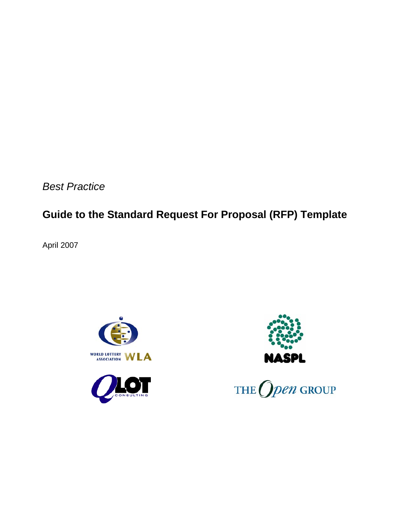*Best Practice* 

# **Guide to the Standard Request For Proposal (RFP) Template**

April 2007







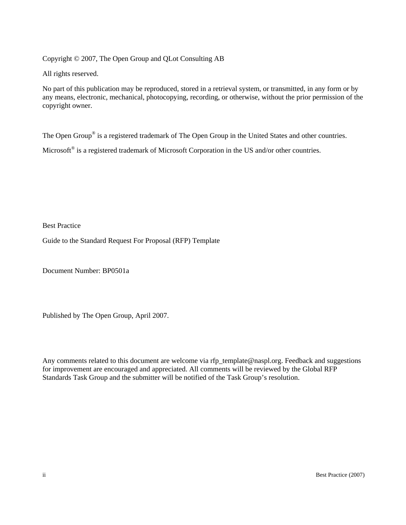Copyright © 2007, The Open Group and QLot Consulting AB

All rights reserved.

No part of this publication may be reproduced, stored in a retrieval system, or transmitted, in any form or by any means, electronic, mechanical, photocopying, recording, or otherwise, without the prior permission of the copyright owner.

The Open Group<sup>®</sup> is a registered trademark of The Open Group in the United States and other countries.

Microsoft<sup>®</sup> is a registered trademark of Microsoft Corporation in the US and/or other countries.

Best Practice

Guide to the Standard Request For Proposal (RFP) Template

Document Number: BP0501a

Published by The Open Group, April 2007.

Any comments related to this document are welcome [via](mailto:WLA@QLot.com) [rfp\\_template@naspl.org](mailto:rfp_template@naspl.org). Feedback and suggestions for improvement are encouraged and appreciated. All comments will be reviewed by the Global RFP Standards Task Group and the submitter will be notified of the Task Group's resolution.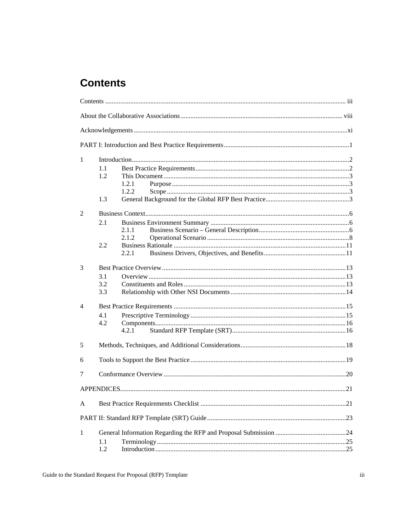# <span id="page-2-0"></span>**Contents**

| 1 |       |  |  |  |  |
|---|-------|--|--|--|--|
|   | 1.1   |  |  |  |  |
|   | 1.2   |  |  |  |  |
|   | 1.2.1 |  |  |  |  |
|   | 1.2.2 |  |  |  |  |
|   | 1.3   |  |  |  |  |
| 2 |       |  |  |  |  |
|   | 2.1   |  |  |  |  |
|   | 2.1.1 |  |  |  |  |
|   | 2.1.2 |  |  |  |  |
|   | 2.2   |  |  |  |  |
|   | 2.2.1 |  |  |  |  |
| 3 |       |  |  |  |  |
|   | 3.1   |  |  |  |  |
|   | 3.2   |  |  |  |  |
|   | 3.3   |  |  |  |  |
| 4 |       |  |  |  |  |
|   | 4.1   |  |  |  |  |
|   | 4.2   |  |  |  |  |
|   | 4.2.1 |  |  |  |  |
| 5 |       |  |  |  |  |
|   |       |  |  |  |  |
| 6 |       |  |  |  |  |
| 7 |       |  |  |  |  |
|   |       |  |  |  |  |
| A |       |  |  |  |  |
|   |       |  |  |  |  |
| 1 |       |  |  |  |  |
|   | 1.1   |  |  |  |  |
|   | 1.2   |  |  |  |  |
|   |       |  |  |  |  |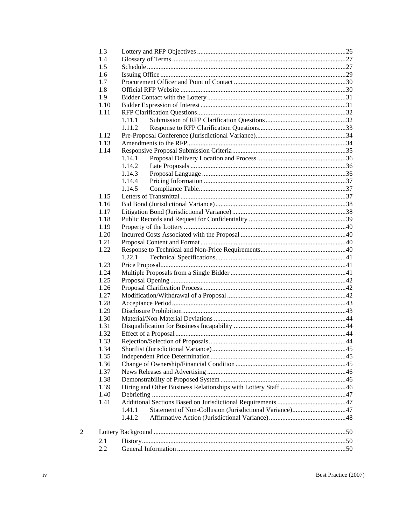| 1.3  |                                                                  |  |
|------|------------------------------------------------------------------|--|
| 1.4  |                                                                  |  |
| 1.5  |                                                                  |  |
| 1.6  |                                                                  |  |
| 1.7  |                                                                  |  |
| 1.8  |                                                                  |  |
| 1.9  |                                                                  |  |
| 1.10 |                                                                  |  |
| 1.11 |                                                                  |  |
|      | 1.11.1                                                           |  |
|      | 1.11.2                                                           |  |
| 1.12 |                                                                  |  |
| 1.13 |                                                                  |  |
| 1.14 |                                                                  |  |
|      | 1.14.1                                                           |  |
|      | 1.14.2                                                           |  |
|      | 1.14.3                                                           |  |
|      | 1.14.4                                                           |  |
|      | 1.14.5                                                           |  |
| 1.15 |                                                                  |  |
| 1.16 |                                                                  |  |
| 1.17 |                                                                  |  |
| 1.18 |                                                                  |  |
| 1.19 |                                                                  |  |
| 1.20 |                                                                  |  |
| 1.21 |                                                                  |  |
| 1.22 |                                                                  |  |
|      | 1.22.1                                                           |  |
| 1.23 |                                                                  |  |
| 1.24 |                                                                  |  |
| 1.25 |                                                                  |  |
| 1.26 |                                                                  |  |
| 1.27 |                                                                  |  |
| 1.28 |                                                                  |  |
| 1.29 |                                                                  |  |
| 1.30 |                                                                  |  |
| 1.31 |                                                                  |  |
| 1.32 |                                                                  |  |
| 1.33 |                                                                  |  |
| 1.34 |                                                                  |  |
| 1.35 |                                                                  |  |
| 1.36 |                                                                  |  |
| 1.37 |                                                                  |  |
| 1.38 |                                                                  |  |
| 1.39 |                                                                  |  |
| 1.40 |                                                                  |  |
| 1.41 |                                                                  |  |
|      | Statement of Non-Collusion (Jurisdictional Variance)47<br>1.41.1 |  |
|      | 1.41.2                                                           |  |
|      |                                                                  |  |
|      |                                                                  |  |
| 2.1  |                                                                  |  |
| 2.2  |                                                                  |  |
|      |                                                                  |  |

 $\overline{2}$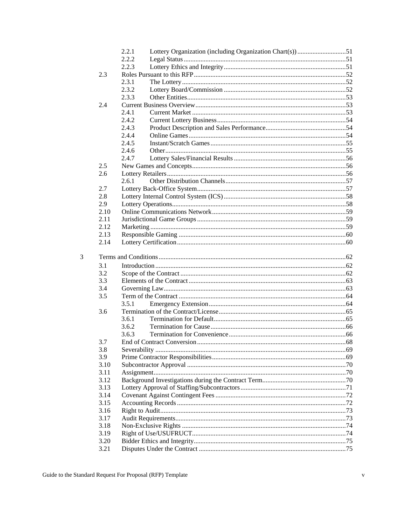|      | Lottery Organization (including Organization Chart(s)) 51<br>2.2.1 |  |
|------|--------------------------------------------------------------------|--|
|      | 2.2.2                                                              |  |
|      | 2.2.3                                                              |  |
| 2.3  |                                                                    |  |
|      | 2.3.1                                                              |  |
|      | 2.3.2                                                              |  |
|      | 2.3.3                                                              |  |
| 2.4  |                                                                    |  |
|      | 2.4.1                                                              |  |
|      | 2.4.2                                                              |  |
|      | 2.4.3                                                              |  |
|      | 2.4.4                                                              |  |
|      | 2.4.5                                                              |  |
|      | 2.4.6                                                              |  |
|      | 2.4.7                                                              |  |
| 2.5  |                                                                    |  |
|      |                                                                    |  |
| 2.6  |                                                                    |  |
|      | 2.61                                                               |  |
| 2.7  |                                                                    |  |
| 2.8  |                                                                    |  |
| 2.9  |                                                                    |  |
| 2.10 |                                                                    |  |
| 2.11 |                                                                    |  |
| 2.12 |                                                                    |  |
| 2.13 |                                                                    |  |
| 2.14 |                                                                    |  |
|      |                                                                    |  |
|      |                                                                    |  |
| 3.1  |                                                                    |  |
| 3.2  |                                                                    |  |
| 3.3  |                                                                    |  |
| 3.4  |                                                                    |  |
| 3.5  |                                                                    |  |
|      | 3.5.1                                                              |  |
| 3.6  |                                                                    |  |
|      | 3.6.1                                                              |  |
|      | 3.6.2                                                              |  |
|      | 3.6.3                                                              |  |
| 3.7  |                                                                    |  |
| 3.8  |                                                                    |  |
| 3.9  |                                                                    |  |
| 3.10 |                                                                    |  |
| 3.11 |                                                                    |  |
| 3.12 |                                                                    |  |
| 3.13 |                                                                    |  |
| 3.14 |                                                                    |  |
| 3.15 |                                                                    |  |
| 3.16 |                                                                    |  |
| 3.17 |                                                                    |  |
| 3.18 |                                                                    |  |
| 3.19 |                                                                    |  |
| 3.20 |                                                                    |  |
| 3.21 |                                                                    |  |
|      |                                                                    |  |

 $\overline{3}$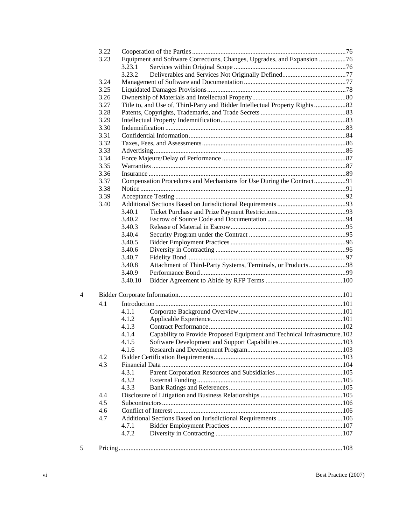|   | 3.22 |         |                                                                             |  |
|---|------|---------|-----------------------------------------------------------------------------|--|
|   | 3.23 |         | Equipment and Software Corrections, Changes, Upgrades, and Expansion 76     |  |
|   |      | 3.23.1  |                                                                             |  |
|   |      | 3.23.2  |                                                                             |  |
|   | 3.24 |         |                                                                             |  |
|   | 3.25 |         |                                                                             |  |
|   | 3.26 |         |                                                                             |  |
|   | 3.27 |         | Title to, and Use of, Third-Party and Bidder Intellectual Property Rights82 |  |
|   | 3.28 |         |                                                                             |  |
|   | 3.29 |         |                                                                             |  |
|   | 3.30 |         |                                                                             |  |
|   | 3.31 |         |                                                                             |  |
|   | 3.32 |         |                                                                             |  |
|   | 3.33 |         |                                                                             |  |
|   | 3.34 |         |                                                                             |  |
|   | 3.35 |         |                                                                             |  |
|   | 3.36 |         |                                                                             |  |
|   | 3.37 |         | Compensation Procedures and Mechanisms for Use During the Contract91        |  |
|   | 3.38 |         |                                                                             |  |
|   | 3.39 |         |                                                                             |  |
|   | 3.40 |         |                                                                             |  |
|   |      | 3.40.1  |                                                                             |  |
|   |      | 3.40.2  |                                                                             |  |
|   |      | 3.40.3  |                                                                             |  |
|   |      | 3.40.4  |                                                                             |  |
|   |      | 3.40.5  |                                                                             |  |
|   |      | 3.40.6  |                                                                             |  |
|   |      | 3.40.7  |                                                                             |  |
|   |      | 3.40.8  | Attachment of Third-Party Systems, Terminals, or Products98                 |  |
|   |      | 3.40.9  |                                                                             |  |
|   |      | 3.40.10 |                                                                             |  |
| 4 |      |         |                                                                             |  |
|   | 4.1  |         |                                                                             |  |
|   |      | 4.1.1   |                                                                             |  |
|   |      | 4.1.2   |                                                                             |  |
|   |      | 4.1.3   |                                                                             |  |
|   |      | 4.1.4   | Capability to Provide Proposed Equipment and Technical Infrastructure.102   |  |
|   |      | 4.1.5   |                                                                             |  |
|   |      | 4.1.6   |                                                                             |  |
|   | 4.2  |         |                                                                             |  |
|   | 4.3  |         |                                                                             |  |
|   |      | 4.3.1   |                                                                             |  |
|   |      | 4.3.2   |                                                                             |  |
|   |      | 4.3.3   |                                                                             |  |
|   | 4.4  |         |                                                                             |  |
|   | 4.5  |         |                                                                             |  |
|   | 4.6  |         |                                                                             |  |
|   | 4.7  |         |                                                                             |  |
|   |      | 4.7.1   |                                                                             |  |
|   |      | 4.7.2   |                                                                             |  |
|   |      |         |                                                                             |  |
| 5 |      |         |                                                                             |  |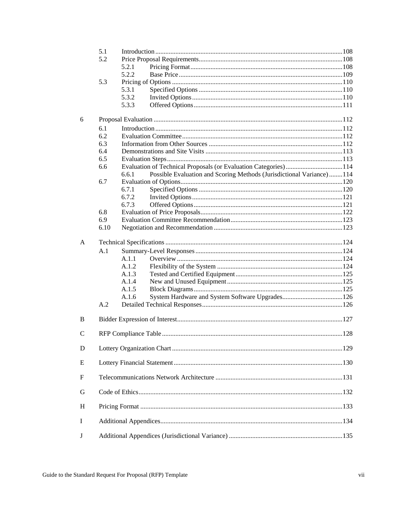|               | 5.1  |                                                                               |  |
|---------------|------|-------------------------------------------------------------------------------|--|
|               | 5.2  |                                                                               |  |
|               |      | 5.2.1                                                                         |  |
|               |      | 5.2.2                                                                         |  |
|               | 5.3  |                                                                               |  |
|               |      | 5.3.1                                                                         |  |
|               |      | 5.3.2                                                                         |  |
|               |      | 5.3.3                                                                         |  |
| 6             |      |                                                                               |  |
|               | 6.1  |                                                                               |  |
|               | 6.2  |                                                                               |  |
|               | 6.3  |                                                                               |  |
|               | 6.4  |                                                                               |  |
|               | 6.5  |                                                                               |  |
|               | 6.6  | Evaluation of Technical Proposals (or Evaluation Categories)114               |  |
|               |      | Possible Evaluation and Scoring Methods (Jurisdictional Variance)114<br>6.6.1 |  |
|               | 6.7  |                                                                               |  |
|               |      | 6.7.1                                                                         |  |
|               |      | 6.7.2                                                                         |  |
|               |      | 6.7.3                                                                         |  |
|               | 6.8  |                                                                               |  |
|               | 6.9  |                                                                               |  |
|               | 6.10 |                                                                               |  |
| A             |      |                                                                               |  |
|               | A.1  |                                                                               |  |
|               |      | A.1.1                                                                         |  |
|               |      | A.1.2                                                                         |  |
|               |      | A.1.3                                                                         |  |
|               |      | A.1.4                                                                         |  |
|               |      | A.1.5                                                                         |  |
|               |      | A.1.6                                                                         |  |
|               | A.2  |                                                                               |  |
|               |      |                                                                               |  |
| B             |      |                                                                               |  |
| $\mathcal{C}$ |      |                                                                               |  |
| ${\bf D}$     |      |                                                                               |  |
| E             |      |                                                                               |  |
| F             |      |                                                                               |  |
|               |      |                                                                               |  |
| G             |      |                                                                               |  |
| H             |      |                                                                               |  |
| I             |      |                                                                               |  |
| J             |      |                                                                               |  |
|               |      |                                                                               |  |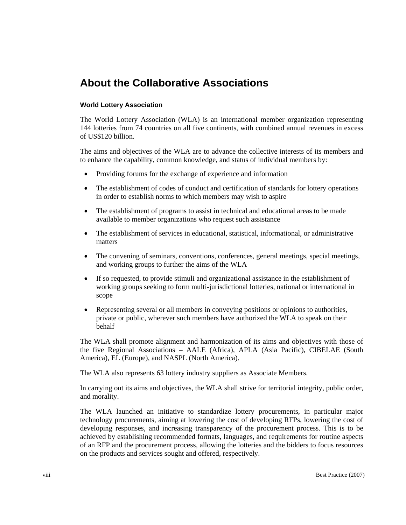# <span id="page-7-0"></span>**About the Collaborative Associations**

#### **World Lottery Association**

The World Lottery Association (WLA) is an international member organization representing 144 lotteries from 74 countries on all five continents, with combined annual revenues in excess of US\$120 billion.

The aims and objectives of the WLA are to advance the collective interests of its members and to enhance the capability, common knowledge, and status of individual members by:

- Providing forums for the exchange of experience and information
- The establishment of codes of conduct and certification of standards for lottery operations in order to establish norms to which members may wish to aspire
- The establishment of programs to assist in technical and educational areas to be made available to member organizations who request such assistance
- The establishment of services in educational, statistical, informational, or administrative matters
- The convening of seminars, conventions, conferences, general meetings, special meetings, and working groups to further the aims of the WLA
- If so requested, to provide stimuli and organizational assistance in the establishment of working groups seeking to form multi-jurisdictional lotteries, national or international in scope
- Representing several or all members in conveying positions or opinions to authorities, private or public, wherever such members have authorized the WLA to speak on their behalf

The WLA shall promote alignment and harmonization of its aims and objectives with those of the five Regional Associations – AALE (Africa), APLA (Asia Pacific), CIBELAE (South America), EL (Europe), and NASPL (North America).

The WLA also represents 63 lottery industry suppliers as Associate Members.

In carrying out its aims and objectives, the WLA shall strive for territorial integrity, public order, and morality.

The WLA launched an initiative to standardize lottery procurements, in particular major technology procurements, aiming at lowering the cost of developing RFPs, lowering the cost of developing responses, and increasing transparency of the procurement process. This is to be achieved by establishing recommended formats, languages, and requirements for routine aspects of an RFP and the procurement process, allowing the lotteries and the bidders to focus resources on the products and services sought and offered, respectively.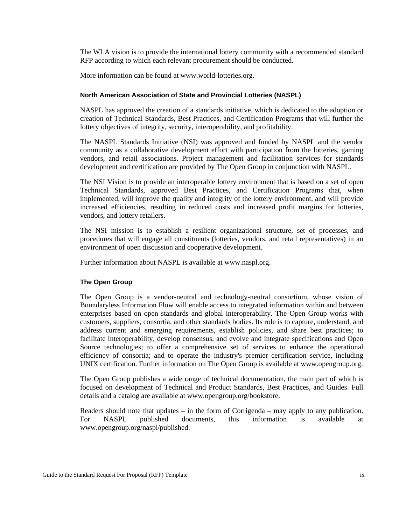The WLA vision is to provide the international lottery community with a recommended standard RFP according to which each relevant procurement should be conducted.

More information can be found at www.world-lotteries.org.

#### **North American Association of State and Provincial Lotteries (NASPL)**

NASPL has approved the creation of a standards initiative, which is dedicated to the adoption or creation of Technical Standards, Best Practices, and Certification Programs that will further the lottery objectives of integrity, security, interoperability, and profitability.

The NASPL Standards Initiative (NSI) was approved and funded by NASPL and the vendor community as a collaborative development effort with participation from the lotteries, gaming vendors, and retail associations. Project management and facilitation services for standards development and certification are provided by The Open Group in conjunction with NASPL.

The NSI Vision is to provide an interoperable lottery environment that is based on a set of open Technical Standards, approved Best Practices, and Certification Programs that, when implemented, will improve the quality and integrity of the lottery environment, and will provide increased efficiencies, resulting in reduced costs and increased profit margins for lotteries, vendors, and lottery retailers.

The NSI mission is to establish a resilient organizational structure, set of processes, and procedures that will engage all constituents (lotteries, vendors, and retail representatives) in an environment of open discussion and cooperative development.

Further information about NASPL is available at www.naspl.org.

#### **The Open Group**

The Open Group is a vendor-neutral and technology-neutral consortium, whose vision of Boundaryless Information Flow will enable access to integrated information within and between enterprises based on open standards and global interoperability. The Open Group works with customers, suppliers, consortia, and other standards bodies. Its role is to capture, understand, and address current and emerging requirements, establish policies, and share best practices; to facilitate interoperability, develop consensus, and evolve and integrate specifications and Open Source technologies; to offer a comprehensive set of services to enhance the operational efficiency of consortia; and to operate the industry's premier certification service, including UNIX certification. Further information on The Open Group is available at www.opengroup.org.

The Open Group publishes a wide range of technical documentation, the main part of which is focused on development of Technical and Product Standards, Best Practices, and Guides. Full details and a catalog are available at www.opengroup.org/bookstore.

Readers should note that updates – in the form of Corrigenda – may apply to any publication. For NASPL published documents, this information is available at www.opengroup.org/naspl/published.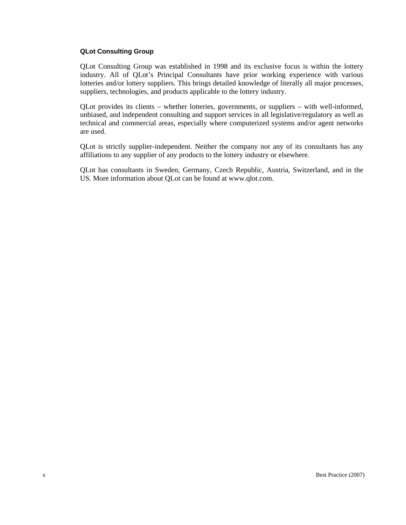#### **QLot Consulting Group**

QLot Consulting Group was established in 1998 and its exclusive focus is within the lottery industry. All of QLot's Principal Consultants have prior working experience with various lotteries and/or lottery suppliers. This brings detailed knowledge of literally all major processes, suppliers, technologies, and products applicable to the lottery industry.

QLot provides its clients – whether lotteries, governments, or suppliers – with well-informed, unbiased, and independent consulting and support services in all legislative/regulatory as well as technical and commercial areas, especially where computerized systems and/or agent networks are used.

QLot is strictly supplier-independent. Neither the company nor any of its consultants has any affiliations to any supplier of any products to the lottery industry or elsewhere.

QLot has consultants in Sweden, Germany, Czech Republic, Austria, Switzerland, and in the US. More information about QLot can be found at www.qlot.com.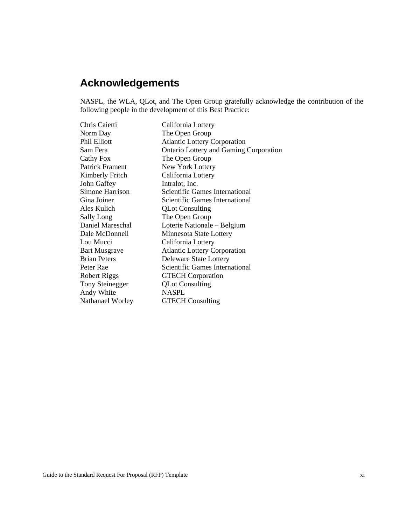# <span id="page-10-0"></span>**Acknowledgements**

NASPL, the WLA, QLot, and The Open Group gratefully acknowledge the contribution of the following people in the development of this Best Practice:

| Chris Caietti          | California Lottery                            |
|------------------------|-----------------------------------------------|
| Norm Day               | The Open Group                                |
| <b>Phil Elliott</b>    | <b>Atlantic Lottery Corporation</b>           |
| Sam Fera               | <b>Ontario Lottery and Gaming Corporation</b> |
| Cathy Fox              | The Open Group                                |
| <b>Patrick Frament</b> | New York Lottery                              |
| Kimberly Fritch        | California Lottery                            |
| John Gaffey            | Intralot, Inc.                                |
| Simone Harrison        | <b>Scientific Games International</b>         |
| Gina Joiner            | Scientific Games International                |
| Ales Kulich            | <b>QLot Consulting</b>                        |
| Sally Long             | The Open Group                                |
| Daniel Mareschal       | Loterie Nationale – Belgium                   |
| Dale McDonnell         | Minnesota State Lottery                       |
| Lou Mucci              | California Lottery                            |
| <b>Bart Musgrave</b>   | <b>Atlantic Lottery Corporation</b>           |
| <b>Brian Peters</b>    | Deleware State Lottery                        |
| Peter Rae              | <b>Scientific Games International</b>         |
| Robert Riggs           | <b>GTECH</b> Corporation                      |
| Tony Steinegger        | <b>QLot Consulting</b>                        |
| Andy White             | <b>NASPL</b>                                  |
| Nathanael Worley       | <b>GTECH</b> Consulting                       |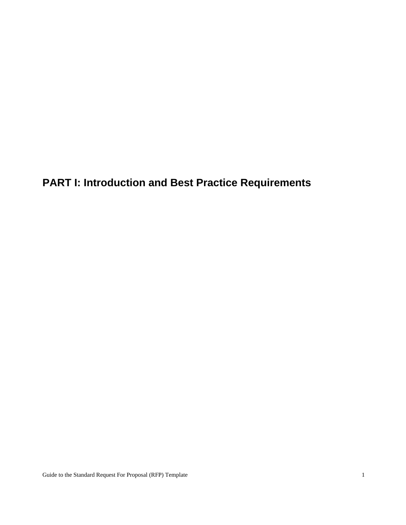<span id="page-12-0"></span>**PART I: Introduction and Best Practice Requirements**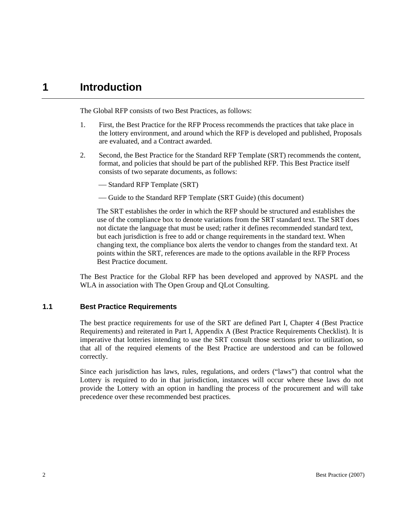### <span id="page-13-0"></span>**1 Introduction**

The Global RFP consists of two Best Practices, as follows:

- 1. First, the Best Practice for the RFP Process recommends the practices that take place in the lottery environment, and around which the RFP is developed and published, Proposals are evaluated, and a Contract awarded.
- 2. Second, the Best Practice for the Standard RFP Template (SRT) recommends the content, format, and policies that should be part of the published RFP. This Best Practice itself consists of two separate documents, as follows:
	- -Standard RFP Template (SRT)
	- Guide to the Standard RFP Template (SRT Guide) (this document)

The SRT establishes the order in which the RFP should be structured and establishes the use of the compliance box to denote variations from the SRT standard text. The SRT does not dictate the language that must be used; rather it defines recommended standard text, but each jurisdiction is free to add or change requirements in the standard text. When changing text, the compliance box alerts the vendor to changes from the standard text. At points within the SRT, references are made to the options available in the RFP Process Best Practice document.

The Best Practice for the Global RFP has been developed and approved by NASPL and the WLA in association with The Open Group and QLot Consulting.

#### **1.1 Best Practice Requirements**

The best practice requirements for use of the SRT are defined Part I, Chapter 4 (Best Practice Requirements) and reiterated in Part I, Appendix A (Best Practice Requirements Checklist). It is imperative that lotteries intending to use the SRT consult those sections prior to utilization, so that all of the required elements of the Best Practice are understood and can be followed correctly.

Since each jurisdiction has laws, rules, regulations, and orders ("laws") that control what the Lottery is required to do in that jurisdiction, instances will occur where these laws do not provide the Lottery with an option in handling the process of the procurement and will take precedence over these recommended best practices.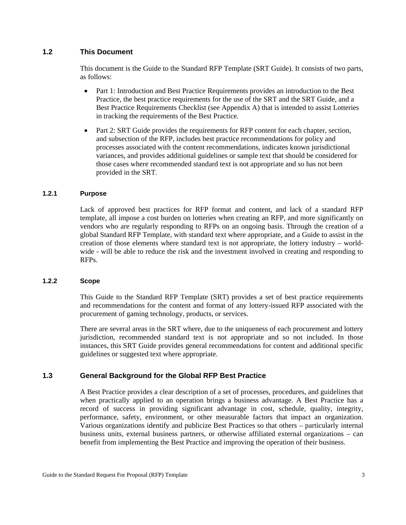#### <span id="page-14-0"></span>**1.2 This Document**

This document is the Guide to the Standard RFP Template (SRT Guide). It consists of two parts, as follows:

- Part 1: Introduction and Best Practice Requirements provides an introduction to the Best Practice, the best practice requirements for the use of the SRT and the SRT Guide, and a Best Practice Requirements Checklist (see Appendix A) that is intended to assist Lotteries in tracking the requirements of the Best Practice.
- Part 2: SRT Guide provides the requirements for RFP content for each chapter, section, and subsection of the RFP, includes best practice recommendations for policy and processes associated with the content recommendations, indicates known jurisdictional variances, and provides additional guidelines or sample text that should be considered for those cases where recommended standard text is not appropriate and so has not been provided in the SRT.

#### **1.2.1 Purpose**

Lack of approved best practices for RFP format and content, and lack of a standard RFP template, all impose a cost burden on lotteries when creating an RFP, and more significantly on vendors who are regularly responding to RFPs on an ongoing basis. Through the creation of a global Standard RFP Template, with standard text where appropriate, and a Guide to assist in the creation of those elements where standard text is not appropriate, the lottery industry – worldwide - will be able to reduce the risk and the investment involved in creating and responding to RFPs.

#### **1.2.2 Scope**

This Guide to the Standard RFP Template (SRT) provides a set of best practice requirements and recommendations for the content and format of any lottery-issued RFP associated with the procurement of gaming technology, products, or services.

There are several areas in the SRT where, due to the uniqueness of each procurement and lottery jurisdiction, recommended standard text is not appropriate and so not included. In those instances, this SRT Guide provides general recommendations for content and additional specific guidelines or suggested text where appropriate.

#### **1.3 General Background for the Global RFP Best Practice**

A Best Practice provides a clear description of a set of processes, procedures, and guidelines that when practically applied to an operation brings a business advantage. A Best Practice has a record of success in providing significant advantage in cost, schedule, quality, integrity, performance, safety, environment, or other measurable factors that impact an organization. Various organizations identify and publicize Best Practices so that others – particularly internal business units, external business partners, or otherwise affiliated external organizations – can benefit from implementing the Best Practice and improving the operation of their business.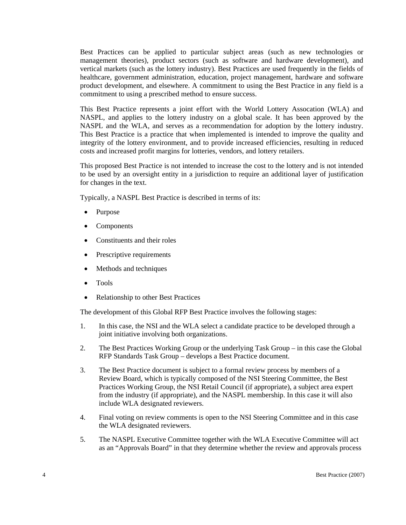Best Practices can be applied to particular subject areas (such as new technologies or management theories), product sectors (such as software and hardware development), and vertical markets (such as the lottery industry). Best Practices are used frequently in the fields of healthcare, government administration, education, project management, hardware and software product development, and elsewhere. A commitment to using the Best Practice in any field is a commitment to using a prescribed method to ensure success.

This Best Practice represents a joint effort with the World Lottery Assocation (WLA) and NASPL, and applies to the lottery industry on a global scale. It has been approved by the NASPL and the WLA, and serves as a recommendation for adoption by the lottery industry. This Best Practice is a practice that when implemented is intended to improve the quality and integrity of the lottery environment, and to provide increased efficiencies, resulting in reduced costs and increased profit margins for lotteries, vendors, and lottery retailers.

This proposed Best Practice is not intended to increase the cost to the lottery and is not intended to be used by an oversight entity in a jurisdiction to require an additional layer of justification for changes in the text.

Typically, a NASPL Best Practice is described in terms of its:

- Purpose
- **Components**
- Constituents and their roles
- Prescriptive requirements
- Methods and techniques
- Tools
- Relationship to other Best Practices

The development of this Global RFP Best Practice involves the following stages:

- 1. In this case, the NSI and the WLA select a candidate practice to be developed through a joint initiative involving both organizations.
- 2. The Best Practices Working Group or the underlying Task Group in this case the Global RFP Standards Task Group – develops a Best Practice document.
- 3. The Best Practice document is subject to a formal review process by members of a Review Board, which is typically composed of the NSI Steering Committee, the Best Practices Working Group, the NSI Retail Council (if appropriate), a subject area expert from the industry (if appropriate), and the NASPL membership. In this case it will also include WLA designated reviewers.
- 4. Final voting on review comments is open to the NSI Steering Committee and in this case the WLA designated reviewers.
- 5. The NASPL Executive Committee together with the WLA Executive Committee will act as an "Approvals Board" in that they determine whether the review and approvals process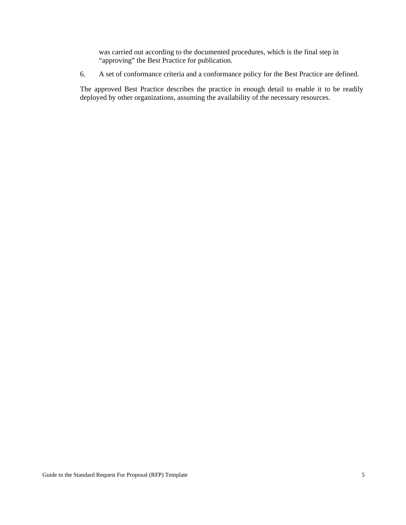was carried out according to the documented procedures, which is the final step in "approving" the Best Practice for publication.

6. A set of conformance criteria and a conformance policy for the Best Practice are defined.

The approved Best Practice describes the practice in enough detail to enable it to be readily deployed by other organizations, assuming the availability of the necessary resources.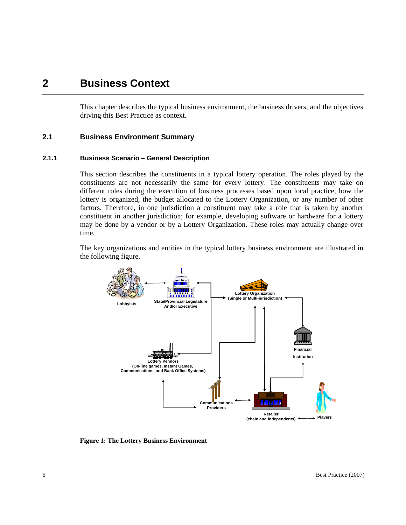### <span id="page-17-0"></span>**2 Business Context**

This chapter describes the typical business environment, the business drivers, and the objectives driving this Best Practice as context.

#### **2.1 Business Environment Summary**

#### **2.1.1 Business Scenario – General Description**

This section describes the constituents in a typical lottery operation. The roles played by the constituents are not necessarily the same for every lottery. The constituents may take on different roles during the execution of business processes based upon local practice, how the lottery is organized, the budget allocated to the Lottery Organization, or any number of other factors. Therefore, in one jurisdiction a constituent may take a role that is taken by another constituent in another jurisdiction; for example, developing software or hardware for a lottery may be done by a vendor or by a Lottery Organization. These roles may actually change over time.

The key organizations and entities in the typical lottery business environment are illustrated in the following figure.



**Figure 1: The Lottery Business Environment**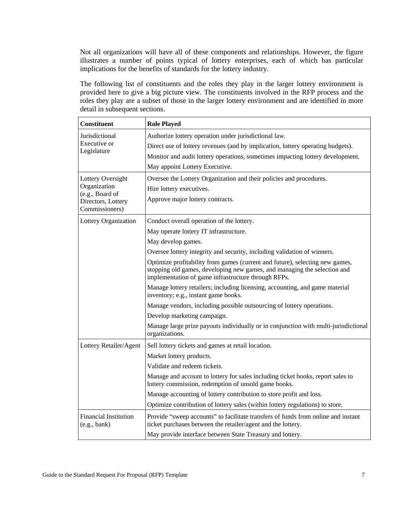Not all organizations will have all of these components and relationships. However, the figure illustrates a number of points typical of lottery enterprises, each of which has particular implications for the benefits of standards for the lottery industry.

The following list of constituents and the roles they play in the larger lottery environment is provided here to give a big picture view. The constituents involved in the RFP process and the roles they play are a subset of those in the larger lottery environment and are identified in more detail in subsequent sections.

| <b>Constituent</b>                           | <b>Role Played</b>                                                                                                                                                                                              |  |  |  |  |
|----------------------------------------------|-----------------------------------------------------------------------------------------------------------------------------------------------------------------------------------------------------------------|--|--|--|--|
| Jurisdictional                               | Authorize lottery operation under jurisdictional law.                                                                                                                                                           |  |  |  |  |
| Executive or                                 | Direct use of lottery revenues (and by implication, lottery operating budgets).                                                                                                                                 |  |  |  |  |
| Legislature                                  | Monitor and audit lottery operations, sometimes impacting lottery development.                                                                                                                                  |  |  |  |  |
|                                              | May appoint Lottery Executive.                                                                                                                                                                                  |  |  |  |  |
| Lottery Oversight                            | Oversee the Lottery Organization and their policies and procedures.                                                                                                                                             |  |  |  |  |
| Organization<br>(e.g., Board of              | Hire lottery executives.                                                                                                                                                                                        |  |  |  |  |
| Directors, Lottery<br>Commissioners)         | Approve major lottery contracts.                                                                                                                                                                                |  |  |  |  |
| Lottery Organization                         | Conduct overall operation of the lottery.                                                                                                                                                                       |  |  |  |  |
|                                              | May operate lottery IT infrastructure.                                                                                                                                                                          |  |  |  |  |
|                                              | May develop games.                                                                                                                                                                                              |  |  |  |  |
|                                              | Oversee lottery integrity and security, including validation of winners.                                                                                                                                        |  |  |  |  |
|                                              | Optimize profitability from games (current and future), selecting new games,<br>stopping old games, developing new games, and managing the selection and<br>implementation of game infrastructure through RFPs. |  |  |  |  |
|                                              | Manage lottery retailers; including licensing, accounting, and game material<br>inventory; e.g., instant game books.                                                                                            |  |  |  |  |
|                                              | Manage vendors, including possible outsourcing of lottery operations.                                                                                                                                           |  |  |  |  |
|                                              | Develop marketing campaign.                                                                                                                                                                                     |  |  |  |  |
|                                              | Manage large prize payouts individually or in conjunction with multi-jurisdictional<br>organizations.                                                                                                           |  |  |  |  |
| Lottery Retailer/Agent                       | Sell lottery tickets and games at retail location.                                                                                                                                                              |  |  |  |  |
|                                              | Market lottery products.                                                                                                                                                                                        |  |  |  |  |
|                                              | Validate and redeem tickets.                                                                                                                                                                                    |  |  |  |  |
|                                              | Manage and account to lottery for sales including ticket books, report sales to<br>lottery commission, redemption of unsold game books.                                                                         |  |  |  |  |
|                                              | Manage accounting of lottery contribution to store profit and loss.                                                                                                                                             |  |  |  |  |
|                                              | Optimize contribution of lottery sales (within lottery regulations) to store.                                                                                                                                   |  |  |  |  |
| <b>Financial Institution</b><br>(e.g., bank) | Provide "sweep accounts" to facilitate transfers of funds from online and instant<br>ticket purchases between the retailer/agent and the lottery.                                                               |  |  |  |  |
|                                              | May provide interface between State Treasury and lottery.                                                                                                                                                       |  |  |  |  |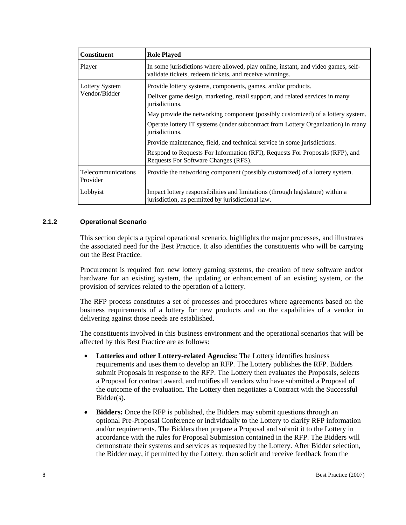<span id="page-19-0"></span>

| <b>Constituent</b>             | <b>Role Played</b>                                                                                                                           |
|--------------------------------|----------------------------------------------------------------------------------------------------------------------------------------------|
| Player                         | In some jurisdictions where allowed, play online, instant, and video games, self-<br>validate tickets, redeem tickets, and receive winnings. |
| <b>Lottery System</b>          | Provide lottery systems, components, games, and/or products.                                                                                 |
| Vendor/Bidder                  | Deliver game design, marketing, retail support, and related services in many<br>jurisdictions.                                               |
|                                | May provide the networking component (possibly customized) of a lottery system.                                                              |
|                                | Operate lottery IT systems (under subcontract from Lottery Organization) in many<br>jurisdictions.                                           |
|                                | Provide maintenance, field, and technical service in some jurisdictions.                                                                     |
|                                | Respond to Requests For Information (RFI), Requests For Proposals (RFP), and<br>Requests For Software Changes (RFS).                         |
| Telecommunications<br>Provider | Provide the networking component (possibly customized) of a lottery system.                                                                  |
| Lobbyist                       | Impact lottery responsibilities and limitations (through legislature) within a<br>jurisdiction, as permitted by jurisdictional law.          |

#### **2.1.2 Operational Scenario**

This section depicts a typical operational scenario, highlights the major processes, and illustrates the associated need for the Best Practice. It also identifies the constituents who will be carrying out the Best Practice.

Procurement is required for: new lottery gaming systems, the creation of new software and/or hardware for an existing system, the updating or enhancement of an existing system, or the provision of services related to the operation of a lottery.

The RFP process constitutes a set of processes and procedures where agreements based on the business requirements of a lottery for new products and on the capabilities of a vendor in delivering against those needs are established.

The constituents involved in this business environment and the operational scenarios that will be affected by this Best Practice are as follows:

- **Lotteries and other Lottery-related Agencies:** The Lottery identifies business requirements and uses them to develop an RFP. The Lottery publishes the RFP. Bidders submit Proposals in response to the RFP. The Lottery then evaluates the Proposals, selects a Proposal for contract award, and notifies all vendors who have submitted a Proposal of the outcome of the evaluation. The Lottery then negotiates a Contract with the Successful Bidder(s).
- **Bidders:** Once the RFP is published, the Bidders may submit questions through an optional Pre-Proposal Conference or individually to the Lottery to clarify RFP information and/or requirements. The Bidders then prepare a Proposal and submit it to the Lottery in accordance with the rules for Proposal Submission contained in the RFP. The Bidders will demonstrate their systems and services as requested by the Lottery. After Bidder selection, the Bidder may, if permitted by the Lottery, then solicit and receive feedback from the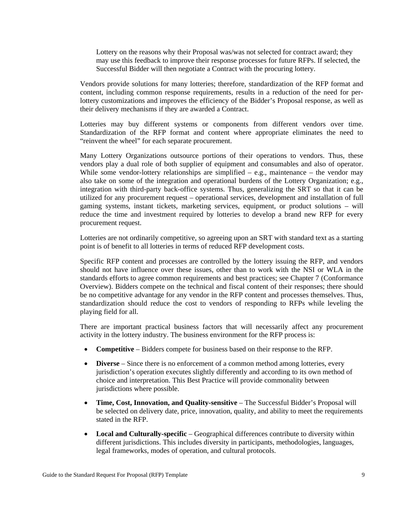Lottery on the reasons why their Proposal was/was not selected for contract award; they may use this feedback to improve their response processes for future RFPs. If selected, the Successful Bidder will then negotiate a Contract with the procuring lottery.

Vendors provide solutions for many lotteries; therefore, standardization of the RFP format and content, including common response requirements, results in a reduction of the need for perlottery customizations and improves the efficiency of the Bidder's Proposal response, as well as their delivery mechanisms if they are awarded a Contract.

Lotteries may buy different systems or components from different vendors over time. Standardization of the RFP format and content where appropriate eliminates the need to "reinvent the wheel" for each separate procurement.

Many Lottery Organizations outsource portions of their operations to vendors. Thus, these vendors play a dual role of both supplier of equipment and consumables and also of operator. While some vendor-lottery relationships are simplified – e.g., maintenance – the vendor may also take on some of the integration and operational burdens of the Lottery Organization; e.g., integration with third-party back-office systems. Thus, generalizing the SRT so that it can be utilized for any procurement request – operational services, development and installation of full gaming systems, instant tickets, marketing services, equipment, or product solutions – will reduce the time and investment required by lotteries to develop a brand new RFP for every procurement request.

Lotteries are not ordinarily competitive, so agreeing upon an SRT with standard text as a starting point is of benefit to all lotteries in terms of reduced RFP development costs.

Specific RFP content and processes are controlled by the lottery issuing the RFP, and vendors should not have influence over these issues, other than to work with the NSI or WLA in the standards efforts to agree common requirements and best practices; see Chapter 7 (Conformance Overview). Bidders compete on the technical and fiscal content of their responses; there should be no competitive advantage for any vendor in the RFP content and processes themselves. Thus, standardization should reduce the cost to vendors of responding to RFPs while leveling the playing field for all.

There are important practical business factors that will necessarily affect any procurement activity in the lottery industry. The business environment for the RFP process is:

- **Competitive** Bidders compete for business based on their response to the RFP.
- **Diverse** Since there is no enforcement of a common method among lotteries, every jurisdiction's operation executes slightly differently and according to its own method of choice and interpretation. This Best Practice will provide commonality between jurisdictions where possible.
- **Time, Cost, Innovation, and Quality-sensitive** The Successful Bidder's Proposal will be selected on delivery date, price, innovation, quality, and ability to meet the requirements stated in the RFP.
- **Local and Culturally-specific** Geographical differences contribute to diversity within different jurisdictions. This includes diversity in participants, methodologies, languages, legal frameworks, modes of operation, and cultural protocols.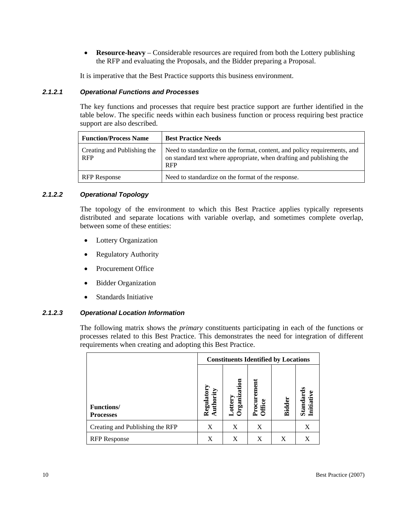• **Resource-heavy** – Considerable resources are required from both the Lottery publishing the RFP and evaluating the Proposals, and the Bidder preparing a Proposal.

It is imperative that the Best Practice supports this business environment.

#### *2.1.2.1 Operational Functions and Processes*

The key functions and processes that require best practice support are further identified in the table below. The specific needs within each business function or process requiring best practice support are also described.

| <b>Function/Process Name</b>              | <b>Best Practice Needs</b>                                                                                                                                     |
|-------------------------------------------|----------------------------------------------------------------------------------------------------------------------------------------------------------------|
| Creating and Publishing the<br><b>RFP</b> | Need to standardize on the format, content, and policy requirements, and<br>on standard text where appropriate, when drafting and publishing the<br><b>RFP</b> |
| <b>RFP</b> Response                       | Need to standardize on the format of the response.                                                                                                             |

#### *2.1.2.2 Operational Topology*

The topology of the environment to which this Best Practice applies typically represents distributed and separate locations with variable overlap, and sometimes complete overlap, between some of these entities:

- Lottery Organization
- Regulatory Authority
- Procurement Office
- Bidder Organization
- Standards Initiative

#### *2.1.2.3 Operational Location Information*

The following matrix shows the *primary* constituents participating in each of the functions or processes related to this Best Practice. This demonstrates the need for integration of different requirements when creating and adopting this Best Practice.

| <b>Constituents Identified by Locations</b> |                        |                          |                      |               |                                     |
|---------------------------------------------|------------------------|--------------------------|----------------------|---------------|-------------------------------------|
| <b>Functions/</b><br><b>Processes</b>       | Regulator<br>Authority | ation<br>rgani<br>otter; | Procuremen<br>Office | <b>Bidder</b> | <b>Initiative</b><br><b>Standar</b> |
| Creating and Publishing the RFP             | X                      | X                        | X                    |               | Χ                                   |
| <b>RFP</b> Response                         | X                      | X                        | X                    | X             | X                                   |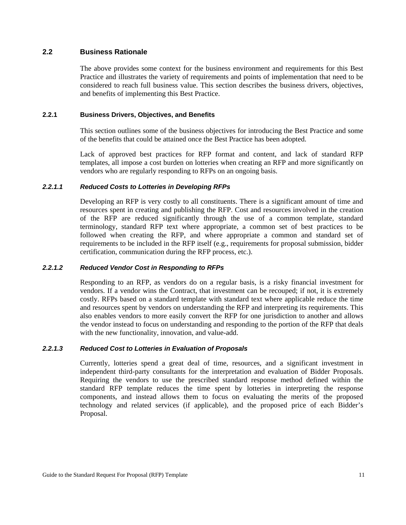#### <span id="page-22-0"></span>**2.2 Business Rationale**

The above provides some context for the business environment and requirements for this Best Practice and illustrates the variety of requirements and points of implementation that need to be considered to reach full business value. This section describes the business drivers, objectives, and benefits of implementing this Best Practice.

#### **2.2.1 Business Drivers, Objectives, and Benefits**

This section outlines some of the business objectives for introducing the Best Practice and some of the benefits that could be attained once the Best Practice has been adopted.

Lack of approved best practices for RFP format and content, and lack of standard RFP templates, all impose a cost burden on lotteries when creating an RFP and more significantly on vendors who are regularly responding to RFPs on an ongoing basis.

#### *2.2.1.1 Reduced Costs to Lotteries in Developing RFPs*

Developing an RFP is very costly to all constituents. There is a significant amount of time and resources spent in creating and publishing the RFP. Cost and resources involved in the creation of the RFP are reduced significantly through the use of a common template, standard terminology, standard RFP text where appropriate, a common set of best practices to be followed when creating the RFP, and where appropriate a common and standard set of requirements to be included in the RFP itself (e.g., requirements for proposal submission, bidder certification, communication during the RFP process, etc.).

#### *2.2.1.2 Reduced Vendor Cost in Responding to RFPs*

Responding to an RFP, as vendors do on a regular basis, is a risky financial investment for vendors. If a vendor wins the Contract, that investment can be recouped; if not, it is extremely costly. RFPs based on a standard template with standard text where applicable reduce the time and resources spent by vendors on understanding the RFP and interpreting its requirements. This also enables vendors to more easily convert the RFP for one jurisdiction to another and allows the vendor instead to focus on understanding and responding to the portion of the RFP that deals with the new functionality, innovation, and value-add.

#### *2.2.1.3 Reduced Cost to Lotteries in Evaluation of Proposals*

Currently, lotteries spend a great deal of time, resources, and a significant investment in independent third-party consultants for the interpretation and evaluation of Bidder Proposals. Requiring the vendors to use the prescribed standard response method defined within the standard RFP template reduces the time spent by lotteries in interpreting the response components, and instead allows them to focus on evaluating the merits of the proposed technology and related services (if applicable), and the proposed price of each Bidder's Proposal.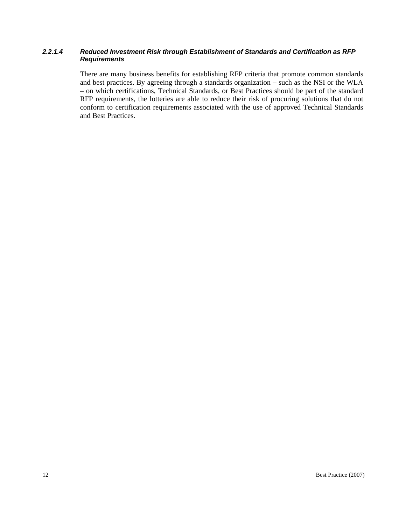#### *2.2.1.4 Reduced Investment Risk through Establishment of Standards and Certification as RFP Requirements*

There are many business benefits for establishing RFP criteria that promote common standards and best practices. By agreeing through a standards organization – such as the NSI or the WLA – on which certifications, Technical Standards, or Best Practices should be part of the standard RFP requirements, the lotteries are able to reduce their risk of procuring solutions that do not conform to certification requirements associated with the use of approved Technical Standards and Best Practices.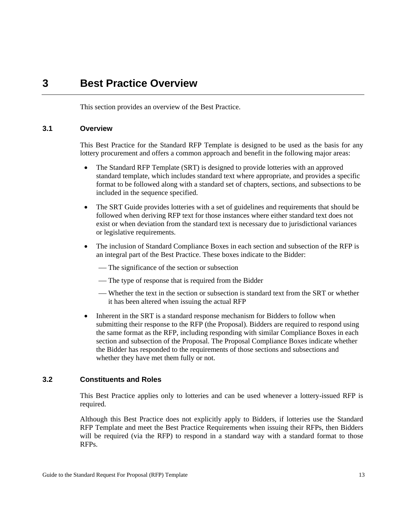### <span id="page-24-0"></span>**3 Best Practice Overview**

This section provides an overview of the Best Practice.

#### **3.1 Overview**

This Best Practice for the Standard RFP Template is designed to be used as the basis for any lottery procurement and offers a common approach and benefit in the following major areas:

- The Standard RFP Template (SRT) is designed to provide lotteries with an approved standard template, which includes standard text where appropriate, and provides a specific format to be followed along with a standard set of chapters, sections, and subsections to be included in the sequence specified.
- The SRT Guide provides lotteries with a set of guidelines and requirements that should be followed when deriving RFP text for those instances where either standard text does not exist or when deviation from the standard text is necessary due to jurisdictional variances or legislative requirements.
- The inclusion of Standard Compliance Boxes in each section and subsection of the RFP is an integral part of the Best Practice. These boxes indicate to the Bidder:
	- The significance of the section or subsection
	- The type of response that is required from the Bidder
	- Whether the text in the section or subsection is standard text from the SRT or whether it has been altered when issuing the actual RFP
- Inherent in the SRT is a standard response mechanism for Bidders to follow when submitting their response to the RFP (the Proposal). Bidders are required to respond using the same format as the RFP, including responding with similar Compliance Boxes in each section and subsection of the Proposal. The Proposal Compliance Boxes indicate whether the Bidder has responded to the requirements of those sections and subsections and whether they have met them fully or not.

#### **3.2 Constituents and Roles**

This Best Practice applies only to lotteries and can be used whenever a lottery-issued RFP is required.

Although this Best Practice does not explicitly apply to Bidders, if lotteries use the Standard RFP Template and meet the Best Practice Requirements when issuing their RFPs, then Bidders will be required (via the RFP) to respond in a standard way with a standard format to those RFPs.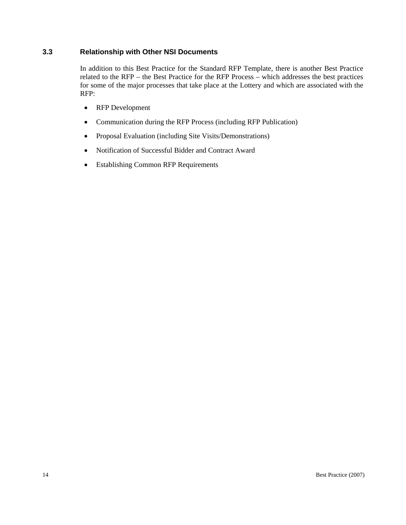#### <span id="page-25-0"></span>**3.3 Relationship with Other NSI Documents**

In addition to this Best Practice for the Standard RFP Template, there is another Best Practice related to the RFP – the Best Practice for the RFP Process – which addresses the best practices for some of the major processes that take place at the Lottery and which are associated with the RFP:

- RFP Development
- Communication during the RFP Process (including RFP Publication)
- Proposal Evaluation (including Site Visits/Demonstrations)
- Notification of Successful Bidder and Contract Award
- Establishing Common RFP Requirements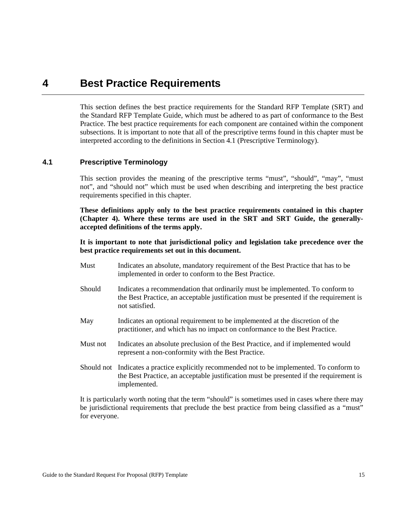### <span id="page-26-0"></span>**4 Best Practice Requirements**

This section defines the best practice requirements for the Standard RFP Template (SRT) and the Standard RFP Template Guide, which must be adhered to as part of conformance to the Best Practice. The best practice requirements for each component are contained within the component subsections. It is important to note that all of the prescriptive terms found in this chapter must be interpreted according to the definitions in Section 4.1 (Prescriptive Terminology).

#### **4.1 Prescriptive Terminology**

This section provides the meaning of the prescriptive terms "must", "should", "may", "must not", and "should not" which must be used when describing and interpreting the best practice requirements specified in this chapter.

**These definitions apply only to the best practice requirements contained in this chapter (Chapter 4). Where these terms are used in the SRT and SRT Guide, the generallyaccepted definitions of the terms apply.** 

**It is important to note that jurisdictional policy and legislation take precedence over the best practice requirements set out in this document.**

- Must Indicates an absolute, mandatory requirement of the Best Practice that has to be implemented in order to conform to the Best Practice.
- Should Indicates a recommendation that ordinarily must be implemented. To conform to the Best Practice, an acceptable justification must be presented if the requirement is not satisfied.
- May Indicates an optional requirement to be implemented at the discretion of the practitioner, and which has no impact on conformance to the Best Practice.
- Must not Indicates an absolute preclusion of the Best Practice, and if implemented would represent a non-conformity with the Best Practice.
- Should not Indicates a practice explicitly recommended not to be implemented. To conform to the Best Practice, an acceptable justification must be presented if the requirement is implemented.

It is particularly worth noting that the term "should" is sometimes used in cases where there may be jurisdictional requirements that preclude the best practice from being classified as a "must" for everyone.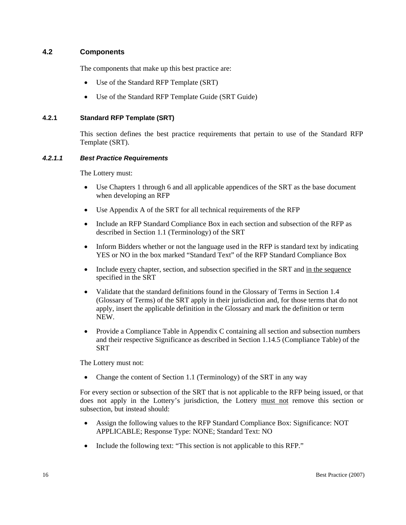#### <span id="page-27-0"></span>**4.2 Components**

The components that make up this best practice are:

- Use of the Standard RFP Template (SRT)
- Use of the Standard RFP Template Guide (SRT Guide)

#### **4.2.1 Standard RFP Template (SRT)**

This section defines the best practice requirements that pertain to use of the Standard RFP Template (SRT).

#### *4.2.1.1 Best Practice Requirements*

The Lottery must:

- Use Chapters 1 through 6 and all applicable appendices of the SRT as the base document when developing an RFP
- Use Appendix A of the SRT for all technical requirements of the RFP
- Include an RFP Standard Compliance Box in each section and subsection of the RFP as described in Section 1.1 (Terminology) of the SRT
- Inform Bidders whether or not the language used in the RFP is standard text by indicating YES or NO in the box marked "Standard Text" of the RFP Standard Compliance Box
- Include every chapter, section, and subsection specified in the SRT and in the sequence specified in the SRT
- Validate that the standard definitions found in the Glossary of Terms in Section 1.4 (Glossary of Terms) of the SRT apply in their jurisdiction and, for those terms that do not apply, insert the applicable definition in the Glossary and mark the definition or term NEW.
- Provide a Compliance Table in Appendix C containing all section and subsection numbers and their respective Significance as described in Section 1.14.5 (Compliance Table) of the **SRT**

The Lottery must not:

• Change the content of Section 1.1 (Terminology) of the SRT in any way

For every section or subsection of the SRT that is not applicable to the RFP being issued, or that does not apply in the Lottery's jurisdiction, the Lottery must not remove this section or subsection, but instead should:

- Assign the following values to the RFP Standard Compliance Box: Significance: NOT APPLICABLE; Response Type: NONE; Standard Text: NO
- Include the following text: "This section is not applicable to this RFP."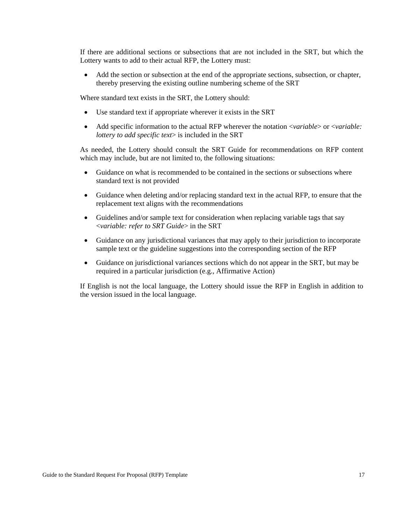If there are additional sections or subsections that are not included in the SRT, but which the Lottery wants to add to their actual RFP, the Lottery must:

• Add the section or subsection at the end of the appropriate sections, subsection, or chapter, thereby preserving the existing outline numbering scheme of the SRT

Where standard text exists in the SRT, the Lottery should:

- Use standard text if appropriate wherever it exists in the SRT
- Add specific information to the actual RFP wherever the notation <*variable*> or <*variable: lottery to add specific text*> is included in the SRT

As needed, the Lottery should consult the SRT Guide for recommendations on RFP content which may include, but are not limited to, the following situations:

- Guidance on what is recommended to be contained in the sections or subsections where standard text is not provided
- Guidance when deleting and/or replacing standard text in the actual RFP, to ensure that the replacement text aligns with the recommendations
- Guidelines and/or sample text for consideration when replacing variable tags that say <*variable: refer to SRT Guide*> in the SRT
- Guidance on any jurisdictional variances that may apply to their jurisdiction to incorporate sample text or the guideline suggestions into the corresponding section of the RFP
- Guidance on jurisdictional variances sections which do not appear in the SRT, but may be required in a particular jurisdiction (e.g., Affirmative Action)

If English is not the local language, the Lottery should issue the RFP in English in addition to the version issued in the local language.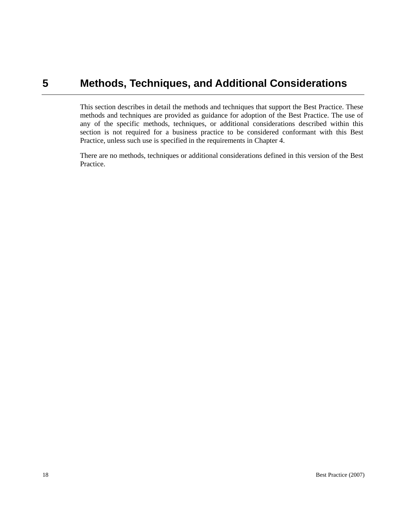## <span id="page-29-0"></span>**5 Methods, Techniques, and Additional Considerations**

This section describes in detail the methods and techniques that support the Best Practice. These methods and techniques are provided as guidance for adoption of the Best Practice. The use of any of the specific methods, techniques, or additional considerations described within this section is not required for a business practice to be considered conformant with this Best Practice, unless such use is specified in the requirements in Chapter 4.

There are no methods, techniques or additional considerations defined in this version of the Best Practice.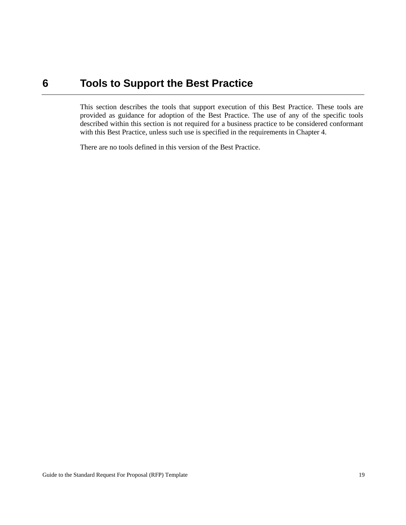### <span id="page-30-0"></span>**6 Tools to Support the Best Practice**

This section describes the tools that support execution of this Best Practice. These tools are provided as guidance for adoption of the Best Practice. The use of any of the specific tools described within this section is not required for a business practice to be considered conformant with this Best Practice, unless such use is specified in the requirements in Chapter 4.

There are no tools defined in this version of the Best Practice.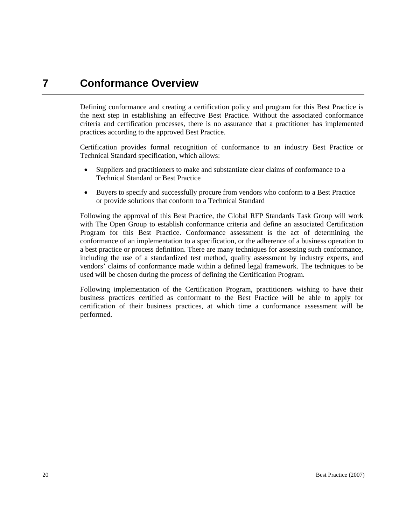## <span id="page-31-0"></span>**7 Conformance Overview**

Defining conformance and creating a certification policy and program for this Best Practice is the next step in establishing an effective Best Practice. Without the associated conformance criteria and certification processes, there is no assurance that a practitioner has implemented practices according to the approved Best Practice.

Certification provides formal recognition of conformance to an industry Best Practice or Technical Standard specification, which allows:

- Suppliers and practitioners to make and substantiate clear claims of conformance to a Technical Standard or Best Practice
- Buyers to specify and successfully procure from vendors who conform to a Best Practice or provide solutions that conform to a Technical Standard

Following the approval of this Best Practice, the Global RFP Standards Task Group will work with The Open Group to establish conformance criteria and define an associated Certification Program for this Best Practice. Conformance assessment is the act of determining the conformance of an implementation to a specification, or the adherence of a business operation to a best practice or process definition. There are many techniques for assessing such conformance, including the use of a standardized test method, quality assessment by industry experts, and vendors' claims of conformance made within a defined legal framework. The techniques to be used will be chosen during the process of defining the Certification Program.

Following implementation of the Certification Program, practitioners wishing to have their business practices certified as conformant to the Best Practice will be able to apply for certification of their business practices, at which time a conformance assessment will be performed.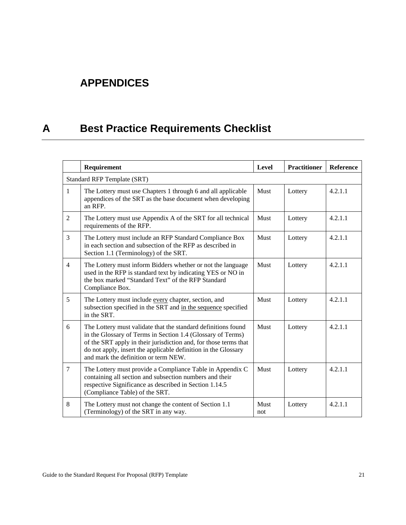# <span id="page-32-0"></span>**APPENDICES**

# **A Best Practice Requirements Checklist**

|                | Requirement                                                                                                                                                                                                                                                                                                | Level       | <b>Practitioner</b> | Reference |  |  |
|----------------|------------------------------------------------------------------------------------------------------------------------------------------------------------------------------------------------------------------------------------------------------------------------------------------------------------|-------------|---------------------|-----------|--|--|
|                | <b>Standard RFP Template (SRT)</b>                                                                                                                                                                                                                                                                         |             |                     |           |  |  |
| $\mathbf{1}$   | The Lottery must use Chapters 1 through 6 and all applicable<br>appendices of the SRT as the base document when developing<br>an RFP.                                                                                                                                                                      | Must        | Lottery             | 4.2.1.1   |  |  |
| $\overline{2}$ | The Lottery must use Appendix A of the SRT for all technical<br>requirements of the RFP.                                                                                                                                                                                                                   | Must        | Lottery             | 4.2.1.1   |  |  |
| 3              | The Lottery must include an RFP Standard Compliance Box<br>in each section and subsection of the RFP as described in<br>Section 1.1 (Terminology) of the SRT.                                                                                                                                              | Must        | Lottery             | 4.2.1.1   |  |  |
| $\overline{4}$ | The Lottery must inform Bidders whether or not the language<br>used in the RFP is standard text by indicating YES or NO in<br>the box marked "Standard Text" of the RFP Standard<br>Compliance Box.                                                                                                        | Must        | Lottery             | 4.2.1.1   |  |  |
| 5              | The Lottery must include every chapter, section, and<br>subsection specified in the SRT and in the sequence specified<br>in the SRT.                                                                                                                                                                       | Must        | Lottery             | 4.2.1.1   |  |  |
| 6              | The Lottery must validate that the standard definitions found<br>in the Glossary of Terms in Section 1.4 (Glossary of Terms)<br>of the SRT apply in their jurisdiction and, for those terms that<br>do not apply, insert the applicable definition in the Glossary<br>and mark the definition or term NEW. | Must        | Lottery             | 4.2.1.1   |  |  |
| $\tau$         | The Lottery must provide a Compliance Table in Appendix C<br>containing all section and subsection numbers and their<br>respective Significance as described in Section 1.14.5<br>(Compliance Table) of the SRT.                                                                                           | Must        | Lottery             | 4.2.1.1   |  |  |
| 8              | The Lottery must not change the content of Section 1.1<br>(Terminology) of the SRT in any way.                                                                                                                                                                                                             | Must<br>not | Lottery             | 4.2.1.1   |  |  |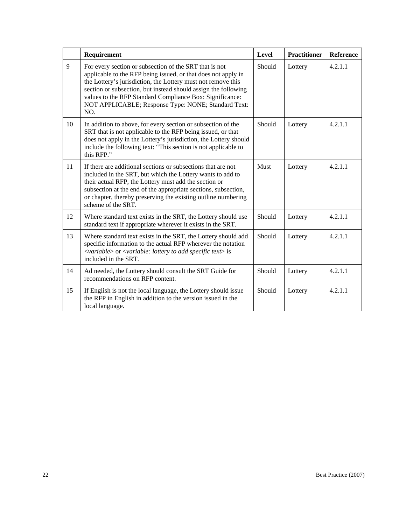|    | Requirement                                                                                                                                                                                                                                                                                                                                                                         | Level  | <b>Practitioner</b> | <b>Reference</b> |
|----|-------------------------------------------------------------------------------------------------------------------------------------------------------------------------------------------------------------------------------------------------------------------------------------------------------------------------------------------------------------------------------------|--------|---------------------|------------------|
| 9  | For every section or subsection of the SRT that is not<br>applicable to the RFP being issued, or that does not apply in<br>the Lottery's jurisdiction, the Lottery must not remove this<br>section or subsection, but instead should assign the following<br>values to the RFP Standard Compliance Box: Significance:<br>NOT APPLICABLE; Response Type: NONE; Standard Text:<br>NO. | Should | Lottery             | 4.2.1.1          |
| 10 | In addition to above, for every section or subsection of the<br>SRT that is not applicable to the RFP being issued, or that<br>does not apply in the Lottery's jurisdiction, the Lottery should<br>include the following text: "This section is not applicable to<br>this RFP."                                                                                                     | Should | Lottery             | 4.2.1.1          |
| 11 | If there are additional sections or subsections that are not<br>included in the SRT, but which the Lottery wants to add to<br>their actual RFP, the Lottery must add the section or<br>subsection at the end of the appropriate sections, subsection,<br>or chapter, thereby preserving the existing outline numbering<br>scheme of the SRT.                                        | Must   | Lottery             | 4.2.1.1          |
| 12 | Where standard text exists in the SRT, the Lottery should use<br>standard text if appropriate wherever it exists in the SRT.                                                                                                                                                                                                                                                        | Should | Lottery             | 4.2.1.1          |
| 13 | Where standard text exists in the SRT, the Lottery should add<br>specific information to the actual RFP wherever the notation<br><variable> or <variable: add="" lottery="" specific="" text="" to=""> is<br/>included in the SRT.</variable:></variable>                                                                                                                           | Should | Lottery             | 4.2.1.1          |
| 14 | Ad needed, the Lottery should consult the SRT Guide for<br>recommendations on RFP content.                                                                                                                                                                                                                                                                                          | Should | Lottery             | 4.2.1.1          |
| 15 | If English is not the local language, the Lottery should issue<br>the RFP in English in addition to the version issued in the<br>local language.                                                                                                                                                                                                                                    | Should | Lottery             | 4.2.1.1          |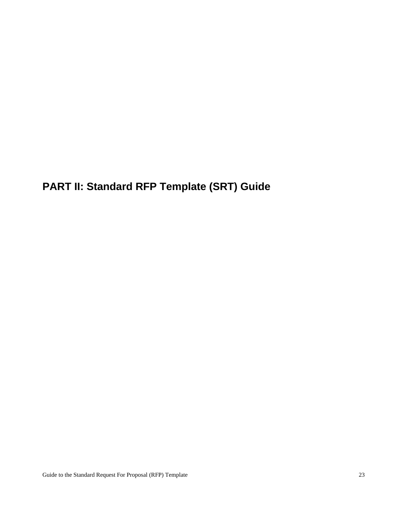<span id="page-34-0"></span>**PART II: Standard RFP Template (SRT) Guide**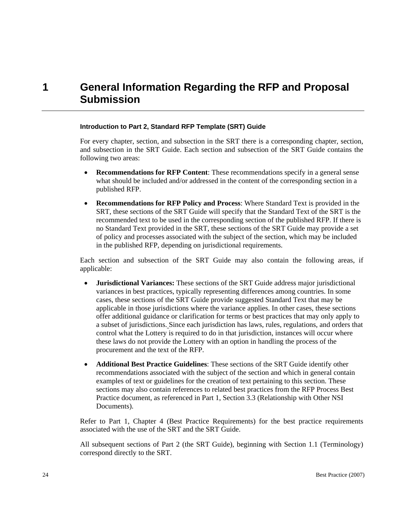# <span id="page-35-0"></span>**1 General Information Regarding the RFP and Proposal Submission**

#### **Introduction to Part 2, Standard RFP Template (SRT) Guide**

For every chapter, section, and subsection in the SRT there is a corresponding chapter, section, and subsection in the SRT Guide. Each section and subsection of the SRT Guide contains the following two areas:

- **Recommendations for RFP Content**: These recommendations specify in a general sense what should be included and/or addressed in the content of the corresponding section in a published RFP.
- **Recommendations for RFP Policy and Process**: Where Standard Text is provided in the SRT, these sections of the SRT Guide will specify that the Standard Text of the SRT is the recommended text to be used in the corresponding section of the published RFP. If there is no Standard Text provided in the SRT, these sections of the SRT Guide may provide a set of policy and processes associated with the subject of the section, which may be included in the published RFP, depending on jurisdictional requirements.

Each section and subsection of the SRT Guide may also contain the following areas, if applicable:

- **Jurisdictional Variances:** These sections of the SRT Guide address major jurisdictional variances in best practices, typically representing differences among countries. In some cases, these sections of the SRT Guide provide suggested Standard Text that may be applicable in those jurisdictions where the variance applies. In other cases, these sections offer additional guidance or clarification for terms or best practices that may only apply to a subset of jurisdictions. Since each jurisdiction has laws, rules, regulations, and orders that control what the Lottery is required to do in that jurisdiction, instances will occur where these laws do not provide the Lottery with an option in handling the process of the procurement and the text of the RFP.
- **Additional Best Practice Guidelines**: These sections of the SRT Guide identify other recommendations associated with the subject of the section and which in general contain examples of text or guidelines for the creation of text pertaining to this section. These sections may also contain references to related best practices from the RFP Process Best Practice document, as referenced in Part 1, Section 3.3 (Relationship with Other NSI Documents).

Refer to Part 1, Chapter 4 (Best Practice Requirements) for the best practice requirements associated with the use of the SRT and the SRT Guide.

All subsequent sections of Part 2 (the SRT Guide), beginning with Section 1.1 (Terminology) correspond directly to the SRT.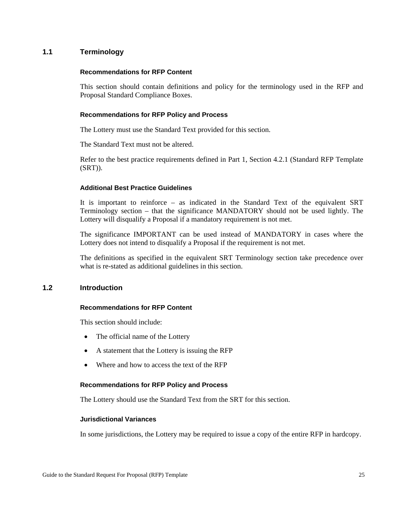# **1.1 Terminology**

### **Recommendations for RFP Content**

This section should contain definitions and policy for the terminology used in the RFP and Proposal Standard Compliance Boxes.

### **Recommendations for RFP Policy and Process**

The Lottery must use the Standard Text provided for this section.

The Standard Text must not be altered.

Refer to the best practice requirements defined in Part 1, Section 4.2.1 (Standard RFP Template (SRT)).

### **Additional Best Practice Guidelines**

It is important to reinforce – as indicated in the Standard Text of the equivalent SRT Terminology section – that the significance MANDATORY should not be used lightly. The Lottery will disqualify a Proposal if a mandatory requirement is not met.

The significance IMPORTANT can be used instead of MANDATORY in cases where the Lottery does not intend to disqualify a Proposal if the requirement is not met.

The definitions as specified in the equivalent SRT Terminology section take precedence over what is re-stated as additional guidelines in this section.

# **1.2 Introduction**

### **Recommendations for RFP Content**

This section should include:

- The official name of the Lottery
- A statement that the Lottery is issuing the RFP
- Where and how to access the text of the RFP

# **Recommendations for RFP Policy and Process**

The Lottery should use the Standard Text from the SRT for this section.

### **Jurisdictional Variances**

In some jurisdictions, the Lottery may be required to issue a copy of the entire RFP in hardcopy.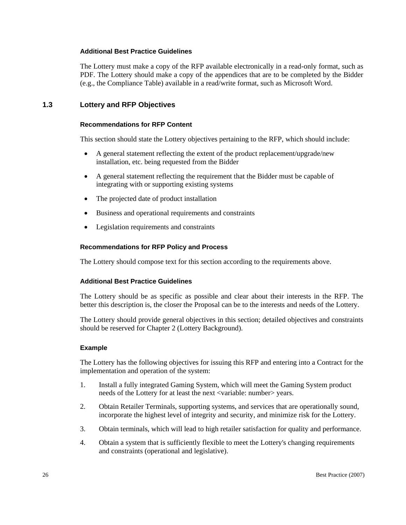### **Additional Best Practice Guidelines**

The Lottery must make a copy of the RFP available electronically in a read-only format, such as PDF. The Lottery should make a copy of the appendices that are to be completed by the Bidder (e.g., the Compliance Table) available in a read/write format, such as Microsoft Word.

# **1.3 Lottery and RFP Objectives**

### **Recommendations for RFP Content**

This section should state the Lottery objectives pertaining to the RFP, which should include:

- A general statement reflecting the extent of the product replacement/upgrade/new installation, etc. being requested from the Bidder
- A general statement reflecting the requirement that the Bidder must be capable of integrating with or supporting existing systems
- The projected date of product installation
- Business and operational requirements and constraints
- Legislation requirements and constraints

### **Recommendations for RFP Policy and Process**

The Lottery should compose text for this section according to the requirements above.

### **Additional Best Practice Guidelines**

The Lottery should be as specific as possible and clear about their interests in the RFP. The better this description is, the closer the Proposal can be to the interests and needs of the Lottery.

The Lottery should provide general objectives in this section; detailed objectives and constraints should be reserved for Chapter 2 (Lottery Background).

### **Example**

The Lottery has the following objectives for issuing this RFP and entering into a Contract for the implementation and operation of the system:

- 1. Install a fully integrated Gaming System, which will meet the Gaming System product needs of the Lottery for at least the next <variable: number> years.
- 2. Obtain Retailer Terminals, supporting systems, and services that are operationally sound, incorporate the highest level of integrity and security, and minimize risk for the Lottery.
- 3. Obtain terminals, which will lead to high retailer satisfaction for quality and performance.
- 4. Obtain a system that is sufficiently flexible to meet the Lottery's changing requirements and constraints (operational and legislative).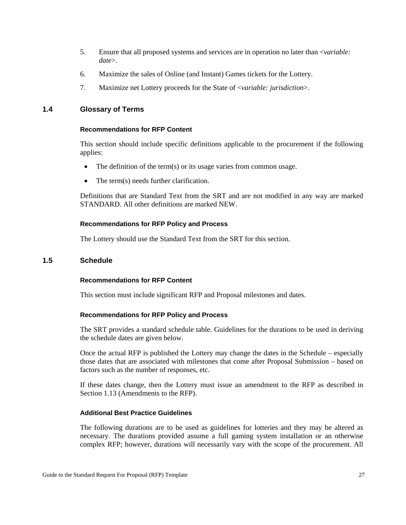- 5. Ensure that all proposed systems and services are in operation no later than <*variable: date*>.
- 6. Maximize the sales of Online (and Instant) Games tickets for the Lottery.
- 7. Maximize net Lottery proceeds for the State of <*variable: jurisdiction*>.

### **1.4 Glossary of Terms**

#### **Recommendations for RFP Content**

This section should include specific definitions applicable to the procurement if the following applies:

- The definition of the term(s) or its usage varies from common usage.
- The term(s) needs further clarification.

Definitions that are Standard Text from the SRT and are not modified in any way are marked STANDARD. All other definitions are marked NEW.

### **Recommendations for RFP Policy and Process**

The Lottery should use the Standard Text from the SRT for this section.

# **1.5 Schedule**

### **Recommendations for RFP Content**

This section must include significant RFP and Proposal milestones and dates.

### **Recommendations for RFP Policy and Process**

The SRT provides a standard schedule table. Guidelines for the durations to be used in deriving the schedule dates are given below.

Once the actual RFP is published the Lottery may change the dates in the Schedule – especially those dates that are associated with milestones that come after Proposal Submission – based on factors such as the number of responses, etc.

If these dates change, then the Lottery must issue an amendment to the RFP as described in Section 1.13 (Amendments to the RFP).

### **Additional Best Practice Guidelines**

The following durations are to be used as guidelines for lotteries and they may be altered as necessary. The durations provided assume a full gaming system installation or an otherwise complex RFP; however, durations will necessarily vary with the scope of the procurement. All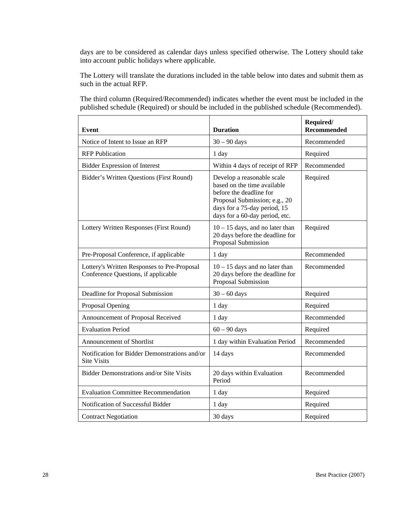days are to be considered as calendar days unless specified otherwise. The Lottery should take into account public holidays where applicable.

The Lottery will translate the durations included in the table below into dates and submit them as such in the actual RFP.

The third column (Required/Recommended) indicates whether the event must be included in the published schedule (Required) or should be included in the published schedule (Recommended).

| Event                                                                              | <b>Duration</b>                                                                                                                                                                         | Required/<br><b>Recommended</b> |
|------------------------------------------------------------------------------------|-----------------------------------------------------------------------------------------------------------------------------------------------------------------------------------------|---------------------------------|
| Notice of Intent to Issue an RFP                                                   | $30 - 90$ days                                                                                                                                                                          | Recommended                     |
| <b>RFP</b> Publication                                                             | 1 day                                                                                                                                                                                   | Required                        |
| <b>Bidder Expression of Interest</b>                                               | Within 4 days of receipt of RFP                                                                                                                                                         | Recommended                     |
| Bidder's Written Questions (First Round)                                           | Develop a reasonable scale<br>based on the time available<br>before the deadline for<br>Proposal Submission; e.g., 20<br>days for a 75-day period, 15<br>days for a 60-day period, etc. | Required                        |
| Lottery Written Responses (First Round)                                            | $10 - 15$ days, and no later than<br>20 days before the deadline for<br>Proposal Submission                                                                                             | Required                        |
| Pre-Proposal Conference, if applicable                                             | 1 day                                                                                                                                                                                   | Recommended                     |
| Lottery's Written Responses to Pre-Proposal<br>Conference Questions, if applicable | $10 - 15$ days and no later than<br>20 days before the deadline for<br>Proposal Submission                                                                                              | Recommended                     |
| Deadline for Proposal Submission                                                   | $30 - 60$ days                                                                                                                                                                          | Required                        |
| Proposal Opening                                                                   | 1 day                                                                                                                                                                                   | Required                        |
| Announcement of Proposal Received                                                  | 1 day                                                                                                                                                                                   | Recommended                     |
| <b>Evaluation Period</b>                                                           | $60 - 90$ days                                                                                                                                                                          | Required                        |
| <b>Announcement of Shortlist</b>                                                   | 1 day within Evaluation Period                                                                                                                                                          | Recommended                     |
| Notification for Bidder Demonstrations and/or<br><b>Site Visits</b>                | 14 days                                                                                                                                                                                 | Recommended                     |
| Bidder Demonstrations and/or Site Visits                                           | 20 days within Evaluation<br>Period                                                                                                                                                     | Recommended                     |
| <b>Evaluation Committee Recommendation</b>                                         | 1 day                                                                                                                                                                                   | Required                        |
| Notification of Successful Bidder                                                  | 1 day                                                                                                                                                                                   | Required                        |
| <b>Contract Negotiation</b>                                                        | 30 days                                                                                                                                                                                 | Required                        |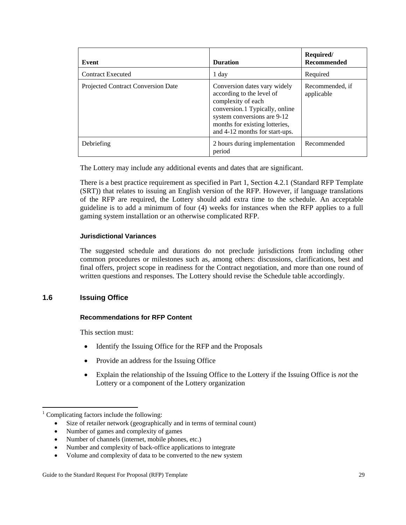| Event                              | <b>Duration</b>                                                                                                                                                                                                      | Required/<br><b>Recommended</b> |
|------------------------------------|----------------------------------------------------------------------------------------------------------------------------------------------------------------------------------------------------------------------|---------------------------------|
| <b>Contract Executed</b>           | 1 day                                                                                                                                                                                                                | Required                        |
| Projected Contract Conversion Date | Conversion dates vary widely<br>according to the level of<br>complexity of each<br>conversion.1 Typically, online<br>system conversions are 9-12<br>months for existing lotteries,<br>and 4-12 months for start-ups. | Recommended, if<br>applicable   |
| Debriefing                         | 2 hours during implementation<br>period                                                                                                                                                                              | Recommended                     |

The Lottery may include any additional events and dates that are significant.

There is a best practice requirement as specified in Part 1, Section 4.2.1 (Standard RFP Template (SRT)) that relates to issuing an English version of the RFP. However, if language translations of the RFP are required, the Lottery should add extra time to the schedule. An acceptable guideline is to add a minimum of four (4) weeks for instances when the RFP applies to a full gaming system installation or an otherwise complicated RFP.

# **Jurisdictional Variances**

The suggested schedule and durations do not preclude jurisdictions from including other common procedures or milestones such as, among others: discussions, clarifications, best and final offers, project scope in readiness for the Contract negotiation, and more than one round of written questions and responses. The Lottery should revise the Schedule table accordingly.

# **1.6 Issuing Office**

# **Recommendations for RFP Content**

This section must:

- Identify the Issuing Office for the RFP and the Proposals
- Provide an address for the Issuing Office
- Explain the relationship of the Issuing Office to the Lottery if the Issuing Office is *not* the Lottery or a component of the Lottery organization

- Size of retailer network (geographically and in terms of terminal count)
- Number of games and complexity of games
- Number of channels (internet, mobile phones, etc.)
- Number and complexity of back-office applications to integrate
- Volume and complexity of data to be converted to the new system

<sup>1</sup> <sup>1</sup> Complicating factors include the following: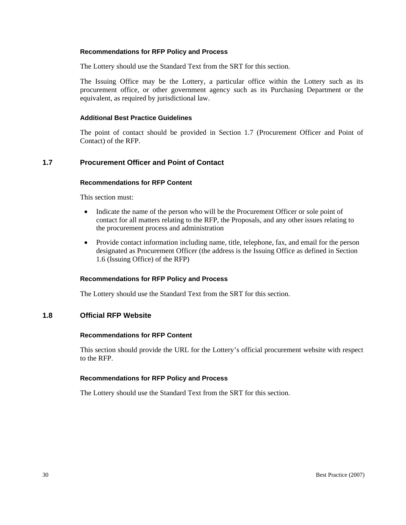The Lottery should use the Standard Text from the SRT for this section.

The Issuing Office may be the Lottery, a particular office within the Lottery such as its procurement office, or other government agency such as its Purchasing Department or the equivalent, as required by jurisdictional law.

# **Additional Best Practice Guidelines**

The point of contact should be provided in Section 1.7 (Procurement Officer and Point of Contact) of the RFP.

# **1.7 Procurement Officer and Point of Contact**

### **Recommendations for RFP Content**

This section must:

- Indicate the name of the person who will be the Procurement Officer or sole point of contact for all matters relating to the RFP, the Proposals, and any other issues relating to the procurement process and administration
- Provide contact information including name, title, telephone, fax, and email for the person designated as Procurement Officer (the address is the Issuing Office as defined in Section 1.6 (Issuing Office) of the RFP)

### **Recommendations for RFP Policy and Process**

The Lottery should use the Standard Text from the SRT for this section.

# **1.8 Official RFP Website**

### **Recommendations for RFP Content**

This section should provide the URL for the Lottery's official procurement website with respect to the RFP.

### **Recommendations for RFP Policy and Process**

The Lottery should use the Standard Text from the SRT for this section.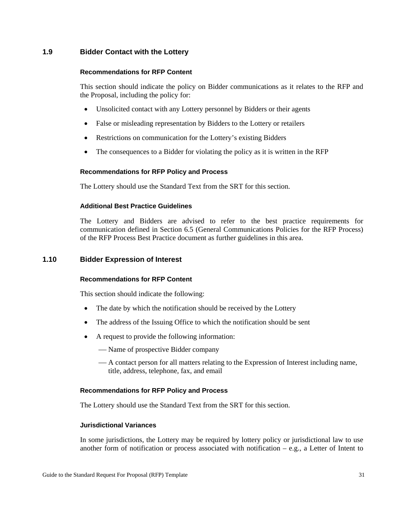# **1.9 Bidder Contact with the Lottery**

### **Recommendations for RFP Content**

This section should indicate the policy on Bidder communications as it relates to the RFP and the Proposal, including the policy for:

- Unsolicited contact with any Lottery personnel by Bidders or their agents
- False or misleading representation by Bidders to the Lottery or retailers
- Restrictions on communication for the Lottery's existing Bidders
- The consequences to a Bidder for violating the policy as it is written in the RFP

# **Recommendations for RFP Policy and Process**

The Lottery should use the Standard Text from the SRT for this section.

### **Additional Best Practice Guidelines**

The Lottery and Bidders are advised to refer to the best practice requirements for communication defined in Section 6.5 (General Communications Policies for the RFP Process) of the RFP Process Best Practice document as further guidelines in this area.

### **1.10 Bidder Expression of Interest**

### **Recommendations for RFP Content**

This section should indicate the following:

- The date by which the notification should be received by the Lottery
- The address of the Issuing Office to which the notification should be sent
- A request to provide the following information:
	- Name of prospective Bidder company
	- A contact person for all matters relating to the Expression of Interest including name, title, address, telephone, fax, and email

# **Recommendations for RFP Policy and Process**

The Lottery should use the Standard Text from the SRT for this section.

# **Jurisdictional Variances**

In some jurisdictions, the Lottery may be required by lottery policy or jurisdictional law to use another form of notification or process associated with notification – e.g., a Letter of Intent to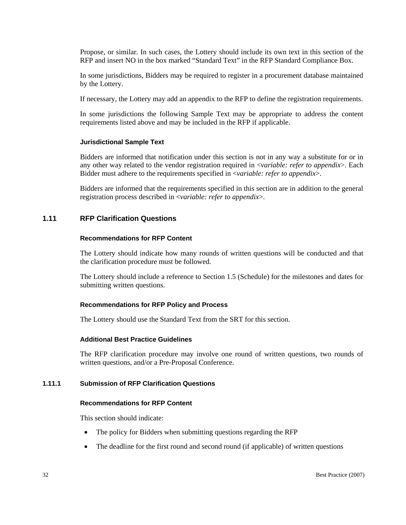Propose, or similar. In such cases, the Lottery should include its own text in this section of the RFP and insert NO in the box marked "Standard Text" in the RFP Standard Compliance Box.

In some jurisdictions, Bidders may be required to register in a procurement database maintained by the Lottery.

If necessary, the Lottery may add an appendix to the RFP to define the registration requirements.

In some jurisdictions the following Sample Text may be appropriate to address the content requirements listed above and may be included in the RFP if applicable.

### **Jurisdictional Sample Text**

Bidders are informed that notification under this section is not in any way a substitute for or in any other way related to the vendor registration required in <*variable: refer to appendix*>. Each Bidder must adhere to the requirements specified in <*variable: refer to appendix*>.

Bidders are informed that the requirements specified in this section are in addition to the general registration process described in <*variable: refer to appendix*>.

# **1.11 RFP Clarification Questions**

#### **Recommendations for RFP Content**

The Lottery should indicate how many rounds of written questions will be conducted and that the clarification procedure must be followed.

The Lottery should include a reference to Section 1.5 (Schedule) for the milestones and dates for submitting written questions.

### **Recommendations for RFP Policy and Process**

The Lottery should use the Standard Text from the SRT for this section.

### **Additional Best Practice Guidelines**

The RFP clarification procedure may involve one round of written questions, two rounds of written questions, and/or a Pre-Proposal Conference.

### **1.11.1 Submission of RFP Clarification Questions**

#### **Recommendations for RFP Content**

This section should indicate:

- The policy for Bidders when submitting questions regarding the RFP
- The deadline for the first round and second round (if applicable) of written questions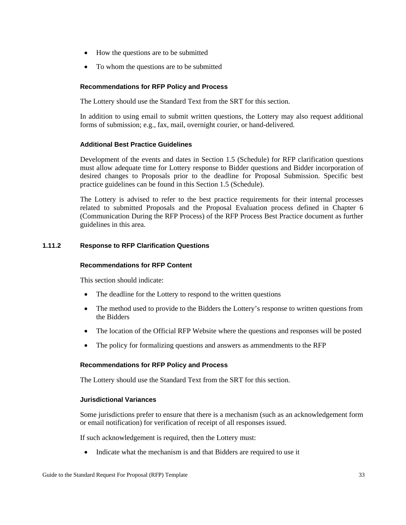- How the questions are to be submitted
- To whom the questions are to be submitted

The Lottery should use the Standard Text from the SRT for this section.

In addition to using email to submit written questions, the Lottery may also request additional forms of submission; e.g., fax, mail, overnight courier, or hand-delivered.

# **Additional Best Practice Guidelines**

Development of the events and dates in Section 1.5 (Schedule) for RFP clarification questions must allow adequate time for Lottery response to Bidder questions and Bidder incorporation of desired changes to Proposals prior to the deadline for Proposal Submission. Specific best practice guidelines can be found in this Section 1.5 (Schedule).

The Lottery is advised to refer to the best practice requirements for their internal processes related to submitted Proposals and the Proposal Evaluation process defined in Chapter 6 (Communication During the RFP Process) of the RFP Process Best Practice document as further guidelines in this area*.*

# **1.11.2 Response to RFP Clarification Questions**

### **Recommendations for RFP Content**

This section should indicate:

- The deadline for the Lottery to respond to the written questions
- The method used to provide to the Bidders the Lottery's response to written questions from the Bidders
- The location of the Official RFP Website where the questions and responses will be posted
- The policy for formalizing questions and answers as ammendments to the RFP

### **Recommendations for RFP Policy and Process**

The Lottery should use the Standard Text from the SRT for this section.

### **Jurisdictional Variances**

Some jurisdictions prefer to ensure that there is a mechanism (such as an acknowledgement form or email notification) for verification of receipt of all responses issued.

If such acknowledgement is required, then the Lottery must:

• Indicate what the mechanism is and that Bidders are required to use it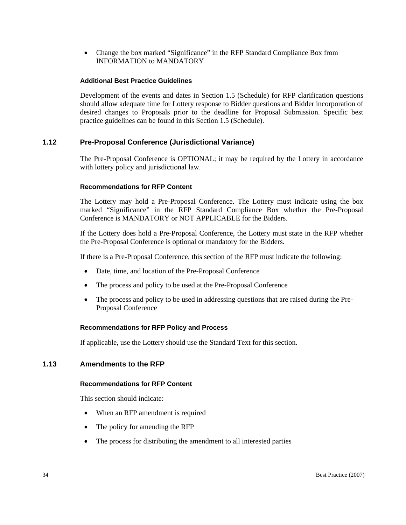• Change the box marked "Significance" in the RFP Standard Compliance Box from INFORMATION to MANDATORY

### **Additional Best Practice Guidelines**

Development of the events and dates in Section 1.5 (Schedule) for RFP clarification questions should allow adequate time for Lottery response to Bidder questions and Bidder incorporation of desired changes to Proposals prior to the deadline for Proposal Submission. Specific best practice guidelines can be found in this Section 1.5 (Schedule).

# **1.12 Pre-Proposal Conference (Jurisdictional Variance)**

The Pre-Proposal Conference is OPTIONAL; it may be required by the Lottery in accordance with lottery policy and jurisdictional law.

### **Recommendations for RFP Content**

The Lottery may hold a Pre-Proposal Conference. The Lottery must indicate using the box marked "Significance" in the RFP Standard Compliance Box whether the Pre-Proposal Conference is MANDATORY or NOT APPLICABLE for the Bidders.

If the Lottery does hold a Pre-Proposal Conference, the Lottery must state in the RFP whether the Pre-Proposal Conference is optional or mandatory for the Bidders.

If there is a Pre-Proposal Conference, this section of the RFP must indicate the following:

- Date, time, and location of the Pre-Proposal Conference
- The process and policy to be used at the Pre-Proposal Conference
- The process and policy to be used in addressing questions that are raised during the Pre-Proposal Conference

# **Recommendations for RFP Policy and Process**

If applicable, use the Lottery should use the Standard Text for this section.

# **1.13 Amendments to the RFP**

### **Recommendations for RFP Content**

This section should indicate:

- When an RFP amendment is required
- The policy for amending the RFP
- The process for distributing the amendment to all interested parties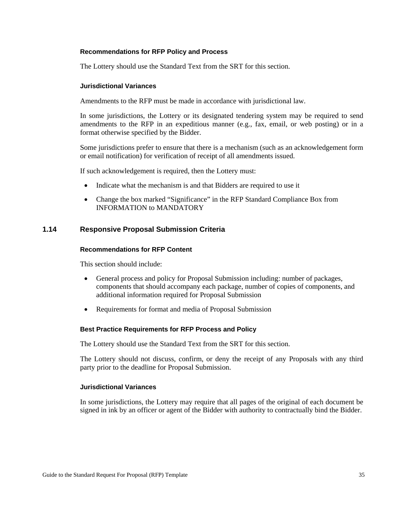The Lottery should use the Standard Text from the SRT for this section.

### **Jurisdictional Variances**

Amendments to the RFP must be made in accordance with jurisdictional law.

In some jurisdictions, the Lottery or its designated tendering system may be required to send amendments to the RFP in an expeditious manner (e.g., fax, email, or web posting) or in a format otherwise specified by the Bidder.

Some jurisdictions prefer to ensure that there is a mechanism (such as an acknowledgement form or email notification) for verification of receipt of all amendments issued.

If such acknowledgement is required, then the Lottery must:

- Indicate what the mechanism is and that Bidders are required to use it
- Change the box marked "Significance" in the RFP Standard Compliance Box from INFORMATION to MANDATORY

# **1.14 Responsive Proposal Submission Criteria**

### **Recommendations for RFP Content**

This section should include:

- General process and policy for Proposal Submission including: number of packages, components that should accompany each package, number of copies of components, and additional information required for Proposal Submission
- Requirements for format and media of Proposal Submission

#### **Best Practice Requirements for RFP Process and Policy**

The Lottery should use the Standard Text from the SRT for this section.

The Lottery should not discuss, confirm, or deny the receipt of any Proposals with any third party prior to the deadline for Proposal Submission.

#### **Jurisdictional Variances**

In some jurisdictions, the Lottery may require that all pages of the original of each document be signed in ink by an officer or agent of the Bidder with authority to contractually bind the Bidder.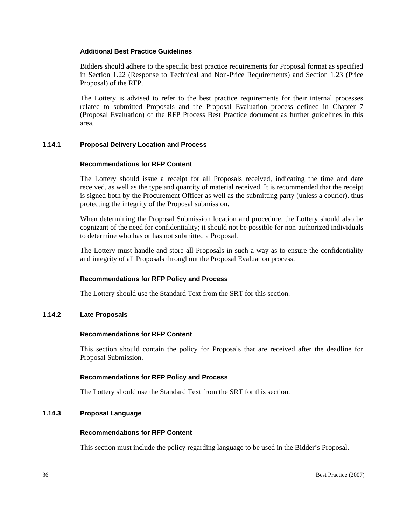### **Additional Best Practice Guidelines**

Bidders should adhere to the specific best practice requirements for Proposal format as specified in Section 1.22 (Response to Technical and Non-Price Requirements) and Section 1.23 (Price Proposal) of the RFP.

The Lottery is advised to refer to the best practice requirements for their internal processes related to submitted Proposals and the Proposal Evaluation process defined in Chapter 7 (Proposal Evaluation) of the RFP Process Best Practice document as further guidelines in this area*.* 

# **1.14.1 Proposal Delivery Location and Process**

### **Recommendations for RFP Content**

The Lottery should issue a receipt for all Proposals received, indicating the time and date received, as well as the type and quantity of material received. It is recommended that the receipt is signed both by the Procurement Officer as well as the submitting party (unless a courier), thus protecting the integrity of the Proposal submission.

When determining the Proposal Submission location and procedure, the Lottery should also be cognizant of the need for confidentiality; it should not be possible for non-authorized individuals to determine who has or has not submitted a Proposal.

The Lottery must handle and store all Proposals in such a way as to ensure the confidentiality and integrity of all Proposals throughout the Proposal Evaluation process.

### **Recommendations for RFP Policy and Process**

The Lottery should use the Standard Text from the SRT for this section.

### **1.14.2 Late Proposals**

### **Recommendations for RFP Content**

This section should contain the policy for Proposals that are received after the deadline for Proposal Submission.

### **Recommendations for RFP Policy and Process**

The Lottery should use the Standard Text from the SRT for this section.

### **1.14.3 Proposal Language**

#### **Recommendations for RFP Content**

This section must include the policy regarding language to be used in the Bidder's Proposal.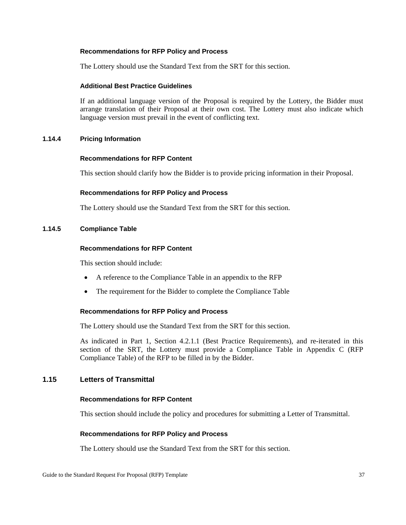The Lottery should use the Standard Text from the SRT for this section.

### **Additional Best Practice Guidelines**

If an additional language version of the Proposal is required by the Lottery, the Bidder must arrange translation of their Proposal at their own cost. The Lottery must also indicate which language version must prevail in the event of conflicting text.

### **1.14.4 Pricing Information**

### **Recommendations for RFP Content**

This section should clarify how the Bidder is to provide pricing information in their Proposal.

### **Recommendations for RFP Policy and Process**

The Lottery should use the Standard Text from the SRT for this section.

### **1.14.5 Compliance Table**

### **Recommendations for RFP Content**

This section should include:

- A reference to the Compliance Table in an appendix to the RFP
- The requirement for the Bidder to complete the Compliance Table

### **Recommendations for RFP Policy and Process**

The Lottery should use the Standard Text from the SRT for this section.

As indicated in Part 1, Section 4.2.1.1 (Best Practice Requirements), and re-iterated in this section of the SRT, the Lottery must provide a Compliance Table in Appendix C (RFP Compliance Table) of the RFP to be filled in by the Bidder.

# **1.15 Letters of Transmittal**

### **Recommendations for RFP Content**

This section should include the policy and procedures for submitting a Letter of Transmittal.

### **Recommendations for RFP Policy and Process**

The Lottery should use the Standard Text from the SRT for this section.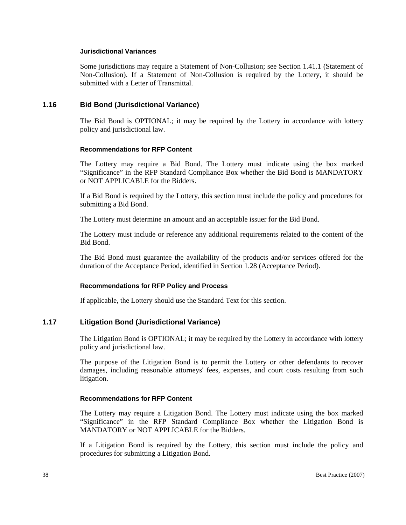### **Jurisdictional Variances**

Some jurisdictions may require a Statement of Non-Collusion; see Section 1.41.1 (Statement of Non-Collusion). If a Statement of Non-Collusion is required by the Lottery, it should be submitted with a Letter of Transmittal.

### **1.16 Bid Bond (Jurisdictional Variance)**

The Bid Bond is OPTIONAL; it may be required by the Lottery in accordance with lottery policy and jurisdictional law.

### **Recommendations for RFP Content**

The Lottery may require a Bid Bond. The Lottery must indicate using the box marked "Significance" in the RFP Standard Compliance Box whether the Bid Bond is MANDATORY or NOT APPLICABLE for the Bidders.

If a Bid Bond is required by the Lottery, this section must include the policy and procedures for submitting a Bid Bond.

The Lottery must determine an amount and an acceptable issuer for the Bid Bond.

The Lottery must include or reference any additional requirements related to the content of the Bid Bond.

The Bid Bond must guarantee the availability of the products and/or services offered for the duration of the Acceptance Period, identified in Section 1.28 (Acceptance Period).

### **Recommendations for RFP Policy and Process**

If applicable, the Lottery should use the Standard Text for this section.

# **1.17 Litigation Bond (Jurisdictional Variance)**

The Litigation Bond is OPTIONAL; it may be required by the Lottery in accordance with lottery policy and jurisdictional law.

The purpose of the Litigation Bond is to permit the Lottery or other defendants to recover damages, including reasonable attorneys' fees, expenses, and court costs resulting from such litigation.

### **Recommendations for RFP Content**

The Lottery may require a Litigation Bond. The Lottery must indicate using the box marked "Significance" in the RFP Standard Compliance Box whether the Litigation Bond is MANDATORY or NOT APPLICABLE for the Bidders.

If a Litigation Bond is required by the Lottery, this section must include the policy and procedures for submitting a Litigation Bond.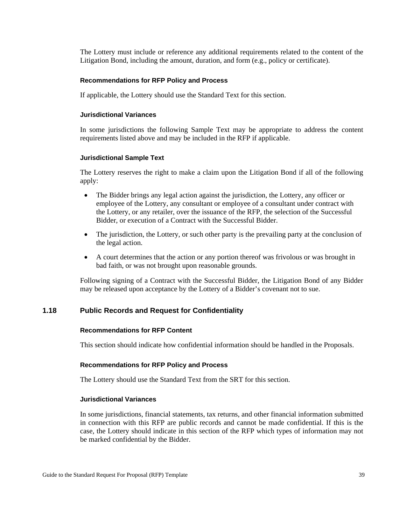The Lottery must include or reference any additional requirements related to the content of the Litigation Bond, including the amount, duration, and form (e.g., policy or certificate).

#### **Recommendations for RFP Policy and Process**

If applicable, the Lottery should use the Standard Text for this section.

### **Jurisdictional Variances**

In some jurisdictions the following Sample Text may be appropriate to address the content requirements listed above and may be included in the RFP if applicable.

#### **Jurisdictional Sample Text**

The Lottery reserves the right to make a claim upon the Litigation Bond if all of the following apply:

- The Bidder brings any legal action against the jurisdiction, the Lottery, any officer or employee of the Lottery, any consultant or employee of a consultant under contract with the Lottery, or any retailer, over the issuance of the RFP, the selection of the Successful Bidder, or execution of a Contract with the Successful Bidder.
- The jurisdiction, the Lottery, or such other party is the prevailing party at the conclusion of the legal action.
- A court determines that the action or any portion thereof was frivolous or was brought in bad faith, or was not brought upon reasonable grounds.

Following signing of a Contract with the Successful Bidder, the Litigation Bond of any Bidder may be released upon acceptance by the Lottery of a Bidder's covenant not to sue.

### **1.18 Public Records and Request for Confidentiality**

#### **Recommendations for RFP Content**

This section should indicate how confidential information should be handled in the Proposals.

#### **Recommendations for RFP Policy and Process**

The Lottery should use the Standard Text from the SRT for this section.

#### **Jurisdictional Variances**

In some jurisdictions, financial statements, tax returns, and other financial information submitted in connection with this RFP are public records and cannot be made confidential. If this is the case, the Lottery should indicate in this section of the RFP which types of information may not be marked confidential by the Bidder.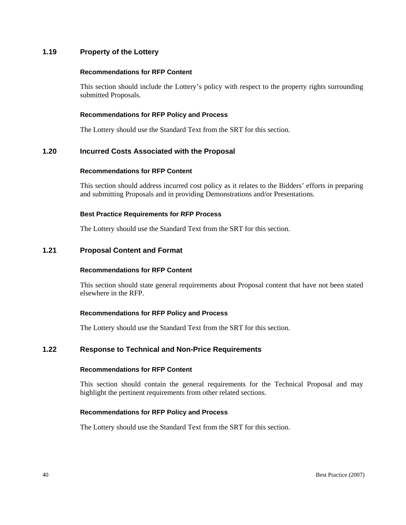# **1.19 Property of the Lottery**

### **Recommendations for RFP Content**

This section should include the Lottery's policy with respect to the property rights surrounding submitted Proposals.

### **Recommendations for RFP Policy and Process**

The Lottery should use the Standard Text from the SRT for this section.

### **1.20 Incurred Costs Associated with the Proposal**

### **Recommendations for RFP Content**

This section should address incurred cost policy as it relates to the Bidders' efforts in preparing and submitting Proposals and in providing Demonstrations and/or Presentations.

#### **Best Practice Requirements for RFP Process**

The Lottery should use the Standard Text from the SRT for this section.

### **1.21 Proposal Content and Format**

### **Recommendations for RFP Content**

This section should state general requirements about Proposal content that have not been stated elsewhere in the RFP.

### **Recommendations for RFP Policy and Process**

The Lottery should use the Standard Text from the SRT for this section.

### **1.22 Response to Technical and Non-Price Requirements**

#### **Recommendations for RFP Content**

This section should contain the general requirements for the Technical Proposal and may highlight the pertinent requirements from other related sections.

### **Recommendations for RFP Policy and Process**

The Lottery should use the Standard Text from the SRT for this section.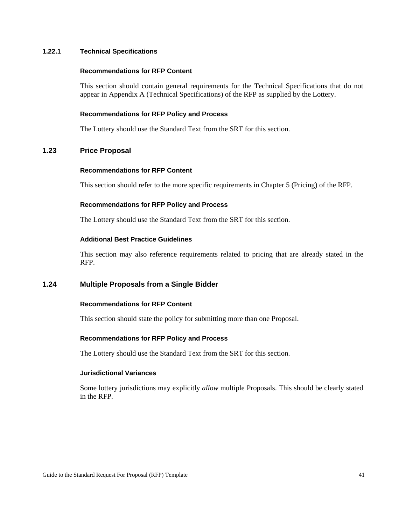### **1.22.1 Technical Specifications**

#### **Recommendations for RFP Content**

This section should contain general requirements for the Technical Specifications that do not appear in Appendix A (Technical Specifications) of the RFP as supplied by the Lottery.

#### **Recommendations for RFP Policy and Process**

The Lottery should use the Standard Text from the SRT for this section.

# **1.23 Price Proposal**

#### **Recommendations for RFP Content**

This section should refer to the more specific requirements in Chapter 5 (Pricing) of the RFP.

### **Recommendations for RFP Policy and Process**

The Lottery should use the Standard Text from the SRT for this section.

#### **Additional Best Practice Guidelines**

This section may also reference requirements related to pricing that are already stated in the RFP.

# **1.24 Multiple Proposals from a Single Bidder**

### **Recommendations for RFP Content**

This section should state the policy for submitting more than one Proposal.

### **Recommendations for RFP Policy and Process**

The Lottery should use the Standard Text from the SRT for this section.

#### **Jurisdictional Variances**

Some lottery jurisdictions may explicitly *allow* multiple Proposals. This should be clearly stated in the RFP.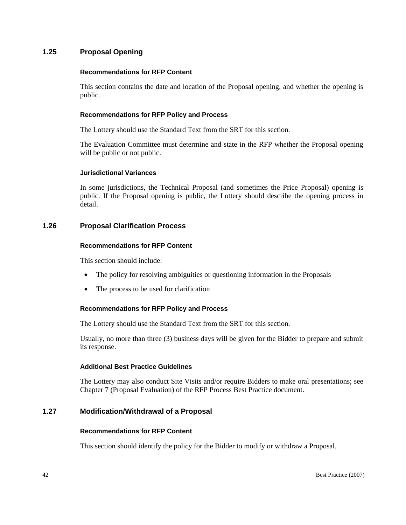# **1.25 Proposal Opening**

### **Recommendations for RFP Content**

This section contains the date and location of the Proposal opening, and whether the opening is public.

### **Recommendations for RFP Policy and Process**

The Lottery should use the Standard Text from the SRT for this section.

The Evaluation Committee must determine and state in the RFP whether the Proposal opening will be public or not public.

### **Jurisdictional Variances**

In some jurisdictions, the Technical Proposal (and sometimes the Price Proposal) opening is public. If the Proposal opening is public, the Lottery should describe the opening process in detail.

# **1.26 Proposal Clarification Process**

### **Recommendations for RFP Content**

This section should include:

- The policy for resolving ambiguities or questioning information in the Proposals
- The process to be used for clarification

### **Recommendations for RFP Policy and Process**

The Lottery should use the Standard Text from the SRT for this section.

Usually, no more than three (3) business days will be given for the Bidder to prepare and submit its response.

# **Additional Best Practice Guidelines**

The Lottery may also conduct Site Visits and/or require Bidders to make oral presentations; see Chapter 7 (Proposal Evaluation) of the RFP Process Best Practice document.

# **1.27 Modification/Withdrawal of a Proposal**

### **Recommendations for RFP Content**

This section should identify the policy for the Bidder to modify or withdraw a Proposal.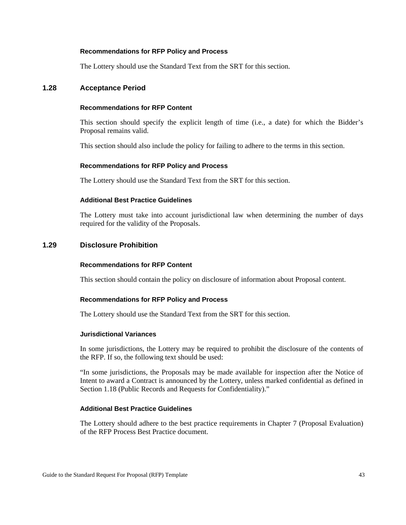The Lottery should use the Standard Text from the SRT for this section.

### **1.28 Acceptance Period**

### **Recommendations for RFP Content**

This section should specify the explicit length of time (i.e., a date) for which the Bidder's Proposal remains valid.

This section should also include the policy for failing to adhere to the terms in this section.

#### **Recommendations for RFP Policy and Process**

The Lottery should use the Standard Text from the SRT for this section.

### **Additional Best Practice Guidelines**

The Lottery must take into account jurisdictional law when determining the number of days required for the validity of the Proposals.

# **1.29 Disclosure Prohibition**

#### **Recommendations for RFP Content**

This section should contain the policy on disclosure of information about Proposal content.

#### **Recommendations for RFP Policy and Process**

The Lottery should use the Standard Text from the SRT for this section.

#### **Jurisdictional Variances**

In some jurisdictions, the Lottery may be required to prohibit the disclosure of the contents of the RFP. If so, the following text should be used:

"In some jurisdictions, the Proposals may be made available for inspection after the Notice of Intent to award a Contract is announced by the Lottery, unless marked confidential as defined in Section 1.18 (Public Records and Requests for Confidentiality)."

### **Additional Best Practice Guidelines**

The Lottery should adhere to the best practice requirements in Chapter 7 (Proposal Evaluation) of the RFP Process Best Practice document.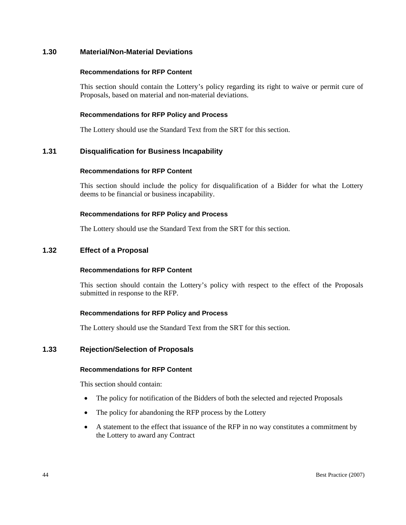# **1.30 Material/Non-Material Deviations**

### **Recommendations for RFP Content**

This section should contain the Lottery's policy regarding its right to waive or permit cure of Proposals, based on material and non-material deviations.

### **Recommendations for RFP Policy and Process**

The Lottery should use the Standard Text from the SRT for this section.

# **1.31 Disqualification for Business Incapability**

### **Recommendations for RFP Content**

This section should include the policy for disqualification of a Bidder for what the Lottery deems to be financial or business incapability.

### **Recommendations for RFP Policy and Process**

The Lottery should use the Standard Text from the SRT for this section.

# **1.32 Effect of a Proposal**

# **Recommendations for RFP Content**

This section should contain the Lottery's policy with respect to the effect of the Proposals submitted in response to the RFP.

# **Recommendations for RFP Policy and Process**

The Lottery should use the Standard Text from the SRT for this section.

# **1.33 Rejection/Selection of Proposals**

### **Recommendations for RFP Content**

This section should contain:

- The policy for notification of the Bidders of both the selected and rejected Proposals
- The policy for abandoning the RFP process by the Lottery
- A statement to the effect that issuance of the RFP in no way constitutes a commitment by the Lottery to award any Contract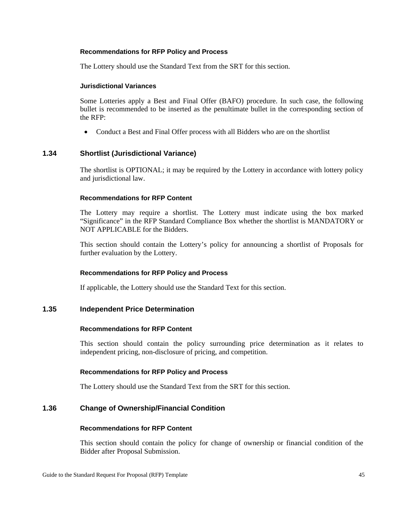The Lottery should use the Standard Text from the SRT for this section.

### **Jurisdictional Variances**

Some Lotteries apply a Best and Final Offer (BAFO) procedure. In such case, the following bullet is recommended to be inserted as the penultimate bullet in the corresponding section of the RFP:

• Conduct a Best and Final Offer process with all Bidders who are on the shortlist

# **1.34 Shortlist (Jurisdictional Variance)**

The shortlist is OPTIONAL; it may be required by the Lottery in accordance with lottery policy and jurisdictional law.

### **Recommendations for RFP Content**

The Lottery may require a shortlist. The Lottery must indicate using the box marked "Significance" in the RFP Standard Compliance Box whether the shortlist is MANDATORY or NOT APPLICABLE for the Bidders.

This section should contain the Lottery's policy for announcing a shortlist of Proposals for further evaluation by the Lottery.

### **Recommendations for RFP Policy and Process**

If applicable, the Lottery should use the Standard Text for this section.

### **1.35 Independent Price Determination**

### **Recommendations for RFP Content**

This section should contain the policy surrounding price determination as it relates to independent pricing, non-disclosure of pricing, and competition.

### **Recommendations for RFP Policy and Process**

The Lottery should use the Standard Text from the SRT for this section.

# **1.36 Change of Ownership/Financial Condition**

## **Recommendations for RFP Content**

This section should contain the policy for change of ownership or financial condition of the Bidder after Proposal Submission.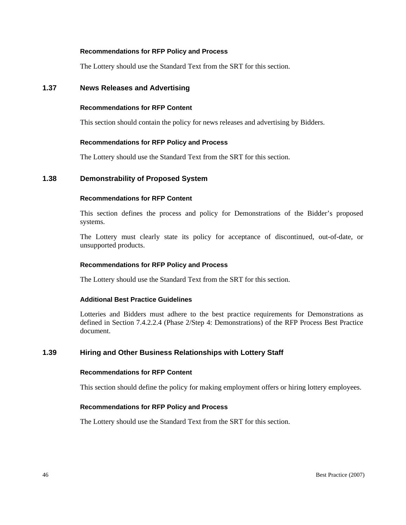The Lottery should use the Standard Text from the SRT for this section.

### **1.37 News Releases and Advertising**

### **Recommendations for RFP Content**

This section should contain the policy for news releases and advertising by Bidders.

### **Recommendations for RFP Policy and Process**

The Lottery should use the Standard Text from the SRT for this section.

### **1.38 Demonstrability of Proposed System**

### **Recommendations for RFP Content**

This section defines the process and policy for Demonstrations of the Bidder's proposed systems.

The Lottery must clearly state its policy for acceptance of discontinued, out-of-date, or unsupported products.

### **Recommendations for RFP Policy and Process**

The Lottery should use the Standard Text from the SRT for this section.

### **Additional Best Practice Guidelines**

Lotteries and Bidders must adhere to the best practice requirements for Demonstrations as defined in Section 7.4.2.2.4 (Phase 2/Step 4: Demonstrations) of the RFP Process Best Practice document.

# **1.39 Hiring and Other Business Relationships with Lottery Staff**

### **Recommendations for RFP Content**

This section should define the policy for making employment offers or hiring lottery employees.

### **Recommendations for RFP Policy and Process**

The Lottery should use the Standard Text from the SRT for this section.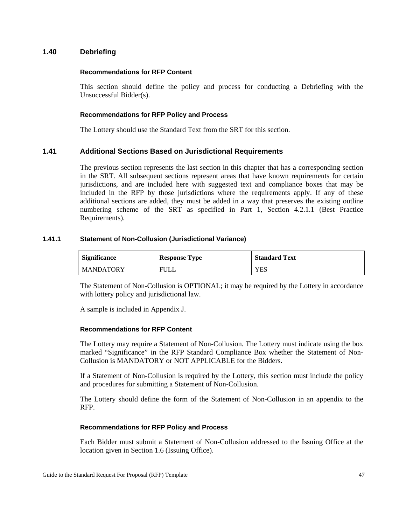# **1.40 Debriefing**

### **Recommendations for RFP Content**

This section should define the policy and process for conducting a Debriefing with the Unsuccessful Bidder(s).

### **Recommendations for RFP Policy and Process**

The Lottery should use the Standard Text from the SRT for this section.

# **1.41 Additional Sections Based on Jurisdictional Requirements**

The previous section represents the last section in this chapter that has a corresponding section in the SRT. All subsequent sections represent areas that have known requirements for certain jurisdictions, and are included here with suggested text and compliance boxes that may be included in the RFP by those jurisdictions where the requirements apply. If any of these additional sections are added, they must be added in a way that preserves the existing outline numbering scheme of the SRT as specified in Part 1, Section 4.2.1.1 (Best Practice Requirements).

### **1.41.1 Statement of Non-Collusion (Jurisdictional Variance)**

| <b>Significance</b> | <b>Response Type</b> | <b>Standard Text</b> |
|---------------------|----------------------|----------------------|
| l MANDATORY         | <b>FULL</b>          | <b>YES</b>           |

The Statement of Non-Collusion is OPTIONAL; it may be required by the Lottery in accordance with lottery policy and jurisdictional law.

A sample is included in Appendix J.

### **Recommendations for RFP Content**

The Lottery may require a Statement of Non-Collusion. The Lottery must indicate using the box marked "Significance" in the RFP Standard Compliance Box whether the Statement of Non-Collusion is MANDATORY or NOT APPLICABLE for the Bidders.

If a Statement of Non-Collusion is required by the Lottery, this section must include the policy and procedures for submitting a Statement of Non-Collusion.

The Lottery should define the form of the Statement of Non-Collusion in an appendix to the RFP.

### **Recommendations for RFP Policy and Process**

Each Bidder must submit a Statement of Non-Collusion addressed to the Issuing Office at the location given in Section 1.6 (Issuing Office).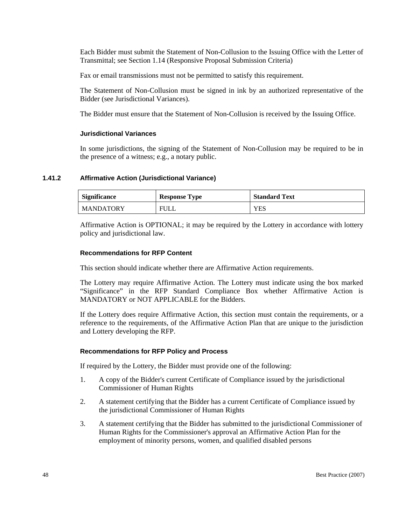Each Bidder must submit the Statement of Non-Collusion to the Issuing Office with the Letter of Transmittal; see Section 1.14 (Responsive Proposal Submission Criteria)

Fax or email transmissions must not be permitted to satisfy this requirement.

The Statement of Non-Collusion must be signed in ink by an authorized representative of the Bidder (see Jurisdictional Variances).

The Bidder must ensure that the Statement of Non-Collusion is received by the Issuing Office.

### **Jurisdictional Variances**

In some jurisdictions, the signing of the Statement of Non-Collusion may be required to be in the presence of a witness; e.g., a notary public.

### **1.41.2 Affirmative Action (Jurisdictional Variance)**

| <b>Significance</b> | <b>Response Type</b> | <b>Standard Text</b> |
|---------------------|----------------------|----------------------|
| <b>MANDATORY</b>    | FULL                 | YES                  |

Affirmative Action is OPTIONAL; it may be required by the Lottery in accordance with lottery policy and jurisdictional law.

### **Recommendations for RFP Content**

This section should indicate whether there are Affirmative Action requirements.

The Lottery may require Affirmative Action. The Lottery must indicate using the box marked "Significance" in the RFP Standard Compliance Box whether Affirmative Action is MANDATORY or NOT APPLICABLE for the Bidders.

If the Lottery does require Affirmative Action, this section must contain the requirements, or a reference to the requirements, of the Affirmative Action Plan that are unique to the jurisdiction and Lottery developing the RFP.

### **Recommendations for RFP Policy and Process**

If required by the Lottery, the Bidder must provide one of the following:

- 1. A copy of the Bidder's current Certificate of Compliance issued by the jurisdictional Commissioner of Human Rights
- 2. A statement certifying that the Bidder has a current Certificate of Compliance issued by the jurisdictional Commissioner of Human Rights
- 3. A statement certifying that the Bidder has submitted to the jurisdictional Commissioner of Human Rights for the Commissioner's approval an Affirmative Action Plan for the employment of minority persons, women, and qualified disabled persons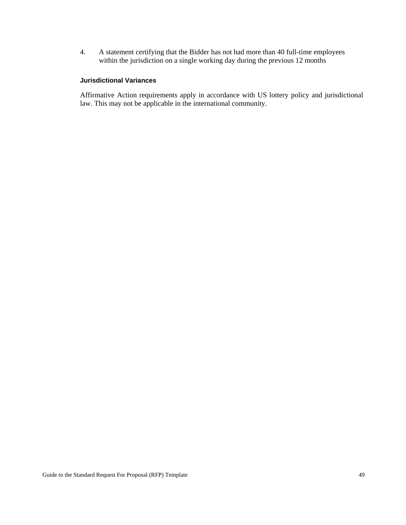4. A statement certifying that the Bidder has not had more than 40 full-time employees within the jurisdiction on a single working day during the previous 12 months

# **Jurisdictional Variances**

Affirmative Action requirements apply in accordance with US lottery policy and jurisdictional law. This may not be applicable in the international community.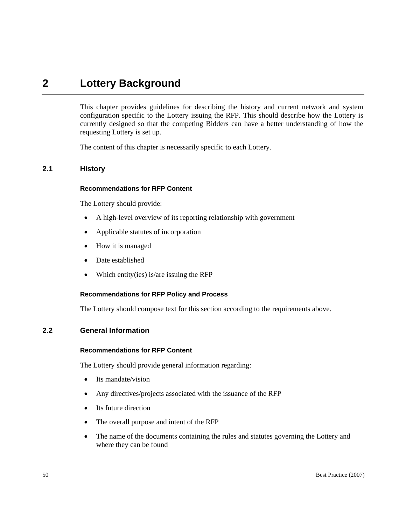# **2 Lottery Background**

This chapter provides guidelines for describing the history and current network and system configuration specific to the Lottery issuing the RFP. This should describe how the Lottery is currently designed so that the competing Bidders can have a better understanding of how the requesting Lottery is set up.

The content of this chapter is necessarily specific to each Lottery.

# **2.1 History**

### **Recommendations for RFP Content**

The Lottery should provide:

- A high-level overview of its reporting relationship with government
- Applicable statutes of incorporation
- How it is managed
- Date established
- Which entity(ies) is/are issuing the RFP

### **Recommendations for RFP Policy and Process**

The Lottery should compose text for this section according to the requirements above.

## **2.2 General Information**

#### **Recommendations for RFP Content**

The Lottery should provide general information regarding:

- Its mandate/vision
- Any directives/projects associated with the issuance of the RFP
- Its future direction
- The overall purpose and intent of the RFP
- The name of the documents containing the rules and statutes governing the Lottery and where they can be found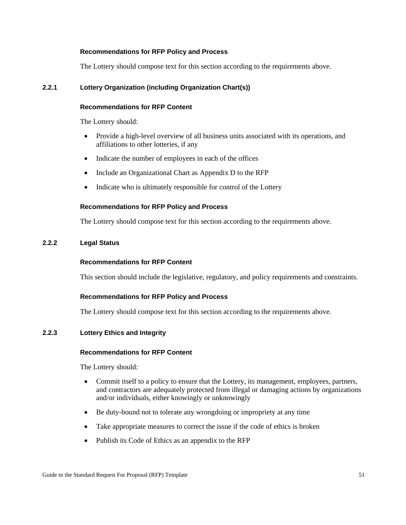The Lottery should compose text for this section according to the requirements above.

# **2.2.1 Lottery Organization (including Organization Chart(s))**

### **Recommendations for RFP Content**

The Lottery should:

- Provide a high-level overview of all business units associated with its operations, and affiliations to other lotteries, if any
- Indicate the number of employees in each of the offices
- Include an Organizational Chart as Appendix D to the RFP
- Indicate who is ultimately responsible for control of the Lottery

### **Recommendations for RFP Policy and Process**

The Lottery should compose text for this section according to the requirements above.

# **2.2.2 Legal Status**

### **Recommendations for RFP Content**

This section should include the legislative, regulatory, and policy requirements and constraints.

# **Recommendations for RFP Policy and Process**

The Lottery should compose text for this section according to the requirements above.

# **2.2.3 Lottery Ethics and Integrity**

### **Recommendations for RFP Content**

The Lottery should:

- Commit itself to a policy to ensure that the Lottery, its management, employees, partners, and contractors are adequately protected from illegal or damaging actions by organizations and/or individuals, either knowingly or unknowingly
- Be duty-bound not to tolerate any wrongdoing or impropriety at any time
- Take appropriate measures to correct the issue if the code of ethics is broken
- Publish its Code of Ethics as an appendix to the RFP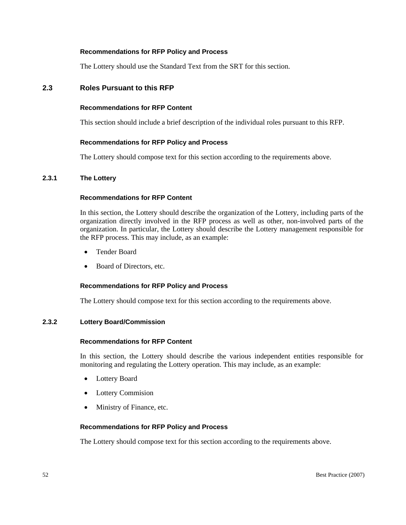The Lottery should use the Standard Text from the SRT for this section.

# **2.3 Roles Pursuant to this RFP**

#### **Recommendations for RFP Content**

This section should include a brief description of the individual roles pursuant to this RFP.

### **Recommendations for RFP Policy and Process**

The Lottery should compose text for this section according to the requirements above.

### **2.3.1 The Lottery**

### **Recommendations for RFP Content**

In this section, the Lottery should describe the organization of the Lottery, including parts of the organization directly involved in the RFP process as well as other, non-involved parts of the organization. In particular, the Lottery should describe the Lottery management responsible for the RFP process. This may include, as an example:

- Tender Board
- Board of Directors, etc.

#### **Recommendations for RFP Policy and Process**

The Lottery should compose text for this section according to the requirements above.

### **2.3.2 Lottery Board/Commission**

#### **Recommendations for RFP Content**

In this section, the Lottery should describe the various independent entities responsible for monitoring and regulating the Lottery operation. This may include, as an example:

- Lottery Board
- **Lottery Commision**
- Ministry of Finance, etc.

#### **Recommendations for RFP Policy and Process**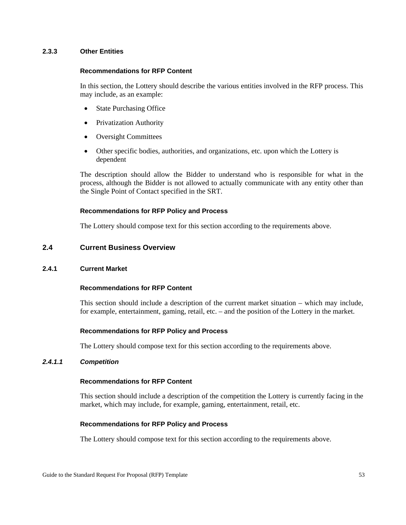### **2.3.3 Other Entities**

# **Recommendations for RFP Content**

In this section, the Lottery should describe the various entities involved in the RFP process. This may include, as an example:

- State Purchasing Office
- Privatization Authority
- Oversight Committees
- Other specific bodies, authorities, and organizations, etc. upon which the Lottery is dependent

The description should allow the Bidder to understand who is responsible for what in the process, although the Bidder is not allowed to actually communicate with any entity other than the Single Point of Contact specified in the SRT.

### **Recommendations for RFP Policy and Process**

The Lottery should compose text for this section according to the requirements above.

# **2.4 Current Business Overview**

### **2.4.1 Current Market**

### **Recommendations for RFP Content**

This section should include a description of the current market situation – which may include, for example, entertainment, gaming, retail, etc. – and the position of the Lottery in the market.

### **Recommendations for RFP Policy and Process**

The Lottery should compose text for this section according to the requirements above.

### *2.4.1.1 Competition*

### **Recommendations for RFP Content**

This section should include a description of the competition the Lottery is currently facing in the market, which may include, for example, gaming, entertainment, retail, etc.

### **Recommendations for RFP Policy and Process**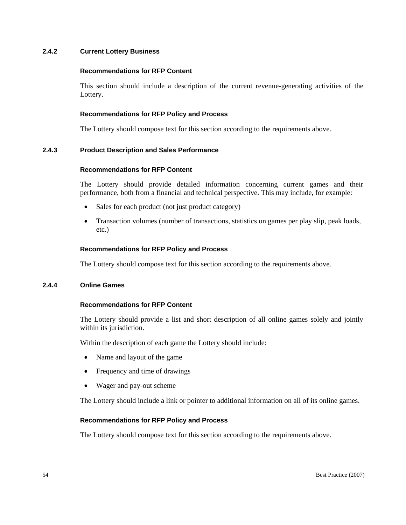### **2.4.2 Current Lottery Business**

#### **Recommendations for RFP Content**

This section should include a description of the current revenue-generating activities of the Lottery.

#### **Recommendations for RFP Policy and Process**

The Lottery should compose text for this section according to the requirements above.

### **2.4.3 Product Description and Sales Performance**

#### **Recommendations for RFP Content**

The Lottery should provide detailed information concerning current games and their performance, both from a financial and technical perspective. This may include, for example:

- Sales for each product (not just product category)
- Transaction volumes (number of transactions, statistics on games per play slip, peak loads, etc.)

#### **Recommendations for RFP Policy and Process**

The Lottery should compose text for this section according to the requirements above.

### **2.4.4 Online Games**

#### **Recommendations for RFP Content**

The Lottery should provide a list and short description of all online games solely and jointly within its jurisdiction.

Within the description of each game the Lottery should include:

- Name and layout of the game
- Frequency and time of drawings
- Wager and pay-out scheme

The Lottery should include a link or pointer to additional information on all of its online games.

#### **Recommendations for RFP Policy and Process**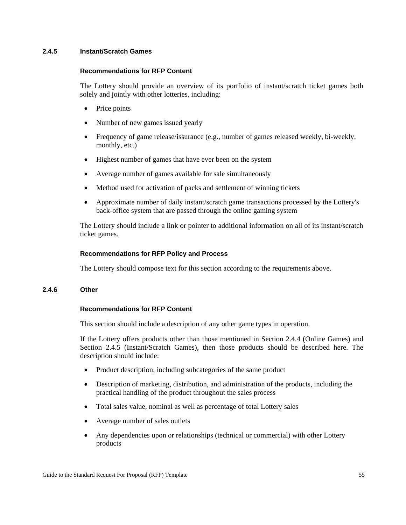### **2.4.5 Instant/Scratch Games**

### **Recommendations for RFP Content**

The Lottery should provide an overview of its portfolio of instant/scratch ticket games both solely and jointly with other lotteries, including:

- Price points
- Number of new games issued yearly
- Frequency of game release/issurance (e.g., number of games released weekly, bi-weekly, monthly, etc.)
- Highest number of games that have ever been on the system
- Average number of games available for sale simultaneously
- Method used for activation of packs and settlement of winning tickets
- Approximate number of daily instant/scratch game transactions processed by the Lottery's back-office system that are passed through the online gaming system

The Lottery should include a link or pointer to additional information on all of its instant/scratch ticket games.

# **Recommendations for RFP Policy and Process**

The Lottery should compose text for this section according to the requirements above.

# **2.4.6 Other**

# **Recommendations for RFP Content**

This section should include a description of any other game types in operation.

If the Lottery offers products other than those mentioned in Section 2.4.4 (Online Games) and Section 2.4.5 (Instant/Scratch Games), then those products should be described here. The description should include:

- Product description, including subcategories of the same product
- Description of marketing, distribution, and administration of the products, including the practical handling of the product throughout the sales process
- Total sales value, nominal as well as percentage of total Lottery sales
- Average number of sales outlets
- Any dependencies upon or relationships (technical or commercial) with other Lottery products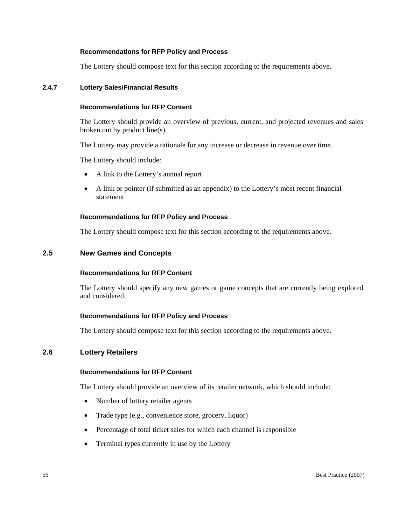The Lottery should compose text for this section according to the requirements above.

### **2.4.7 Lottery Sales/Financial Results**

### **Recommendations for RFP Content**

The Lottery should provide an overview of previous, current, and projected revenues and sales broken out by product line(s).

The Lottery may provide a rationale for any increase or decrease in revenue over time.

The Lottery should include:

- A link to the Lottery's annual report
- A link or pointer (if submitted as an appendix) to the Lottery's most recent financial statement

### **Recommendations for RFP Policy and Process**

The Lottery should compose text for this section according to the requirements above.

# **2.5 New Games and Concepts**

## **Recommendations for RFP Content**

The Lottery should specify any new games or game concepts that are currently being explored and considered.

### **Recommendations for RFP Policy and Process**

The Lottery should compose text for this section according to the requirements above.

# **2.6 Lottery Retailers**

### **Recommendations for RFP Content**

The Lottery should provide an overview of its retailer network, which should include:

- Number of lottery retailer agents
- Trade type (e.g., convenience store, grocery, liquor)
- Percentage of total ticket sales for which each channel is responsible
- Terminal types currently in use by the Lottery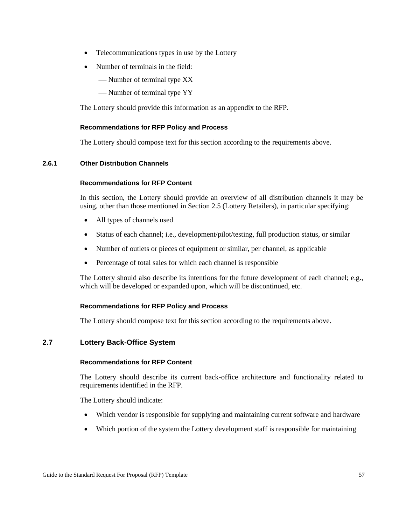- Telecommunications types in use by the Lottery
- Number of terminals in the field:
	- Number of terminal type XX
	- Number of terminal type YY

The Lottery should provide this information as an appendix to the RFP.

# **Recommendations for RFP Policy and Process**

The Lottery should compose text for this section according to the requirements above.

# **2.6.1 Other Distribution Channels**

### **Recommendations for RFP Content**

In this section, the Lottery should provide an overview of all distribution channels it may be using, other than those mentioned in Section 2.5 (Lottery Retailers), in particular specifying:

- All types of channels used
- Status of each channel; i.e., development/pilot/testing, full production status, or similar
- Number of outlets or pieces of equipment or similar, per channel, as applicable
- Percentage of total sales for which each channel is responsible

The Lottery should also describe its intentions for the future development of each channel; e.g., which will be developed or expanded upon, which will be discontinued, etc.

# **Recommendations for RFP Policy and Process**

The Lottery should compose text for this section according to the requirements above.

# **2.7 Lottery Back-Office System**

### **Recommendations for RFP Content**

The Lottery should describe its current back-office architecture and functionality related to requirements identified in the RFP.

The Lottery should indicate:

- Which vendor is responsible for supplying and maintaining current software and hardware
- Which portion of the system the Lottery development staff is responsible for maintaining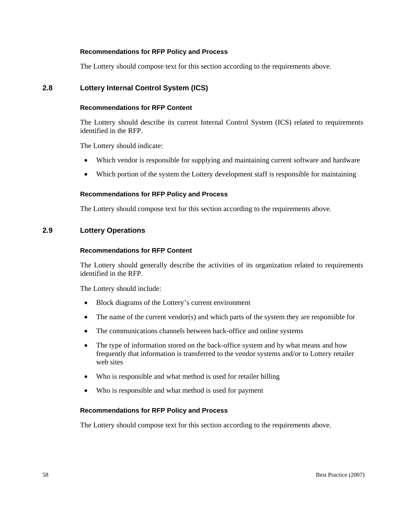The Lottery should compose text for this section according to the requirements above.

# **2.8 Lottery Internal Control System (ICS)**

### **Recommendations for RFP Content**

The Lottery should describe its current Internal Control System (ICS) related to requirements identified in the RFP.

The Lottery should indicate:

- Which vendor is responsible for supplying and maintaining current software and hardware
- Which portion of the system the Lottery development staff is responsible for maintaining

### **Recommendations for RFP Policy and Process**

The Lottery should compose text for this section according to the requirements above.

# **2.9 Lottery Operations**

#### **Recommendations for RFP Content**

The Lottery should generally describe the activities of its organization related to requirements identified in the RFP.

The Lottery should include:

- Block diagrams of the Lottery's current environment
- The name of the current vendor(s) and which parts of the system they are responsible for
- The communications channels between back-office and online systems
- The type of information stored on the back-office system and by what means and how frequently that information is transferred to the vendor systems and/or to Lottery retailer web sites
- Who is responsible and what method is used for retailer billing
- Who is responsible and what method is used for payment

#### **Recommendations for RFP Policy and Process**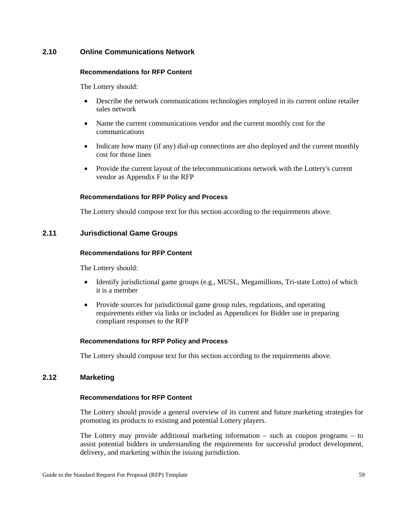# **2.10 Online Communications Network**

### **Recommendations for RFP Content**

The Lottery should:

- Describe the network communications technologies employed in its current online retailer sales network
- Name the current communications vendor and the current monthly cost for the communications
- Indicate how many (if any) dial-up connections are also deployed and the current monthly cost for those lines
- Provide the current layout of the telecommunications network with the Lottery's current vendor as Appendix F to the RFP

### **Recommendations for RFP Policy and Process**

The Lottery should compose text for this section according to the requirements above.

# **2.11 Jurisdictional Game Groups**

### **Recommendations for RFP Content**

The Lottery should:

- Identify jurisdictional game groups (e.g., MUSL, Megamillions, Tri-state Lotto) of which it is a member
- Provide sources for jurisdictional game group rules, regulations, and operating requirements either via links or included as Appendices for Bidder use in preparing compliant responses to the RFP

# **Recommendations for RFP Policy and Process**

The Lottery should compose text for this section according to the requirements above.

# **2.12 Marketing**

### **Recommendations for RFP Content**

The Lottery should provide a general overview of its current and future marketing strategies for promoting its products to existing and potential Lottery players.

The Lottery may provide additional marketing information – such as coupon programs – to assist potential bidders in understanding the requirements for successful product development, delivery, and marketing within the issuing jurisdiction.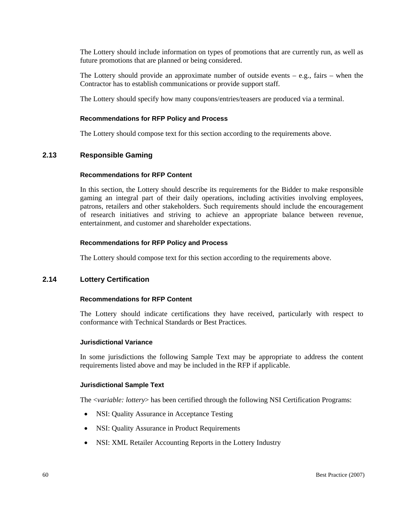The Lottery should include information on types of promotions that are currently run, as well as future promotions that are planned or being considered.

The Lottery should provide an approximate number of outside events – e.g., fairs – when the Contractor has to establish communications or provide support staff.

The Lottery should specify how many coupons/entries/teasers are produced via a terminal.

### **Recommendations for RFP Policy and Process**

The Lottery should compose text for this section according to the requirements above.

# **2.13 Responsible Gaming**

### **Recommendations for RFP Content**

In this section, the Lottery should describe its requirements for the Bidder to make responsible gaming an integral part of their daily operations, including activities involving employees, patrons, retailers and other stakeholders. Such requirements should include the encouragement of research initiatives and striving to achieve an appropriate balance between revenue, entertainment, and customer and shareholder expectations.

### **Recommendations for RFP Policy and Process**

The Lottery should compose text for this section according to the requirements above.

# **2.14 Lottery Certification**

### **Recommendations for RFP Content**

The Lottery should indicate certifications they have received, particularly with respect to conformance with Technical Standards or Best Practices.

### **Jurisdictional Variance**

In some jurisdictions the following Sample Text may be appropriate to address the content requirements listed above and may be included in the RFP if applicable.

### **Jurisdictional Sample Text**

The <*variable: lottery*> has been certified through the following NSI Certification Programs:

- NSI: Quality Assurance in Acceptance Testing
- NSI: Quality Assurance in Product Requirements
- NSI: XML Retailer Accounting Reports in the Lottery Industry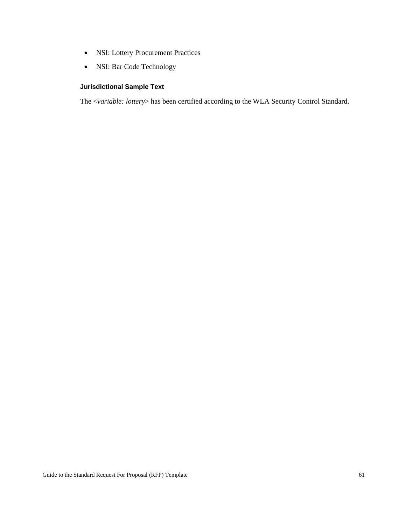- NSI: Lottery Procurement Practices
- NSI: Bar Code Technology

# **Jurisdictional Sample Text**

The <*variable: lottery*> has been certified according to the WLA Security Control Standard.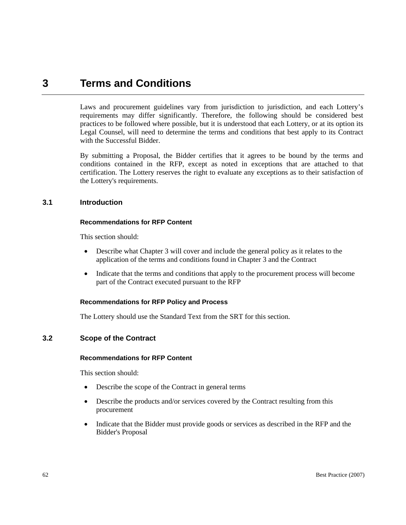# **3 Terms and Conditions**

Laws and procurement guidelines vary from jurisdiction to jurisdiction, and each Lottery's requirements may differ significantly. Therefore, the following should be considered best practices to be followed where possible, but it is understood that each Lottery, or at its option its Legal Counsel, will need to determine the terms and conditions that best apply to its Contract with the Successful Bidder.

By submitting a Proposal, the Bidder certifies that it agrees to be bound by the terms and conditions contained in the RFP, except as noted in exceptions that are attached to that certification. The Lottery reserves the right to evaluate any exceptions as to their satisfaction of the Lottery's requirements.

# **3.1 Introduction**

### **Recommendations for RFP Content**

This section should:

- Describe what Chapter 3 will cover and include the general policy as it relates to the application of the terms and conditions found in Chapter 3 and the Contract
- Indicate that the terms and conditions that apply to the procurement process will become part of the Contract executed pursuant to the RFP

# **Recommendations for RFP Policy and Process**

The Lottery should use the Standard Text from the SRT for this section.

# **3.2 Scope of the Contract**

#### **Recommendations for RFP Content**

- Describe the scope of the Contract in general terms
- Describe the products and/or services covered by the Contract resulting from this procurement
- Indicate that the Bidder must provide goods or services as described in the RFP and the Bidder's Proposal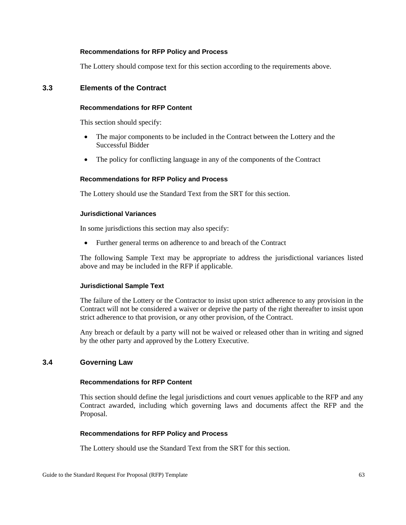The Lottery should compose text for this section according to the requirements above.

# **3.3 Elements of the Contract**

#### **Recommendations for RFP Content**

This section should specify:

- The major components to be included in the Contract between the Lottery and the Successful Bidder
- The policy for conflicting language in any of the components of the Contract

#### **Recommendations for RFP Policy and Process**

The Lottery should use the Standard Text from the SRT for this section.

#### **Jurisdictional Variances**

In some jurisdictions this section may also specify:

• Further general terms on adherence to and breach of the Contract

The following Sample Text may be appropriate to address the jurisdictional variances listed above and may be included in the RFP if applicable.

#### **Jurisdictional Sample Text**

The failure of the Lottery or the Contractor to insist upon strict adherence to any provision in the Contract will not be considered a waiver or deprive the party of the right thereafter to insist upon strict adherence to that provision, or any other provision, of the Contract.

Any breach or default by a party will not be waived or released other than in writing and signed by the other party and approved by the Lottery Executive.

# **3.4 Governing Law**

#### **Recommendations for RFP Content**

This section should define the legal jurisdictions and court venues applicable to the RFP and any Contract awarded, including which governing laws and documents affect the RFP and the Proposal.

#### **Recommendations for RFP Policy and Process**

The Lottery should use the Standard Text from the SRT for this section.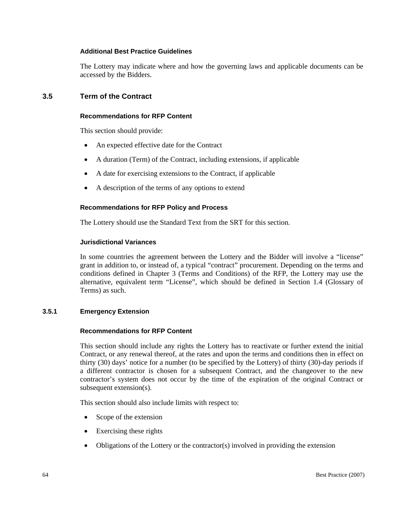#### **Additional Best Practice Guidelines**

The Lottery may indicate where and how the governing laws and applicable documents can be accessed by the Bidders.

# **3.5 Term of the Contract**

#### **Recommendations for RFP Content**

This section should provide:

- An expected effective date for the Contract
- A duration (Term) of the Contract, including extensions, if applicable
- A date for exercising extensions to the Contract, if applicable
- A description of the terms of any options to extend

### **Recommendations for RFP Policy and Process**

The Lottery should use the Standard Text from the SRT for this section.

### **Jurisdictional Variances**

In some countries the agreement between the Lottery and the Bidder will involve a "license" grant in addition to, or instead of, a typical "contract" procurement. Depending on the terms and conditions defined in Chapter 3 (Terms and Conditions) of the RFP, the Lottery may use the alternative, equivalent term "License", which should be defined in Section 1.4 (Glossary of Terms) as such.

# **3.5.1 Emergency Extension**

#### **Recommendations for RFP Content**

This section should include any rights the Lottery has to reactivate or further extend the initial Contract, or any renewal thereof, at the rates and upon the terms and conditions then in effect on thirty (30) days' notice for a number (to be specified by the Lottery) of thirty (30)-day periods if a different contractor is chosen for a subsequent Contract, and the changeover to the new contractor's system does not occur by the time of the expiration of the original Contract or subsequent extension(s).

This section should also include limits with respect to:

- Scope of the extension
- Exercising these rights
- Obligations of the Lottery or the contractor(s) involved in providing the extension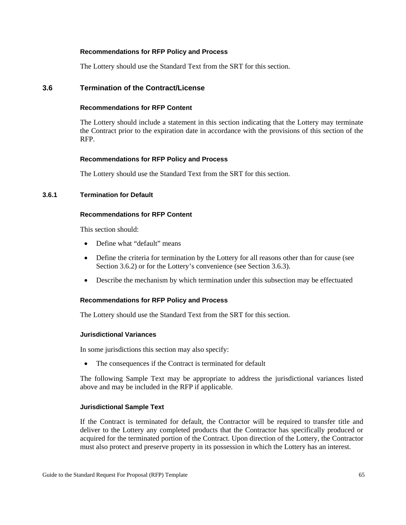The Lottery should use the Standard Text from the SRT for this section.

### **3.6 Termination of the Contract/License**

### **Recommendations for RFP Content**

The Lottery should include a statement in this section indicating that the Lottery may terminate the Contract prior to the expiration date in accordance with the provisions of this section of the RFP.

#### **Recommendations for RFP Policy and Process**

The Lottery should use the Standard Text from the SRT for this section.

#### **3.6.1 Termination for Default**

#### **Recommendations for RFP Content**

This section should:

- Define what "default" means
- Define the criteria for termination by the Lottery for all reasons other than for cause (see Section 3.6.2) or for the Lottery's convenience (see Section 3.6.3).
- Describe the mechanism by which termination under this subsection may be effectuated

#### **Recommendations for RFP Policy and Process**

The Lottery should use the Standard Text from the SRT for this section.

#### **Jurisdictional Variances**

In some jurisdictions this section may also specify:

• The consequences if the Contract is terminated for default

The following Sample Text may be appropriate to address the jurisdictional variances listed above and may be included in the RFP if applicable.

#### **Jurisdictional Sample Text**

If the Contract is terminated for default, the Contractor will be required to transfer title and deliver to the Lottery any completed products that the Contractor has specifically produced or acquired for the terminated portion of the Contract. Upon direction of the Lottery, the Contractor must also protect and preserve property in its possession in which the Lottery has an interest.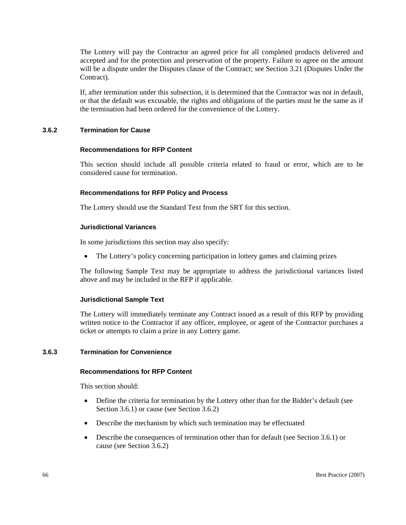The Lottery will pay the Contractor an agreed price for all completed products delivered and accepted and for the protection and preservation of the property. Failure to agree on the amount will be a dispute under the Disputes clause of the Contract; see Section 3.21 (Disputes Under the Contract).

If, after termination under this subsection, it is determined that the Contractor was not in default, or that the default was excusable, the rights and obligations of the parties must be the same as if the termination had been ordered for the convenience of the Lottery.

### **3.6.2 Termination for Cause**

#### **Recommendations for RFP Content**

This section should include all possible criteria related to fraud or error, which are to be considered cause for termination.

#### **Recommendations for RFP Policy and Process**

The Lottery should use the Standard Text from the SRT for this section.

#### **Jurisdictional Variances**

In some jurisdictions this section may also specify:

• The Lottery's policy concerning participation in lottery games and claiming prizes

The following Sample Text may be appropriate to address the jurisdictional variances listed above and may be included in the RFP if applicable.

#### **Jurisdictional Sample Text**

The Lottery will immediately terminate any Contract issued as a result of this RFP by providing written notice to the Contractor if any officer, employee, or agent of the Contractor purchases a ticket or attempts to claim a prize in any Lottery game.

#### **3.6.3 Termination for Convenience**

#### **Recommendations for RFP Content**

- Define the criteria for termination by the Lottery other than for the Bidder's default (see Section 3.6.1) or cause (see Section 3.6.2)
- Describe the mechanism by which such termination may be effectuated
- Describe the consequences of termination other than for default (see Section 3.6.1) or cause (see Section 3.6.2)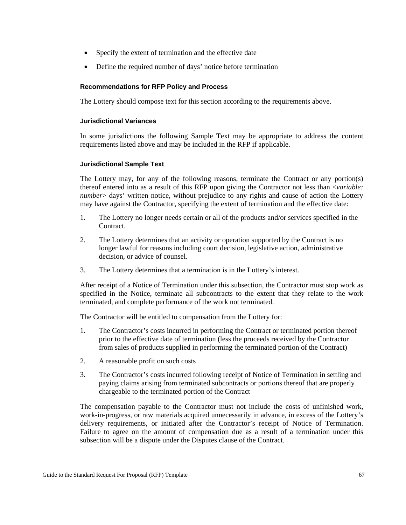- Specify the extent of termination and the effective date
- Define the required number of days' notice before termination

The Lottery should compose text for this section according to the requirements above.

### **Jurisdictional Variances**

In some jurisdictions the following Sample Text may be appropriate to address the content requirements listed above and may be included in the RFP if applicable.

### **Jurisdictional Sample Text**

The Lottery may, for any of the following reasons, terminate the Contract or any portion(s) thereof entered into as a result of this RFP upon giving the Contractor not less than <*variable: number* alays' written notice, without prejudice to any rights and cause of action the Lottery may have against the Contractor, specifying the extent of termination and the effective date:

- 1. The Lottery no longer needs certain or all of the products and/or services specified in the Contract.
- 2. The Lottery determines that an activity or operation supported by the Contract is no longer lawful for reasons including court decision, legislative action, administrative decision, or advice of counsel.
- 3. The Lottery determines that a termination is in the Lottery's interest.

After receipt of a Notice of Termination under this subsection, the Contractor must stop work as specified in the Notice, terminate all subcontracts to the extent that they relate to the work terminated, and complete performance of the work not terminated.

The Contractor will be entitled to compensation from the Lottery for:

- 1. The Contractor's costs incurred in performing the Contract or terminated portion thereof prior to the effective date of termination (less the proceeds received by the Contractor from sales of products supplied in performing the terminated portion of the Contract)
- 2. A reasonable profit on such costs
- 3. The Contractor's costs incurred following receipt of Notice of Termination in settling and paying claims arising from terminated subcontracts or portions thereof that are properly chargeable to the terminated portion of the Contract

The compensation payable to the Contractor must not include the costs of unfinished work, work-in-progress, or raw materials acquired unnecessarily in advance, in excess of the Lottery's delivery requirements, or initiated after the Contractor's receipt of Notice of Termination. Failure to agree on the amount of compensation due as a result of a termination under this subsection will be a dispute under the Disputes clause of the Contract.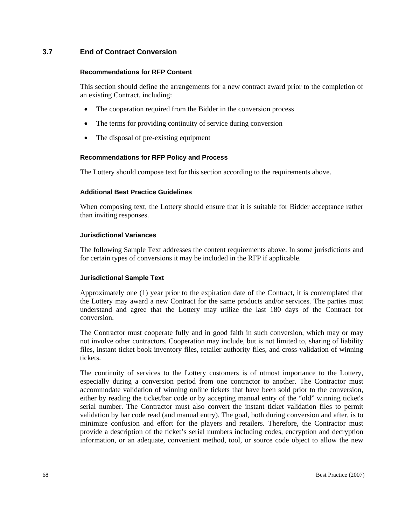# **3.7 End of Contract Conversion**

#### **Recommendations for RFP Content**

This section should define the arrangements for a new contract award prior to the completion of an existing Contract, including:

- The cooperation required from the Bidder in the conversion process
- The terms for providing continuity of service during conversion
- The disposal of pre-existing equipment

#### **Recommendations for RFP Policy and Process**

The Lottery should compose text for this section according to the requirements above.

#### **Additional Best Practice Guidelines**

When composing text, the Lottery should ensure that it is suitable for Bidder acceptance rather than inviting responses.

#### **Jurisdictional Variances**

The following Sample Text addresses the content requirements above. In some jurisdictions and for certain types of conversions it may be included in the RFP if applicable.

#### **Jurisdictional Sample Text**

Approximately one (1) year prior to the expiration date of the Contract, it is contemplated that the Lottery may award a new Contract for the same products and/or services. The parties must understand and agree that the Lottery may utilize the last 180 days of the Contract for conversion.

The Contractor must cooperate fully and in good faith in such conversion, which may or may not involve other contractors. Cooperation may include, but is not limited to, sharing of liability files, instant ticket book inventory files, retailer authority files, and cross-validation of winning tickets.

The continuity of services to the Lottery customers is of utmost importance to the Lottery, especially during a conversion period from one contractor to another. The Contractor must accommodate validation of winning online tickets that have been sold prior to the conversion, either by reading the ticket/bar code or by accepting manual entry of the "old" winning ticket's serial number. The Contractor must also convert the instant ticket validation files to permit validation by bar code read (and manual entry). The goal, both during conversion and after, is to minimize confusion and effort for the players and retailers. Therefore, the Contractor must provide a description of the ticket's serial numbers including codes, encryption and decryption information, or an adequate, convenient method, tool, or source code object to allow the new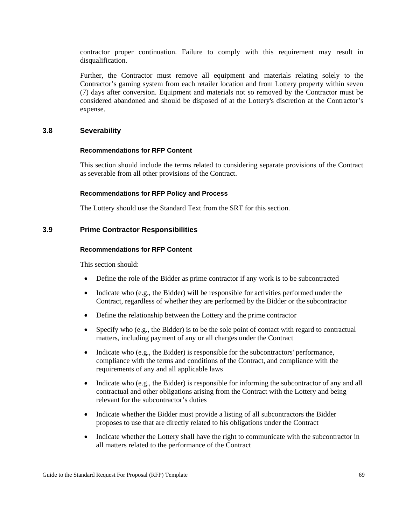contractor proper continuation. Failure to comply with this requirement may result in disqualification.

Further, the Contractor must remove all equipment and materials relating solely to the Contractor's gaming system from each retailer location and from Lottery property within seven (7) days after conversion. Equipment and materials not so removed by the Contractor must be considered abandoned and should be disposed of at the Lottery's discretion at the Contractor's expense.

### **3.8 Severability**

#### **Recommendations for RFP Content**

This section should include the terms related to considering separate provisions of the Contract as severable from all other provisions of the Contract.

### **Recommendations for RFP Policy and Process**

The Lottery should use the Standard Text from the SRT for this section.

### **3.9 Prime Contractor Responsibilities**

#### **Recommendations for RFP Content**

- Define the role of the Bidder as prime contractor if any work is to be subcontracted
- Indicate who (e.g., the Bidder) will be responsible for activities performed under the Contract, regardless of whether they are performed by the Bidder or the subcontractor
- Define the relationship between the Lottery and the prime contractor
- Specify who (e.g., the Bidder) is to be the sole point of contact with regard to contractual matters, including payment of any or all charges under the Contract
- Indicate who (e.g., the Bidder) is responsible for the subcontractors' performance, compliance with the terms and conditions of the Contract, and compliance with the requirements of any and all applicable laws
- Indicate who (e.g., the Bidder) is responsible for informing the subcontractor of any and all contractual and other obligations arising from the Contract with the Lottery and being relevant for the subcontractor's duties
- Indicate whether the Bidder must provide a listing of all subcontractors the Bidder proposes to use that are directly related to his obligations under the Contract
- Indicate whether the Lottery shall have the right to communicate with the subcontractor in all matters related to the performance of the Contract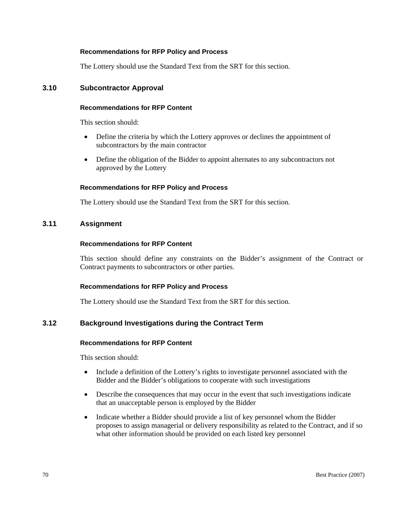The Lottery should use the Standard Text from the SRT for this section.

### **3.10 Subcontractor Approval**

#### **Recommendations for RFP Content**

This section should:

- Define the criteria by which the Lottery approves or declines the appointment of subcontractors by the main contractor
- Define the obligation of the Bidder to appoint alternates to any subcontractors not approved by the Lottery

#### **Recommendations for RFP Policy and Process**

The Lottery should use the Standard Text from the SRT for this section.

# **3.11 Assignment**

#### **Recommendations for RFP Content**

This section should define any constraints on the Bidder's assignment of the Contract or Contract payments to subcontractors or other parties.

#### **Recommendations for RFP Policy and Process**

The Lottery should use the Standard Text from the SRT for this section.

# **3.12 Background Investigations during the Contract Term**

### **Recommendations for RFP Content**

- Include a definition of the Lottery's rights to investigate personnel associated with the Bidder and the Bidder's obligations to cooperate with such investigations
- Describe the consequences that may occur in the event that such investigations indicate that an unacceptable person is employed by the Bidder
- Indicate whether a Bidder should provide a list of key personnel whom the Bidder proposes to assign managerial or delivery responsibility as related to the Contract, and if so what other information should be provided on each listed key personnel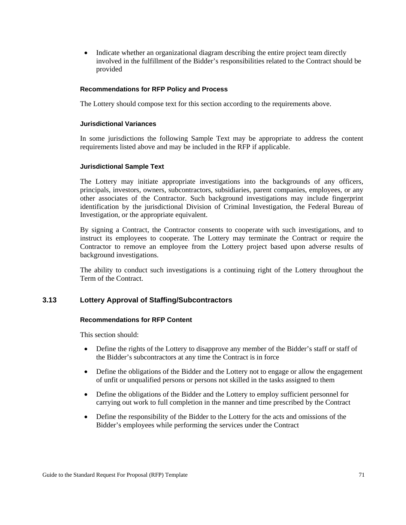• Indicate whether an organizational diagram describing the entire project team directly involved in the fulfillment of the Bidder's responsibilities related to the Contract should be provided

#### **Recommendations for RFP Policy and Process**

The Lottery should compose text for this section according to the requirements above.

#### **Jurisdictional Variances**

In some jurisdictions the following Sample Text may be appropriate to address the content requirements listed above and may be included in the RFP if applicable.

#### **Jurisdictional Sample Text**

The Lottery may initiate appropriate investigations into the backgrounds of any officers, principals, investors, owners, subcontractors, subsidiaries, parent companies, employees, or any other associates of the Contractor. Such background investigations may include fingerprint identification by the jurisdictional Division of Criminal Investigation, the Federal Bureau of Investigation, or the appropriate equivalent.

By signing a Contract, the Contractor consents to cooperate with such investigations, and to instruct its employees to cooperate. The Lottery may terminate the Contract or require the Contractor to remove an employee from the Lottery project based upon adverse results of background investigations.

The ability to conduct such investigations is a continuing right of the Lottery throughout the Term of the Contract.

# **3.13 Lottery Approval of Staffing/Subcontractors**

#### **Recommendations for RFP Content**

- Define the rights of the Lottery to disapprove any member of the Bidder's staff or staff of the Bidder's subcontractors at any time the Contract is in force
- Define the obligations of the Bidder and the Lottery not to engage or allow the engagement of unfit or unqualified persons or persons not skilled in the tasks assigned to them
- Define the obligations of the Bidder and the Lottery to employ sufficient personnel for carrying out work to full completion in the manner and time prescribed by the Contract
- Define the responsibility of the Bidder to the Lottery for the acts and omissions of the Bidder's employees while performing the services under the Contract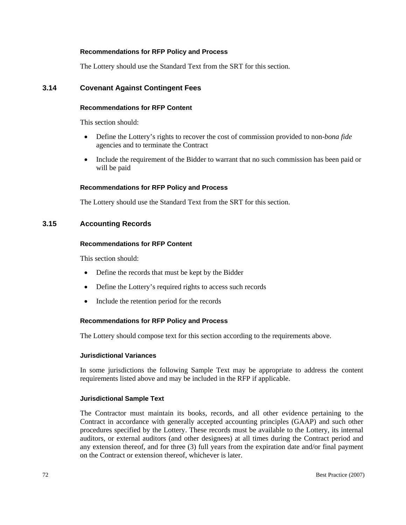The Lottery should use the Standard Text from the SRT for this section.

### **3.14 Covenant Against Contingent Fees**

### **Recommendations for RFP Content**

This section should:

- Define the Lottery's rights to recover the cost of commission provided to non-*bona fide* agencies and to terminate the Contract
- Include the requirement of the Bidder to warrant that no such commission has been paid or will be paid

#### **Recommendations for RFP Policy and Process**

The Lottery should use the Standard Text from the SRT for this section.

### **3.15 Accounting Records**

#### **Recommendations for RFP Content**

This section should:

- Define the records that must be kept by the Bidder
- Define the Lottery's required rights to access such records
- Include the retention period for the records

#### **Recommendations for RFP Policy and Process**

The Lottery should compose text for this section according to the requirements above.

#### **Jurisdictional Variances**

In some jurisdictions the following Sample Text may be appropriate to address the content requirements listed above and may be included in the RFP if applicable.

#### **Jurisdictional Sample Text**

The Contractor must maintain its books, records, and all other evidence pertaining to the Contract in accordance with generally accepted accounting principles (GAAP) and such other procedures specified by the Lottery. These records must be available to the Lottery, its internal auditors, or external auditors (and other designees) at all times during the Contract period and any extension thereof, and for three (3) full years from the expiration date and/or final payment on the Contract or extension thereof, whichever is later.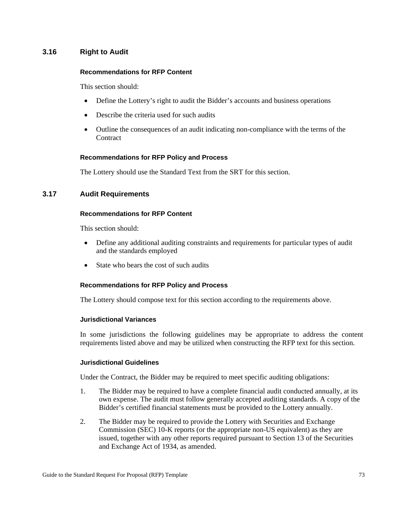# **3.16 Right to Audit**

#### **Recommendations for RFP Content**

This section should:

- Define the Lottery's right to audit the Bidder's accounts and business operations
- Describe the criteria used for such audits
- Outline the consequences of an audit indicating non-compliance with the terms of the **Contract**

#### **Recommendations for RFP Policy and Process**

The Lottery should use the Standard Text from the SRT for this section.

# **3.17 Audit Requirements**

### **Recommendations for RFP Content**

This section should:

- Define any additional auditing constraints and requirements for particular types of audit and the standards employed
- State who bears the cost of such audits

#### **Recommendations for RFP Policy and Process**

The Lottery should compose text for this section according to the requirements above.

#### **Jurisdictional Variances**

In some jurisdictions the following guidelines may be appropriate to address the content requirements listed above and may be utilized when constructing the RFP text for this section.

#### **Jurisdictional Guidelines**

Under the Contract, the Bidder may be required to meet specific auditing obligations:

- 1. The Bidder may be required to have a complete financial audit conducted annually, at its own expense. The audit must follow generally accepted auditing standards. A copy of the Bidder's certified financial statements must be provided to the Lottery annually.
- 2. The Bidder may be required to provide the Lottery with Securities and Exchange Commission (SEC) 10-K reports (or the appropriate non-US equivalent) as they are issued, together with any other reports required pursuant to Section 13 of the Securities and Exchange Act of 1934, as amended.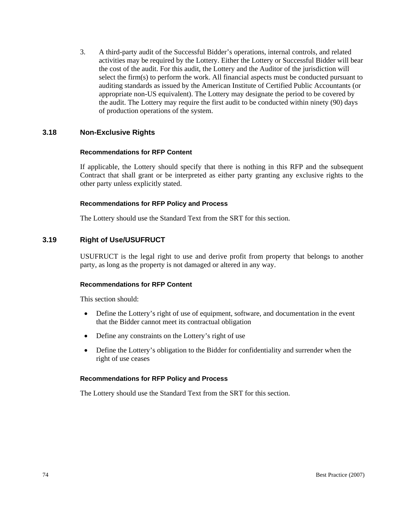3. A third-party audit of the Successful Bidder's operations, internal controls, and related activities may be required by the Lottery. Either the Lottery or Successful Bidder will bear the cost of the audit. For this audit, the Lottery and the Auditor of the jurisdiction will select the firm(s) to perform the work. All financial aspects must be conducted pursuant to auditing standards as issued by the American Institute of Certified Public Accountants (or appropriate non-US equivalent). The Lottery may designate the period to be covered by the audit. The Lottery may require the first audit to be conducted within ninety (90) days of production operations of the system.

# **3.18 Non-Exclusive Rights**

#### **Recommendations for RFP Content**

If applicable, the Lottery should specify that there is nothing in this RFP and the subsequent Contract that shall grant or be interpreted as either party granting any exclusive rights to the other party unless explicitly stated.

#### **Recommendations for RFP Policy and Process**

The Lottery should use the Standard Text from the SRT for this section.

# **3.19 Right of Use/USUFRUCT**

USUFRUCT is the legal right to use and derive profit from property that belongs to another party, as long as the property is not damaged or altered in any way.

### **Recommendations for RFP Content**

This section should:

- Define the Lottery's right of use of equipment, software, and documentation in the event that the Bidder cannot meet its contractual obligation
- Define any constraints on the Lottery's right of use
- Define the Lottery's obligation to the Bidder for confidentiality and surrender when the right of use ceases

#### **Recommendations for RFP Policy and Process**

The Lottery should use the Standard Text from the SRT for this section.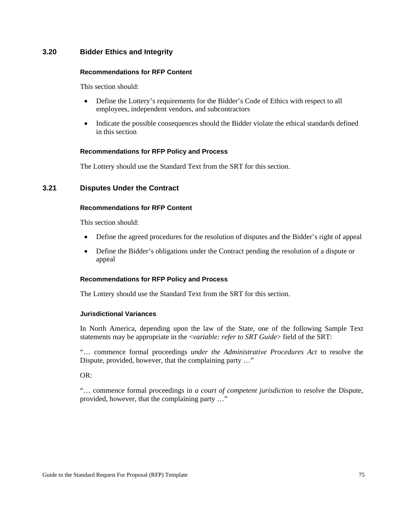# **3.20 Bidder Ethics and Integrity**

#### **Recommendations for RFP Content**

This section should:

- Define the Lottery's requirements for the Bidder's Code of Ethics with respect to all employees, independent vendors, and subcontractors
- Indicate the possible consequences should the Bidder violate the ethical standards defined in this section

### **Recommendations for RFP Policy and Process**

The Lottery should use the Standard Text from the SRT for this section.

# **3.21 Disputes Under the Contract**

# **Recommendations for RFP Content**

This section should:

- Define the agreed procedures for the resolution of disputes and the Bidder's right of appeal
- Define the Bidder's obligations under the Contract pending the resolution of a dispute or appeal

#### **Recommendations for RFP Policy and Process**

The Lottery should use the Standard Text from the SRT for this section.

#### **Jurisdictional Variances**

In North America, depending upon the law of the State, one of the following Sample Text statements may be appropriate in the <*variable: refer to SRT Guide*> field of the SRT:

"… commence formal proceedings *under the Administrative Procedures Act* to resolve the Dispute, provided, however, that the complaining party …"

OR:

"… commence formal proceedings in *a court of competent jurisdictio*n to resolve the Dispute, provided, however, that the complaining party …"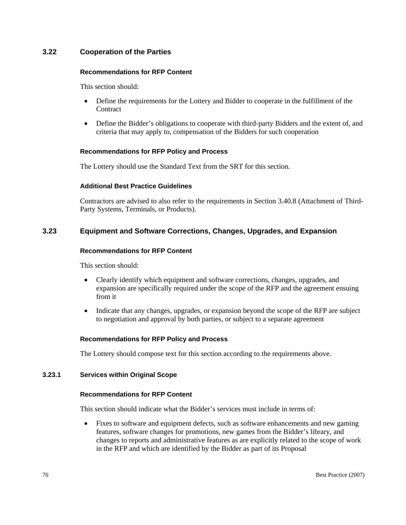# **3.22 Cooperation of the Parties**

#### **Recommendations for RFP Content**

This section should:

- Define the requirements for the Lottery and Bidder to cooperate in the fulfillment of the **Contract**
- Define the Bidder's obligations to cooperate with third-party Bidders and the extent of, and criteria that may apply to, compensation of the Bidders for such cooperation

### **Recommendations for RFP Policy and Process**

The Lottery should use the Standard Text from the SRT for this section.

### **Additional Best Practice Guidelines**

Contractors are advised to also refer to the requirements in Section 3.40.8 (Attachment of Third-Party Systems, Terminals, or Products).

# **3.23 Equipment and Software Corrections, Changes, Upgrades, and Expansion**

#### **Recommendations for RFP Content**

This section should:

- Clearly identify which equipment and software corrections, changes, upgrades, and expansion are specifically required under the scope of the RFP and the agreement ensuing from it
- Indicate that any changes, upgrades, or expansion beyond the scope of the RFP are subject to negotiation and approval by both parties, or subject to a separate agreement

# **Recommendations for RFP Policy and Process**

The Lottery should compose text for this section according to the requirements above.

#### **3.23.1 Services within Original Scope**

#### **Recommendations for RFP Content**

This section should indicate what the Bidder's services must include in terms of:

• Fixes to software and equipment defects, such as software enhancements and new gaming features, software changes for promotions, new games from the Bidder's library, and changes to reports and administrative features as are explicitly related to the scope of work in the RFP and which are identified by the Bidder as part of its Proposal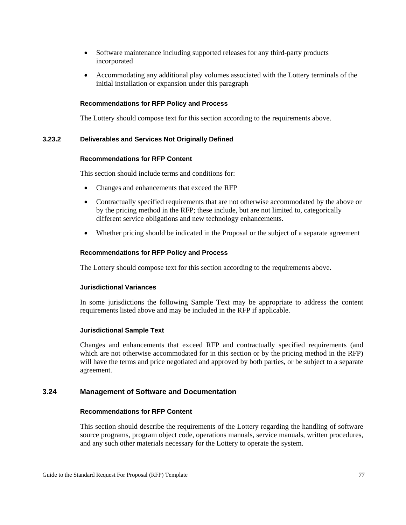- Software maintenance including supported releases for any third-party products incorporated
- Accommodating any additional play volumes associated with the Lottery terminals of the initial installation or expansion under this paragraph

The Lottery should compose text for this section according to the requirements above.

### **3.23.2 Deliverables and Services Not Originally Defined**

#### **Recommendations for RFP Content**

This section should include terms and conditions for:

- Changes and enhancements that exceed the RFP
- Contractually specified requirements that are not otherwise accommodated by the above or by the pricing method in the RFP; these include, but are not limited to, categorically different service obligations and new technology enhancements.
- Whether pricing should be indicated in the Proposal or the subject of a separate agreement

#### **Recommendations for RFP Policy and Process**

The Lottery should compose text for this section according to the requirements above.

#### **Jurisdictional Variances**

In some jurisdictions the following Sample Text may be appropriate to address the content requirements listed above and may be included in the RFP if applicable.

#### **Jurisdictional Sample Text**

Changes and enhancements that exceed RFP and contractually specified requirements (and which are not otherwise accommodated for in this section or by the pricing method in the RFP) will have the terms and price negotiated and approved by both parties, or be subject to a separate agreement.

### **3.24 Management of Software and Documentation**

### **Recommendations for RFP Content**

This section should describe the requirements of the Lottery regarding the handling of software source programs, program object code, operations manuals, service manuals, written procedures, and any such other materials necessary for the Lottery to operate the system.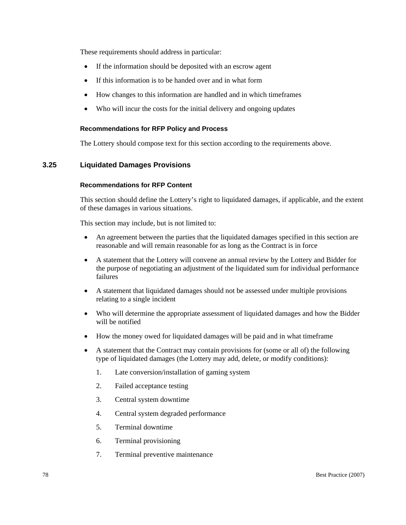These requirements should address in particular:

- If the information should be deposited with an escrow agent
- If this information is to be handed over and in what form
- How changes to this information are handled and in which timeframes
- Who will incur the costs for the initial delivery and ongoing updates

### **Recommendations for RFP Policy and Process**

The Lottery should compose text for this section according to the requirements above.

# **3.25 Liquidated Damages Provisions**

#### **Recommendations for RFP Content**

This section should define the Lottery's right to liquidated damages, if applicable, and the extent of these damages in various situations.

This section may include, but is not limited to:

- An agreement between the parties that the liquidated damages specified in this section are reasonable and will remain reasonable for as long as the Contract is in force
- A statement that the Lottery will convene an annual review by the Lottery and Bidder for the purpose of negotiating an adjustment of the liquidated sum for individual performance failures
- A statement that liquidated damages should not be assessed under multiple provisions relating to a single incident
- Who will determine the appropriate assessment of liquidated damages and how the Bidder will be notified
- How the money owed for liquidated damages will be paid and in what timeframe
- A statement that the Contract may contain provisions for (some or all of) the following type of liquidated damages (the Lottery may add, delete, or modify conditions):
	- 1. Late conversion/installation of gaming system
	- 2. Failed acceptance testing
	- 3. Central system downtime
	- 4. Central system degraded performance
	- 5. Terminal downtime
	- 6. Terminal provisioning
	- 7. Terminal preventive maintenance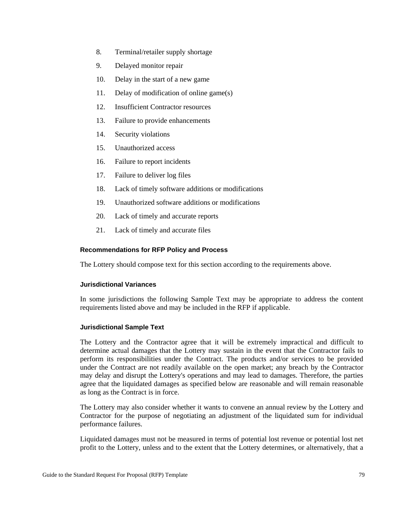- 8. Terminal/retailer supply shortage
- 9. Delayed monitor repair
- 10. Delay in the start of a new game
- 11. Delay of modification of online game(s)
- 12. Insufficient Contractor resources
- 13. Failure to provide enhancements
- 14. Security violations
- 15. Unauthorized access
- 16. Failure to report incidents
- 17. Failure to deliver log files
- 18. Lack of timely software additions or modifications
- 19. Unauthorized software additions or modifications
- 20. Lack of timely and accurate reports
- 21. Lack of timely and accurate files

The Lottery should compose text for this section according to the requirements above.

#### **Jurisdictional Variances**

In some jurisdictions the following Sample Text may be appropriate to address the content requirements listed above and may be included in the RFP if applicable.

#### **Jurisdictional Sample Text**

The Lottery and the Contractor agree that it will be extremely impractical and difficult to determine actual damages that the Lottery may sustain in the event that the Contractor fails to perform its responsibilities under the Contract. The products and/or services to be provided under the Contract are not readily available on the open market; any breach by the Contractor may delay and disrupt the Lottery's operations and may lead to damages. Therefore, the parties agree that the liquidated damages as specified below are reasonable and will remain reasonable as long as the Contract is in force.

The Lottery may also consider whether it wants to convene an annual review by the Lottery and Contractor for the purpose of negotiating an adjustment of the liquidated sum for individual performance failures.

Liquidated damages must not be measured in terms of potential lost revenue or potential lost net profit to the Lottery, unless and to the extent that the Lottery determines, or alternatively, that a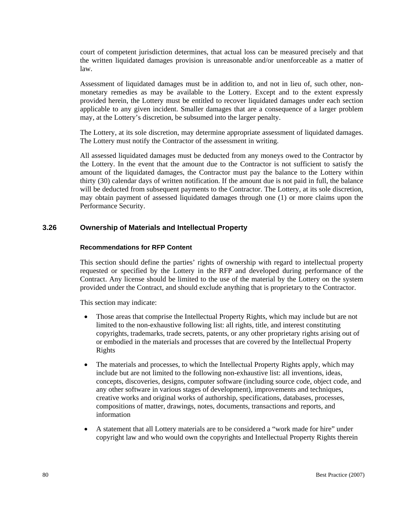court of competent jurisdiction determines, that actual loss can be measured precisely and that the written liquidated damages provision is unreasonable and/or unenforceable as a matter of law.

Assessment of liquidated damages must be in addition to, and not in lieu of, such other, nonmonetary remedies as may be available to the Lottery. Except and to the extent expressly provided herein, the Lottery must be entitled to recover liquidated damages under each section applicable to any given incident. Smaller damages that are a consequence of a larger problem may, at the Lottery's discretion, be subsumed into the larger penalty.

The Lottery, at its sole discretion, may determine appropriate assessment of liquidated damages. The Lottery must notify the Contractor of the assessment in writing.

All assessed liquidated damages must be deducted from any moneys owed to the Contractor by the Lottery. In the event that the amount due to the Contractor is not sufficient to satisfy the amount of the liquidated damages, the Contractor must pay the balance to the Lottery within thirty (30) calendar days of written notification. If the amount due is not paid in full, the balance will be deducted from subsequent payments to the Contractor. The Lottery, at its sole discretion, may obtain payment of assessed liquidated damages through one (1) or more claims upon the Performance Security.

# **3.26 Ownership of Materials and Intellectual Property**

### **Recommendations for RFP Content**

This section should define the parties' rights of ownership with regard to intellectual property requested or specified by the Lottery in the RFP and developed during performance of the Contract. Any license should be limited to the use of the material by the Lottery on the system provided under the Contract, and should exclude anything that is proprietary to the Contractor.

This section may indicate:

- Those areas that comprise the Intellectual Property Rights, which may include but are not limited to the non-exhaustive following list: all rights, title, and interest constituting copyrights, trademarks, trade secrets, patents, or any other proprietary rights arising out of or embodied in the materials and processes that are covered by the Intellectual Property Rights
- The materials and processes, to which the Intellectual Property Rights apply, which may include but are not limited to the following non-exhaustive list: all inventions, ideas, concepts, discoveries, designs, computer software (including source code, object code, and any other software in various stages of development), improvements and techniques, creative works and original works of authorship, specifications, databases, processes, compositions of matter, drawings, notes, documents, transactions and reports, and information
- A statement that all Lottery materials are to be considered a "work made for hire" under copyright law and who would own the copyrights and Intellectual Property Rights therein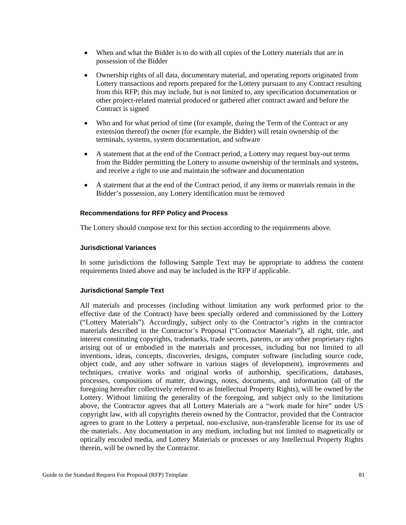- When and what the Bidder is to do with all copies of the Lottery materials that are in possession of the Bidder
- Ownership rights of all data, documentary material, and operating reports originated from Lottery transactions and reports prepared for the Lottery pursuant to any Contract resulting from this RFP; this may include, but is not limited to, any specification documentation or other project-related material produced or gathered after contract award and before the Contract is signed
- Who and for what period of time (for example, during the Term of the Contract or any extension thereof) the owner (for example, the Bidder) will retain ownership of the terminals, systems, system documentation, and software
- A statement that at the end of the Contract period, a Lottery may request buy-out terms from the Bidder permitting the Lottery to assume ownership of the terminals and systems, and receive a right to use and maintain the software and documentation
- A statement that at the end of the Contract period, if any items or materials remain in the Bidder's possession, any Lottery identification must be removed

The Lottery should compose text for this section according to the requirements above.

#### **Jurisdictional Variances**

In some jurisdictions the following Sample Text may be appropriate to address the content requirements listed above and may be included in the RFP if applicable.

#### **Jurisdictional Sample Text**

All materials and processes (including without limitation any work performed prior to the effective date of the Contract) have been specially ordered and commissioned by the Lottery ("Lottery Materials"). Accordingly, subject only to the Contractor's rights in the contractor materials described in the Contractor's Proposal ("Contractor Materials"), all right, title, and interest constituting copyrights, trademarks, trade secrets, patents, or any other proprietary rights arising out of or embodied in the materials and processes, including but not limited to all inventions, ideas, concepts, discoveries, designs, computer software (including source code, object code, and any other software in various stages of development), improvements and techniques, creative works and original works of authorship, specifications, databases, processes, compositions of matter, drawings, notes, documents, and information (all of the foregoing hereafter collectively referred to as Intellectual Property Rights), will be owned by the Lottery. Without limiting the generality of the foregoing, and subject only to the limitations above, the Contractor agrees that all Lottery Materials are a "work made for hire" under US copyright law, with all copyrights therein owned by the Contractor, provided that the Contractor agrees to grant to the Lottery a perpetual, non-exclusive, non-transferable license for its use of the materials.. Any documentation in any medium, including but not limited to magnetically or optically encoded media, and Lottery Materials or processes or any Intellectual Property Rights therein, will be owned by the Contractor.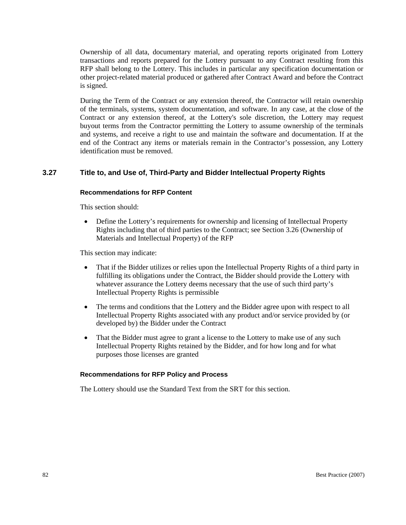Ownership of all data, documentary material, and operating reports originated from Lottery transactions and reports prepared for the Lottery pursuant to any Contract resulting from this RFP shall belong to the Lottery. This includes in particular any specification documentation or other project-related material produced or gathered after Contract Award and before the Contract is signed.

During the Term of the Contract or any extension thereof, the Contractor will retain ownership of the terminals, systems, system documentation, and software. In any case, at the close of the Contract or any extension thereof, at the Lottery's sole discretion, the Lottery may request buyout terms from the Contractor permitting the Lottery to assume ownership of the terminals and systems, and receive a right to use and maintain the software and documentation. If at the end of the Contract any items or materials remain in the Contractor's possession, any Lottery identification must be removed.

# **3.27 Title to, and Use of, Third-Party and Bidder Intellectual Property Rights**

#### **Recommendations for RFP Content**

This section should:

• Define the Lottery's requirements for ownership and licensing of Intellectual Property Rights including that of third parties to the Contract; see Section 3.26 (Ownership of Materials and Intellectual Property) of the RFP

This section may indicate:

- That if the Bidder utilizes or relies upon the Intellectual Property Rights of a third party in fulfilling its obligations under the Contract, the Bidder should provide the Lottery with whatever assurance the Lottery deems necessary that the use of such third party's Intellectual Property Rights is permissible
- The terms and conditions that the Lottery and the Bidder agree upon with respect to all Intellectual Property Rights associated with any product and/or service provided by (or developed by) the Bidder under the Contract
- That the Bidder must agree to grant a license to the Lottery to make use of any such Intellectual Property Rights retained by the Bidder, and for how long and for what purposes those licenses are granted

#### **Recommendations for RFP Policy and Process**

The Lottery should use the Standard Text from the SRT for this section.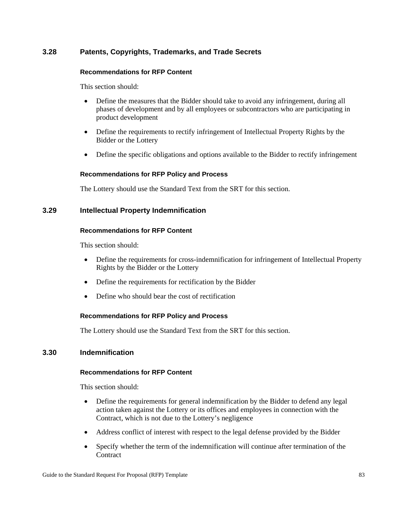# **3.28 Patents, Copyrights, Trademarks, and Trade Secrets**

### **Recommendations for RFP Content**

This section should:

- Define the measures that the Bidder should take to avoid any infringement, during all phases of development and by all employees or subcontractors who are participating in product development
- Define the requirements to rectify infringement of Intellectual Property Rights by the Bidder or the Lottery
- Define the specific obligations and options available to the Bidder to rectify infringement

# **Recommendations for RFP Policy and Process**

The Lottery should use the Standard Text from the SRT for this section.

# **3.29 Intellectual Property Indemnification**

### **Recommendations for RFP Content**

This section should:

- Define the requirements for cross-indemnification for infringement of Intellectual Property Rights by the Bidder or the Lottery
- Define the requirements for rectification by the Bidder
- Define who should bear the cost of rectification

# **Recommendations for RFP Policy and Process**

The Lottery should use the Standard Text from the SRT for this section.

# **3.30 Indemnification**

# **Recommendations for RFP Content**

- Define the requirements for general indemnification by the Bidder to defend any legal action taken against the Lottery or its offices and employees in connection with the Contract, which is not due to the Lottery's negligence
- Address conflict of interest with respect to the legal defense provided by the Bidder
- Specify whether the term of the indemnification will continue after termination of the **Contract**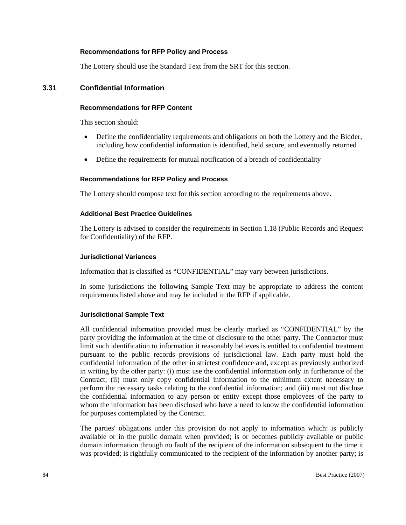The Lottery should use the Standard Text from the SRT for this section.

### **3.31 Confidential Information**

# **Recommendations for RFP Content**

This section should:

- Define the confidentiality requirements and obligations on both the Lottery and the Bidder, including how confidential information is identified, held secure, and eventually returned
- Define the requirements for mutual notification of a breach of confidentiality

#### **Recommendations for RFP Policy and Process**

The Lottery should compose text for this section according to the requirements above.

#### **Additional Best Practice Guidelines**

The Lottery is advised to consider the requirements in Section 1.18 (Public Records and Request for Confidentiality) of the RFP.

#### **Jurisdictional Variances**

Information that is classified as "CONFIDENTIAL" may vary between jurisdictions.

In some jurisdictions the following Sample Text may be appropriate to address the content requirements listed above and may be included in the RFP if applicable.

#### **Jurisdictional Sample Text**

All confidential information provided must be clearly marked as "CONFIDENTIAL" by the party providing the information at the time of disclosure to the other party. The Contractor must limit such identification to information it reasonably believes is entitled to confidential treatment pursuant to the public records provisions of jurisdictional law. Each party must hold the confidential information of the other in strictest confidence and, except as previously authorized in writing by the other party: (i) must use the confidential information only in furtherance of the Contract; (ii) must only copy confidential information to the minimum extent necessary to perform the necessary tasks relating to the confidential information; and (iii) must not disclose the confidential information to any person or entity except those employees of the party to whom the information has been disclosed who have a need to know the confidential information for purposes contemplated by the Contract.

The parties' obligations under this provision do not apply to information which: is publicly available or in the public domain when provided; is or becomes publicly available or public domain information through no fault of the recipient of the information subsequent to the time it was provided; is rightfully communicated to the recipient of the information by another party; is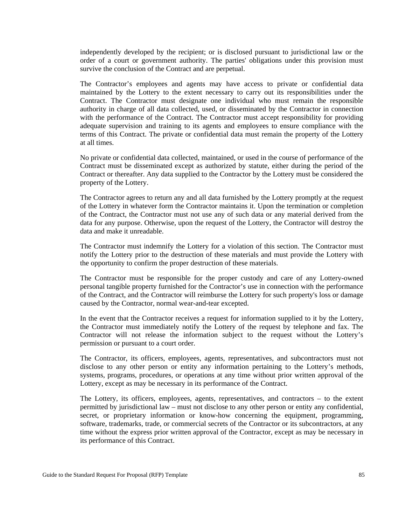independently developed by the recipient; or is disclosed pursuant to jurisdictional law or the order of a court or government authority. The parties' obligations under this provision must survive the conclusion of the Contract and are perpetual.

The Contractor's employees and agents may have access to private or confidential data maintained by the Lottery to the extent necessary to carry out its responsibilities under the Contract. The Contractor must designate one individual who must remain the responsible authority in charge of all data collected, used, or disseminated by the Contractor in connection with the performance of the Contract. The Contractor must accept responsibility for providing adequate supervision and training to its agents and employees to ensure compliance with the terms of this Contract. The private or confidential data must remain the property of the Lottery at all times.

No private or confidential data collected, maintained, or used in the course of performance of the Contract must be disseminated except as authorized by statute, either during the period of the Contract or thereafter. Any data supplied to the Contractor by the Lottery must be considered the property of the Lottery.

The Contractor agrees to return any and all data furnished by the Lottery promptly at the request of the Lottery in whatever form the Contractor maintains it. Upon the termination or completion of the Contract, the Contractor must not use any of such data or any material derived from the data for any purpose. Otherwise, upon the request of the Lottery, the Contractor will destroy the data and make it unreadable.

The Contractor must indemnify the Lottery for a violation of this section. The Contractor must notify the Lottery prior to the destruction of these materials and must provide the Lottery with the opportunity to confirm the proper destruction of these materials.

The Contractor must be responsible for the proper custody and care of any Lottery-owned personal tangible property furnished for the Contractor's use in connection with the performance of the Contract, and the Contractor will reimburse the Lottery for such property's loss or damage caused by the Contractor, normal wear-and-tear excepted.

In the event that the Contractor receives a request for information supplied to it by the Lottery, the Contractor must immediately notify the Lottery of the request by telephone and fax. The Contractor will not release the information subject to the request without the Lottery's permission or pursuant to a court order.

The Contractor, its officers, employees, agents, representatives, and subcontractors must not disclose to any other person or entity any information pertaining to the Lottery's methods, systems, programs, procedures, or operations at any time without prior written approval of the Lottery, except as may be necessary in its performance of the Contract.

The Lottery, its officers, employees, agents, representatives, and contractors – to the extent permitted by jurisdictional law – must not disclose to any other person or entity any confidential, secret, or proprietary information or know-how concerning the equipment, programming, software, trademarks, trade, or commercial secrets of the Contractor or its subcontractors, at any time without the express prior written approval of the Contractor, except as may be necessary in its performance of this Contract.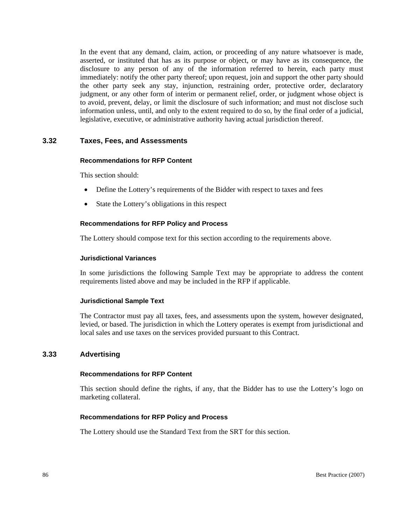In the event that any demand, claim, action, or proceeding of any nature whatsoever is made, asserted, or instituted that has as its purpose or object, or may have as its consequence, the disclosure to any person of any of the information referred to herein, each party must immediately: notify the other party thereof; upon request, join and support the other party should the other party seek any stay, injunction, restraining order, protective order, declaratory judgment, or any other form of interim or permanent relief, order, or judgment whose object is to avoid, prevent, delay, or limit the disclosure of such information; and must not disclose such information unless, until, and only to the extent required to do so, by the final order of a judicial, legislative, executive, or administrative authority having actual jurisdiction thereof.

# **3.32 Taxes, Fees, and Assessments**

### **Recommendations for RFP Content**

This section should:

- Define the Lottery's requirements of the Bidder with respect to taxes and fees
- State the Lottery's obligations in this respect

### **Recommendations for RFP Policy and Process**

The Lottery should compose text for this section according to the requirements above.

#### **Jurisdictional Variances**

In some jurisdictions the following Sample Text may be appropriate to address the content requirements listed above and may be included in the RFP if applicable.

#### **Jurisdictional Sample Text**

The Contractor must pay all taxes, fees, and assessments upon the system, however designated, levied, or based. The jurisdiction in which the Lottery operates is exempt from jurisdictional and local sales and use taxes on the services provided pursuant to this Contract.

# **3.33 Advertising**

#### **Recommendations for RFP Content**

This section should define the rights, if any, that the Bidder has to use the Lottery's logo on marketing collateral.

#### **Recommendations for RFP Policy and Process**

The Lottery should use the Standard Text from the SRT for this section.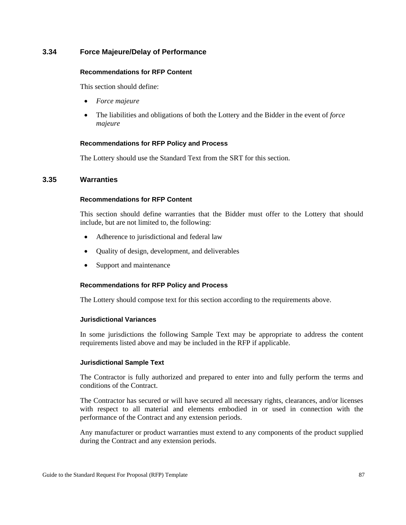# **3.34 Force Majeure/Delay of Performance**

#### **Recommendations for RFP Content**

This section should define:

- *Force majeure*
- The liabilities and obligations of both the Lottery and the Bidder in the event of *force majeure*

#### **Recommendations for RFP Policy and Process**

The Lottery should use the Standard Text from the SRT for this section.

### **3.35 Warranties**

#### **Recommendations for RFP Content**

This section should define warranties that the Bidder must offer to the Lottery that should include, but are not limited to, the following:

- Adherence to jurisdictional and federal law
- Quality of design, development, and deliverables
- Support and maintenance

#### **Recommendations for RFP Policy and Process**

The Lottery should compose text for this section according to the requirements above.

#### **Jurisdictional Variances**

In some jurisdictions the following Sample Text may be appropriate to address the content requirements listed above and may be included in the RFP if applicable.

#### **Jurisdictional Sample Text**

The Contractor is fully authorized and prepared to enter into and fully perform the terms and conditions of the Contract.

The Contractor has secured or will have secured all necessary rights, clearances, and/or licenses with respect to all material and elements embodied in or used in connection with the performance of the Contract and any extension periods.

Any manufacturer or product warranties must extend to any components of the product supplied during the Contract and any extension periods.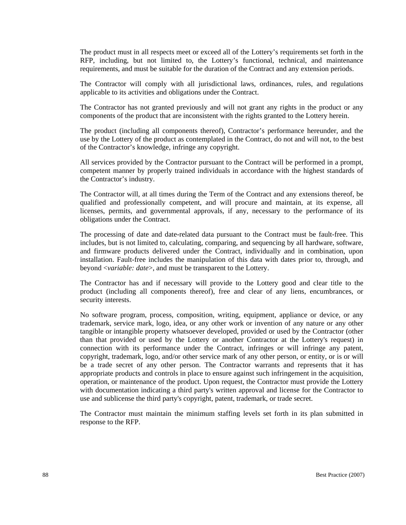The product must in all respects meet or exceed all of the Lottery's requirements set forth in the RFP, including, but not limited to, the Lottery's functional, technical, and maintenance requirements, and must be suitable for the duration of the Contract and any extension periods.

The Contractor will comply with all jurisdictional laws, ordinances, rules, and regulations applicable to its activities and obligations under the Contract.

The Contractor has not granted previously and will not grant any rights in the product or any components of the product that are inconsistent with the rights granted to the Lottery herein.

The product (including all components thereof), Contractor's performance hereunder, and the use by the Lottery of the product as contemplated in the Contract, do not and will not, to the best of the Contractor's knowledge, infringe any copyright.

All services provided by the Contractor pursuant to the Contract will be performed in a prompt, competent manner by properly trained individuals in accordance with the highest standards of the Contractor's industry.

The Contractor will, at all times during the Term of the Contract and any extensions thereof, be qualified and professionally competent, and will procure and maintain, at its expense, all licenses, permits, and governmental approvals, if any, necessary to the performance of its obligations under the Contract.

The processing of date and date-related data pursuant to the Contract must be fault-free. This includes, but is not limited to, calculating, comparing, and sequencing by all hardware, software, and firmware products delivered under the Contract, individually and in combination, upon installation. Fault-free includes the manipulation of this data with dates prior to, through, and beyond <*variable: date*>, and must be transparent to the Lottery.

The Contractor has and if necessary will provide to the Lottery good and clear title to the product (including all components thereof), free and clear of any liens, encumbrances, or security interests.

No software program, process, composition, writing, equipment, appliance or device, or any trademark, service mark, logo, idea, or any other work or invention of any nature or any other tangible or intangible property whatsoever developed, provided or used by the Contractor (other than that provided or used by the Lottery or another Contractor at the Lottery's request) in connection with its performance under the Contract, infringes or will infringe any patent, copyright, trademark, logo, and/or other service mark of any other person, or entity, or is or will be a trade secret of any other person. The Contractor warrants and represents that it has appropriate products and controls in place to ensure against such infringement in the acquisition, operation, or maintenance of the product. Upon request, the Contractor must provide the Lottery with documentation indicating a third party's written approval and license for the Contractor to use and sublicense the third party's copyright, patent, trademark, or trade secret.

The Contractor must maintain the minimum staffing levels set forth in its plan submitted in response to the RFP.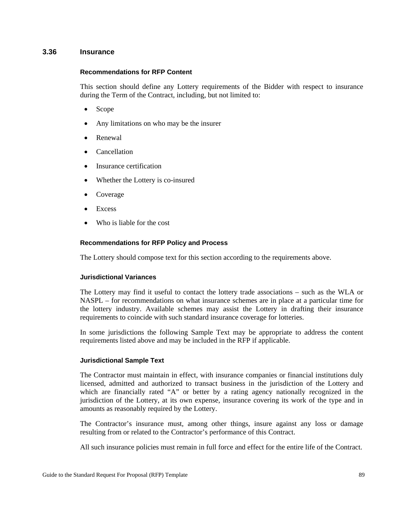#### **3.36 Insurance**

#### **Recommendations for RFP Content**

This section should define any Lottery requirements of the Bidder with respect to insurance during the Term of the Contract, including, but not limited to:

- Scope
- Any limitations on who may be the insurer
- Renewal
- **Cancellation**
- Insurance certification
- Whether the Lottery is co-insured
- Coverage
- **Excess**
- Who is liable for the cost

#### **Recommendations for RFP Policy and Process**

The Lottery should compose text for this section according to the requirements above.

### **Jurisdictional Variances**

The Lottery may find it useful to contact the lottery trade associations – such as the WLA or NASPL – for recommendations on what insurance schemes are in place at a particular time for the lottery industry. Available schemes may assist the Lottery in drafting their insurance requirements to coincide with such standard insurance coverage for lotteries.

In some jurisdictions the following Sample Text may be appropriate to address the content requirements listed above and may be included in the RFP if applicable.

#### **Jurisdictional Sample Text**

The Contractor must maintain in effect, with insurance companies or financial institutions duly licensed, admitted and authorized to transact business in the jurisdiction of the Lottery and which are financially rated "A" or better by a rating agency nationally recognized in the jurisdiction of the Lottery, at its own expense, insurance covering its work of the type and in amounts as reasonably required by the Lottery.

The Contractor's insurance must, among other things, insure against any loss or damage resulting from or related to the Contractor's performance of this Contract.

All such insurance policies must remain in full force and effect for the entire life of the Contract.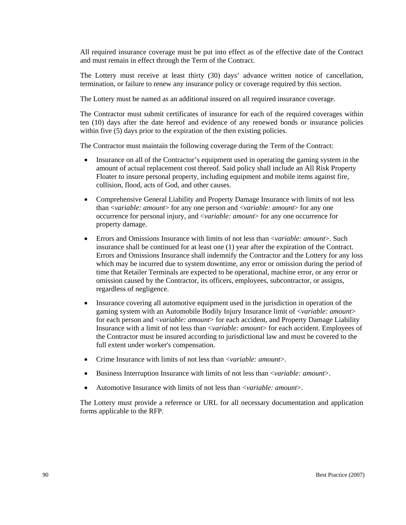All required insurance coverage must be put into effect as of the effective date of the Contract and must remain in effect through the Term of the Contract.

The Lottery must receive at least thirty (30) days' advance written notice of cancellation, termination, or failure to renew any insurance policy or coverage required by this section.

The Lottery must be named as an additional insured on all required insurance coverage.

The Contractor must submit certificates of insurance for each of the required coverages within ten (10) days after the date hereof and evidence of any renewed bonds or insurance policies within five (5) days prior to the expiration of the then existing policies.

The Contractor must maintain the following coverage during the Term of the Contract:

- Insurance on all of the Contractor's equipment used in operating the gaming system in the amount of actual replacement cost thereof. Said policy shall include an All Risk Property Floater to insure personal property, including equipment and mobile items against fire, collision, flood, acts of God, and other causes.
- Comprehensive General Liability and Property Damage Insurance with limits of not less than <*variable: amount*> for any one person and <*variable: amount*> for any one occurrence for personal injury, and <*variable: amount*> for any one occurrence for property damage.
- Errors and Omissions Insurance with limits of not less than <*variable: amount*>. Such insurance shall be continued for at least one (1) year after the expiration of the Contract. Errors and Omissions Insurance shall indemnify the Contractor and the Lottery for any loss which may be incurred due to system downtime, any error or omission during the period of time that Retailer Terminals are expected to be operational, machine error, or any error or omission caused by the Contractor, its officers, employees, subcontractor, or assigns, regardless of negligence.
- Insurance covering all automotive equipment used in the jurisdiction in operation of the gaming system with an Automobile Bodily Injury Insurance limit of <*variable: amount*> for each person and <*variable: amount*> for each accident, and Property Damage Liability Insurance with a limit of not less than <*variable: amount*> for each accident. Employees of the Contractor must be insured according to jurisdictional law and must be covered to the full extent under worker's compensation.
- Crime Insurance with limits of not less than <*variable: amount*>.
- Business Interruption Insurance with limits of not less than <*variable: amount*>.
- Automotive Insurance with limits of not less than <*variable: amount*>.

The Lottery must provide a reference or URL for all necessary documentation and application forms applicable to the RFP.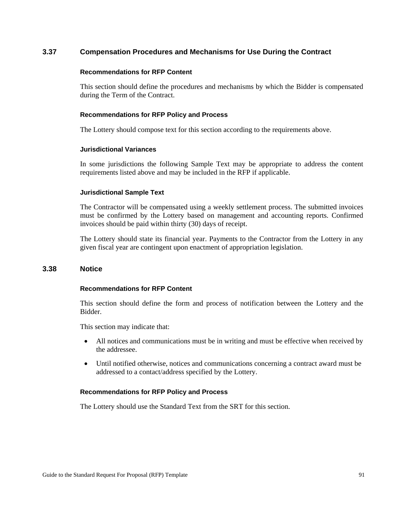# **3.37 Compensation Procedures and Mechanisms for Use During the Contract**

#### **Recommendations for RFP Content**

This section should define the procedures and mechanisms by which the Bidder is compensated during the Term of the Contract.

### **Recommendations for RFP Policy and Process**

The Lottery should compose text for this section according to the requirements above.

### **Jurisdictional Variances**

In some jurisdictions the following Sample Text may be appropriate to address the content requirements listed above and may be included in the RFP if applicable.

### **Jurisdictional Sample Text**

The Contractor will be compensated using a weekly settlement process. The submitted invoices must be confirmed by the Lottery based on management and accounting reports. Confirmed invoices should be paid within thirty (30) days of receipt.

The Lottery should state its financial year. Payments to the Contractor from the Lottery in any given fiscal year are contingent upon enactment of appropriation legislation.

# **3.38 Notice**

#### **Recommendations for RFP Content**

This section should define the form and process of notification between the Lottery and the Bidder.

This section may indicate that:

- All notices and communications must be in writing and must be effective when received by the addressee.
- Until notified otherwise, notices and communications concerning a contract award must be addressed to a contact/address specified by the Lottery.

# **Recommendations for RFP Policy and Process**

The Lottery should use the Standard Text from the SRT for this section.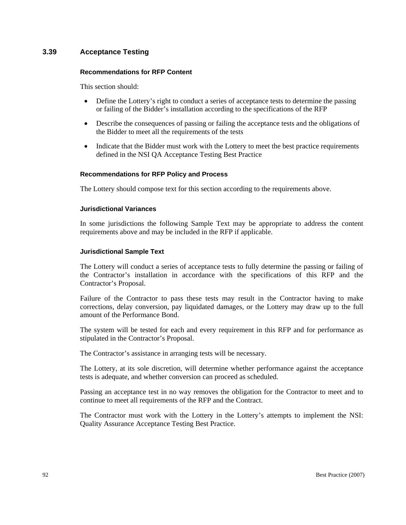# **3.39 Acceptance Testing**

#### **Recommendations for RFP Content**

This section should:

- Define the Lottery's right to conduct a series of acceptance tests to determine the passing or failing of the Bidder's installation according to the specifications of the RFP
- Describe the consequences of passing or failing the acceptance tests and the obligations of the Bidder to meet all the requirements of the tests
- Indicate that the Bidder must work with the Lottery to meet the best practice requirements defined in the NSI QA Acceptance Testing Best Practice

### **Recommendations for RFP Policy and Process**

The Lottery should compose text for this section according to the requirements above.

#### **Jurisdictional Variances**

In some jurisdictions the following Sample Text may be appropriate to address the content requirements above and may be included in the RFP if applicable.

#### **Jurisdictional Sample Text**

The Lottery will conduct a series of acceptance tests to fully determine the passing or failing of the Contractor's installation in accordance with the specifications of this RFP and the Contractor's Proposal.

Failure of the Contractor to pass these tests may result in the Contractor having to make corrections, delay conversion, pay liquidated damages, or the Lottery may draw up to the full amount of the Performance Bond.

The system will be tested for each and every requirement in this RFP and for performance as stipulated in the Contractor's Proposal.

The Contractor's assistance in arranging tests will be necessary.

The Lottery, at its sole discretion, will determine whether performance against the acceptance tests is adequate, and whether conversion can proceed as scheduled.

Passing an acceptance test in no way removes the obligation for the Contractor to meet and to continue to meet all requirements of the RFP and the Contract.

The Contractor must work with the Lottery in the Lottery's attempts to implement the NSI: Quality Assurance Acceptance Testing Best Practice.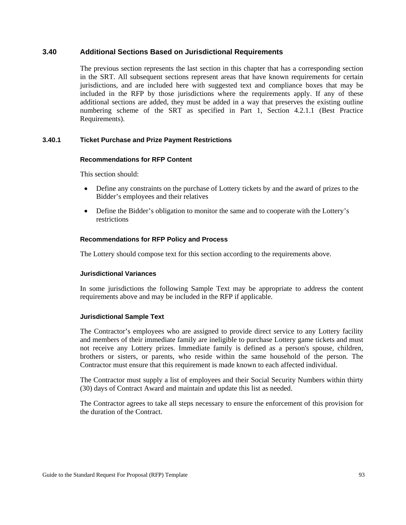### **3.40 Additional Sections Based on Jurisdictional Requirements**

The previous section represents the last section in this chapter that has a corresponding section in the SRT. All subsequent sections represent areas that have known requirements for certain jurisdictions, and are included here with suggested text and compliance boxes that may be included in the RFP by those jurisdictions where the requirements apply. If any of these additional sections are added, they must be added in a way that preserves the existing outline numbering scheme of the SRT as specified in Part 1, Section 4.2.1.1 (Best Practice Requirements).

### **3.40.1 Ticket Purchase and Prize Payment Restrictions**

#### **Recommendations for RFP Content**

This section should:

- Define any constraints on the purchase of Lottery tickets by and the award of prizes to the Bidder's employees and their relatives
- Define the Bidder's obligation to monitor the same and to cooperate with the Lottery's restrictions

#### **Recommendations for RFP Policy and Process**

The Lottery should compose text for this section according to the requirements above.

### **Jurisdictional Variances**

In some jurisdictions the following Sample Text may be appropriate to address the content requirements above and may be included in the RFP if applicable.

#### **Jurisdictional Sample Text**

The Contractor's employees who are assigned to provide direct service to any Lottery facility and members of their immediate family are ineligible to purchase Lottery game tickets and must not receive any Lottery prizes. Immediate family is defined as a person's spouse, children, brothers or sisters, or parents, who reside within the same household of the person. The Contractor must ensure that this requirement is made known to each affected individual.

The Contractor must supply a list of employees and their Social Security Numbers within thirty (30) days of Contract Award and maintain and update this list as needed.

The Contractor agrees to take all steps necessary to ensure the enforcement of this provision for the duration of the Contract.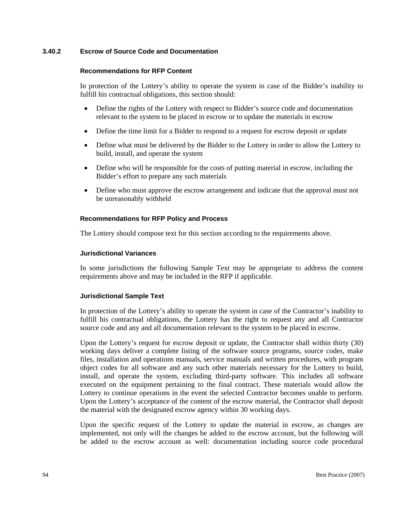### **3.40.2 Escrow of Source Code and Documentation**

#### **Recommendations for RFP Content**

In protection of the Lottery's ability to operate the system in case of the Bidder's inability to fulfill his contractual obligations, this section should:

- Define the rights of the Lottery with respect to Bidder's source code and documentation relevant to the system to be placed in escrow or to update the materials in escrow
- Define the time limit for a Bidder to respond to a request for escrow deposit or update
- Define what must be delivered by the Bidder to the Lottery in order to allow the Lottery to build, install, and operate the system
- Define who will be responsible for the costs of putting material in escrow, including the Bidder's effort to prepare any such materials
- Define who must approve the escrow arrangement and indicate that the approval must not be unreasonably withheld

#### **Recommendations for RFP Policy and Process**

The Lottery should compose text for this section according to the requirements above.

#### **Jurisdictional Variances**

In some jurisdictions the following Sample Text may be appropriate to address the content requirements above and may be included in the RFP if applicable.

#### **Jurisdictional Sample Text**

In protection of the Lottery's ability to operate the system in case of the Contractor's inability to fulfill his contractual obligations, the Lottery has the right to request any and all Contractor source code and any and all documentation relevant to the system to be placed in escrow.

Upon the Lottery's request for escrow deposit or update, the Contractor shall within thirty (30) working days deliver a complete listing of the software source programs, source codes, make files, installation and operations manuals, service manuals and written procedures, with program object codes for all software and any such other materials necessary for the Lottery to build, install, and operate the system, excluding third-party software. This includes all software executed on the equipment pertaining to the final contract. These materials would allow the Lottery to continue operations in the event the selected Contractor becomes unable to perform. Upon the Lottery's acceptance of the content of the escrow material, the Contractor shall deposit the material with the designated escrow agency within 30 working days.

Upon the specific request of the Lottery to update the material in escrow, as changes are implemented, not only will the changes be added to the escrow account, but the following will be added to the escrow account as well: documentation including source code procedural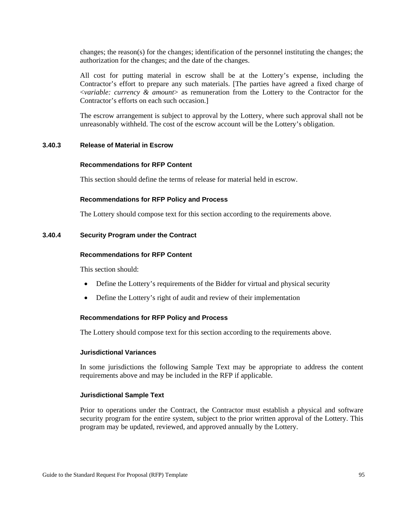changes; the reason(s) for the changes; identification of the personnel instituting the changes; the authorization for the changes; and the date of the changes.

All cost for putting material in escrow shall be at the Lottery's expense, including the Contractor's effort to prepare any such materials. [The parties have agreed a fixed charge of <*variable: currency & amount*> as remuneration from the Lottery to the Contractor for the Contractor's efforts on each such occasion.]

The escrow arrangement is subject to approval by the Lottery, where such approval shall not be unreasonably withheld. The cost of the escrow account will be the Lottery's obligation.

#### **3.40.3 Release of Material in Escrow**

#### **Recommendations for RFP Content**

This section should define the terms of release for material held in escrow.

#### **Recommendations for RFP Policy and Process**

The Lottery should compose text for this section according to the requirements above.

#### **3.40.4 Security Program under the Contract**

#### **Recommendations for RFP Content**

This section should:

- Define the Lottery's requirements of the Bidder for virtual and physical security
- Define the Lottery's right of audit and review of their implementation

#### **Recommendations for RFP Policy and Process**

The Lottery should compose text for this section according to the requirements above.

#### **Jurisdictional Variances**

In some jurisdictions the following Sample Text may be appropriate to address the content requirements above and may be included in the RFP if applicable.

#### **Jurisdictional Sample Text**

Prior to operations under the Contract, the Contractor must establish a physical and software security program for the entire system, subject to the prior written approval of the Lottery. This program may be updated, reviewed, and approved annually by the Lottery.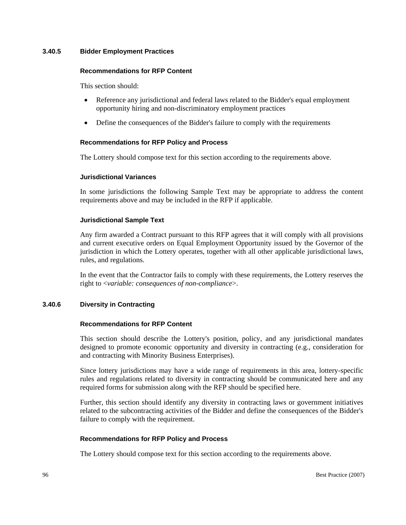### **3.40.5 Bidder Employment Practices**

#### **Recommendations for RFP Content**

This section should:

- Reference any jurisdictional and federal laws related to the Bidder's equal employment opportunity hiring and non-discriminatory employment practices
- Define the consequences of the Bidder's failure to comply with the requirements

#### **Recommendations for RFP Policy and Process**

The Lottery should compose text for this section according to the requirements above.

#### **Jurisdictional Variances**

In some jurisdictions the following Sample Text may be appropriate to address the content requirements above and may be included in the RFP if applicable.

#### **Jurisdictional Sample Text**

Any firm awarded a Contract pursuant to this RFP agrees that it will comply with all provisions and current executive orders on Equal Employment Opportunity issued by the Governor of the jurisdiction in which the Lottery operates, together with all other applicable jurisdictional laws, rules, and regulations.

In the event that the Contractor fails to comply with these requirements, the Lottery reserves the right to <*variable: consequences of non-compliance*>.

#### **3.40.6 Diversity in Contracting**

#### **Recommendations for RFP Content**

This section should describe the Lottery's position, policy, and any jurisdictional mandates designed to promote economic opportunity and diversity in contracting (e.g., consideration for and contracting with Minority Business Enterprises).

Since lottery jurisdictions may have a wide range of requirements in this area, lottery-specific rules and regulations related to diversity in contracting should be communicated here and any required forms for submission along with the RFP should be specified here.

Further, this section should identify any diversity in contracting laws or government initiatives related to the subcontracting activities of the Bidder and define the consequences of the Bidder's failure to comply with the requirement.

#### **Recommendations for RFP Policy and Process**

The Lottery should compose text for this section according to the requirements above.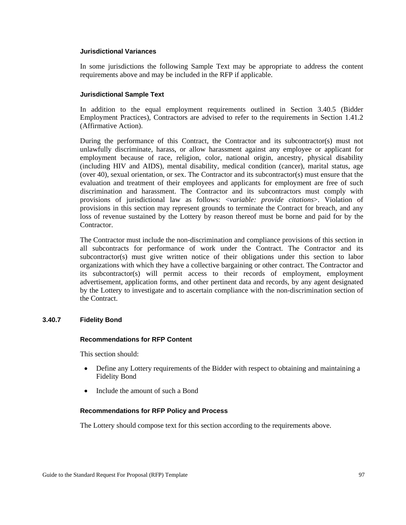## **Jurisdictional Variances**

In some jurisdictions the following Sample Text may be appropriate to address the content requirements above and may be included in the RFP if applicable.

#### **Jurisdictional Sample Text**

In addition to the equal employment requirements outlined in Section 3.40.5 (Bidder Employment Practices), Contractors are advised to refer to the requirements in Section 1.41.2 (Affirmative Action).

During the performance of this Contract, the Contractor and its subcontractor(s) must not unlawfully discriminate, harass, or allow harassment against any employee or applicant for employment because of race, religion, color, national origin, ancestry, physical disability (including HIV and AIDS), mental disability, medical condition (cancer), marital status, age (over 40), sexual orientation, or sex. The Contractor and its subcontractor(s) must ensure that the evaluation and treatment of their employees and applicants for employment are free of such discrimination and harassment. The Contractor and its subcontractors must comply with provisions of jurisdictional law as follows: <*variable: provide citations*>. Violation of provisions in this section may represent grounds to terminate the Contract for breach, and any loss of revenue sustained by the Lottery by reason thereof must be borne and paid for by the Contractor.

The Contractor must include the non-discrimination and compliance provisions of this section in all subcontracts for performance of work under the Contract. The Contractor and its subcontractor(s) must give written notice of their obligations under this section to labor organizations with which they have a collective bargaining or other contract. The Contractor and its subcontractor(s) will permit access to their records of employment, employment advertisement, application forms, and other pertinent data and records, by any agent designated by the Lottery to investigate and to ascertain compliance with the non-discrimination section of the Contract.

## **3.40.7 Fidelity Bond**

#### **Recommendations for RFP Content**

This section should:

- Define any Lottery requirements of the Bidder with respect to obtaining and maintaining a Fidelity Bond
- Include the amount of such a Bond

#### **Recommendations for RFP Policy and Process**

The Lottery should compose text for this section according to the requirements above.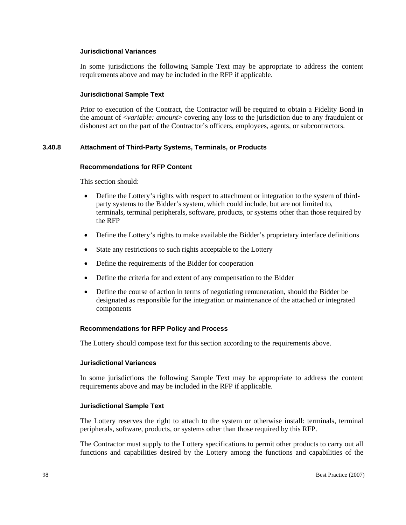## **Jurisdictional Variances**

In some jurisdictions the following Sample Text may be appropriate to address the content requirements above and may be included in the RFP if applicable.

#### **Jurisdictional Sample Text**

Prior to execution of the Contract, the Contractor will be required to obtain a Fidelity Bond in the amount of <*variable: amount*> covering any loss to the jurisdiction due to any fraudulent or dishonest act on the part of the Contractor's officers, employees, agents, or subcontractors.

#### **3.40.8 Attachment of Third-Party Systems, Terminals, or Products**

#### **Recommendations for RFP Content**

This section should:

- Define the Lottery's rights with respect to attachment or integration to the system of thirdparty systems to the Bidder's system, which could include, but are not limited to, terminals, terminal peripherals, software, products, or systems other than those required by the RFP
- Define the Lottery's rights to make available the Bidder's proprietary interface definitions
- State any restrictions to such rights acceptable to the Lottery
- Define the requirements of the Bidder for cooperation
- Define the criteria for and extent of any compensation to the Bidder
- Define the course of action in terms of negotiating remuneration, should the Bidder be designated as responsible for the integration or maintenance of the attached or integrated components

## **Recommendations for RFP Policy and Process**

The Lottery should compose text for this section according to the requirements above.

#### **Jurisdictional Variances**

In some jurisdictions the following Sample Text may be appropriate to address the content requirements above and may be included in the RFP if applicable.

#### **Jurisdictional Sample Text**

The Lottery reserves the right to attach to the system or otherwise install: terminals, terminal peripherals, software, products, or systems other than those required by this RFP.

The Contractor must supply to the Lottery specifications to permit other products to carry out all functions and capabilities desired by the Lottery among the functions and capabilities of the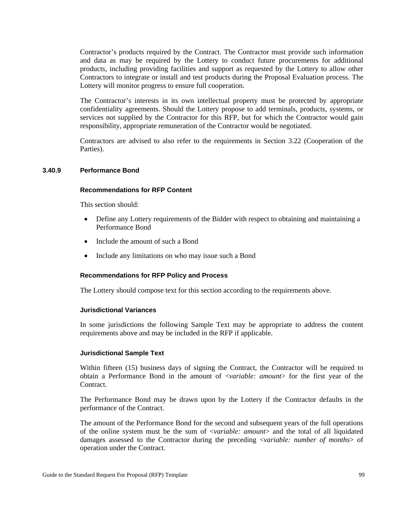Contractor's products required by the Contract. The Contractor must provide such information and data as may be required by the Lottery to conduct future procurements for additional products, including providing facilities and support as requested by the Lottery to allow other Contractors to integrate or install and test products during the Proposal Evaluation process. The Lottery will monitor progress to ensure full cooperation.

The Contractor's interests in its own intellectual property must be protected by appropriate confidentiality agreements. Should the Lottery propose to add terminals, products, systems, or services not supplied by the Contractor for this RFP, but for which the Contractor would gain responsibility, appropriate remuneration of the Contractor would be negotiated.

Contractors are advised to also refer to the requirements in Section 3.22 (Cooperation of the Parties).

#### **3.40.9 Performance Bond**

#### **Recommendations for RFP Content**

This section should:

- Define any Lottery requirements of the Bidder with respect to obtaining and maintaining a Performance Bond
- Include the amount of such a Bond
- Include any limitations on who may issue such a Bond

#### **Recommendations for RFP Policy and Process**

The Lottery should compose text for this section according to the requirements above.

#### **Jurisdictional Variances**

In some jurisdictions the following Sample Text may be appropriate to address the content requirements above and may be included in the RFP if applicable.

#### **Jurisdictional Sample Text**

Within fifteen (15) business days of signing the Contract, the Contractor will be required to obtain a Performance Bond in the amount of <*variable: amount*> for the first year of the Contract.

The Performance Bond may be drawn upon by the Lottery if the Contractor defaults in the performance of the Contract.

The amount of the Performance Bond for the second and subsequent years of the full operations of the online system must be the sum of <*variable: amount*> and the total of all liquidated damages assessed to the Contractor during the preceding <*variable: number of months*> of operation under the Contract.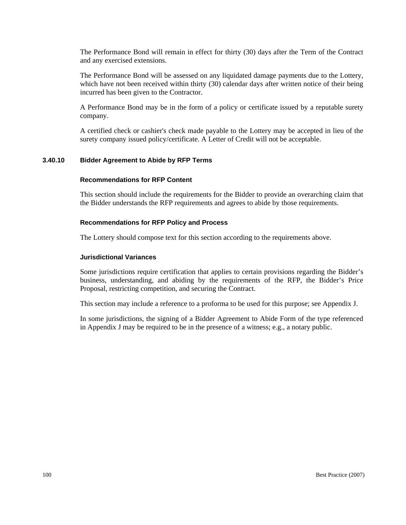The Performance Bond will remain in effect for thirty (30) days after the Term of the Contract and any exercised extensions.

The Performance Bond will be assessed on any liquidated damage payments due to the Lottery, which have not been received within thirty (30) calendar days after written notice of their being incurred has been given to the Contractor.

A Performance Bond may be in the form of a policy or certificate issued by a reputable surety company.

A certified check or cashier's check made payable to the Lottery may be accepted in lieu of the surety company issued policy/certificate. A Letter of Credit will not be acceptable.

## **3.40.10 Bidder Agreement to Abide by RFP Terms**

#### **Recommendations for RFP Content**

This section should include the requirements for the Bidder to provide an overarching claim that the Bidder understands the RFP requirements and agrees to abide by those requirements.

## **Recommendations for RFP Policy and Process**

The Lottery should compose text for this section according to the requirements above.

#### **Jurisdictional Variances**

Some jurisdictions require certification that applies to certain provisions regarding the Bidder's business, understanding, and abiding by the requirements of the RFP, the Bidder's Price Proposal, restricting competition, and securing the Contract.

This section may include a reference to a proforma to be used for this purpose; see Appendix J.

In some jurisdictions, the signing of a Bidder Agreement to Abide Form of the type referenced in Appendix J may be required to be in the presence of a witness; e.g., a notary public.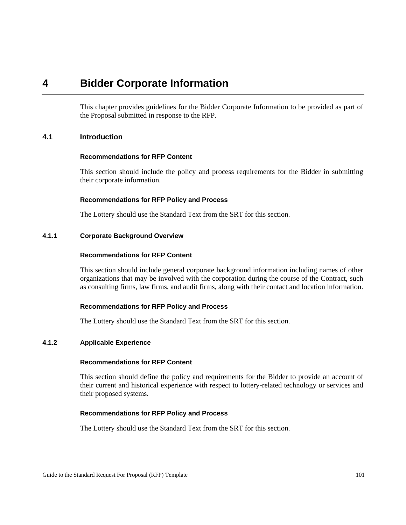## **4 Bidder Corporate Information**

This chapter provides guidelines for the Bidder Corporate Information to be provided as part of the Proposal submitted in response to the RFP.

## **4.1 Introduction**

#### **Recommendations for RFP Content**

This section should include the policy and process requirements for the Bidder in submitting their corporate information.

#### **Recommendations for RFP Policy and Process**

The Lottery should use the Standard Text from the SRT for this section.

## **4.1.1 Corporate Background Overview**

## **Recommendations for RFP Content**

This section should include general corporate background information including names of other organizations that may be involved with the corporation during the course of the Contract, such as consulting firms, law firms, and audit firms, along with their contact and location information.

## **Recommendations for RFP Policy and Process**

The Lottery should use the Standard Text from the SRT for this section.

## **4.1.2 Applicable Experience**

#### **Recommendations for RFP Content**

This section should define the policy and requirements for the Bidder to provide an account of their current and historical experience with respect to lottery-related technology or services and their proposed systems.

## **Recommendations for RFP Policy and Process**

The Lottery should use the Standard Text from the SRT for this section.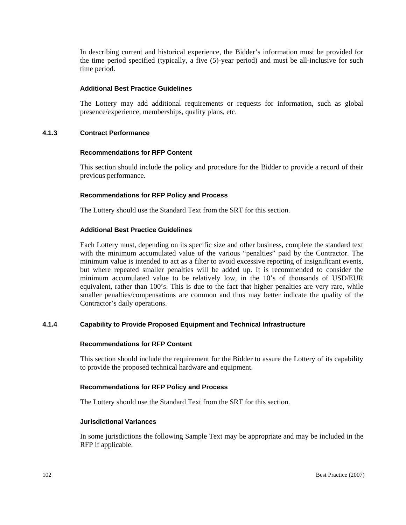In describing current and historical experience, the Bidder's information must be provided for the time period specified (typically, a five (5)-year period) and must be all-inclusive for such time period.

## **Additional Best Practice Guidelines**

The Lottery may add additional requirements or requests for information, such as global presence/experience, memberships, quality plans, etc.

## **4.1.3 Contract Performance**

#### **Recommendations for RFP Content**

This section should include the policy and procedure for the Bidder to provide a record of their previous performance.

## **Recommendations for RFP Policy and Process**

The Lottery should use the Standard Text from the SRT for this section.

## **Additional Best Practice Guidelines**

Each Lottery must, depending on its specific size and other business, complete the standard text with the minimum accumulated value of the various "penalties" paid by the Contractor. The minimum value is intended to act as a filter to avoid excessive reporting of insignificant events, but where repeated smaller penalties will be added up. It is recommended to consider the minimum accumulated value to be relatively low, in the 10's of thousands of USD/EUR equivalent, rather than 100's. This is due to the fact that higher penalties are very rare, while smaller penalties/compensations are common and thus may better indicate the quality of the Contractor's daily operations.

## **4.1.4 Capability to Provide Proposed Equipment and Technical Infrastructure**

## **Recommendations for RFP Content**

This section should include the requirement for the Bidder to assure the Lottery of its capability to provide the proposed technical hardware and equipment.

## **Recommendations for RFP Policy and Process**

The Lottery should use the Standard Text from the SRT for this section.

## **Jurisdictional Variances**

In some jurisdictions the following Sample Text may be appropriate and may be included in the RFP if applicable.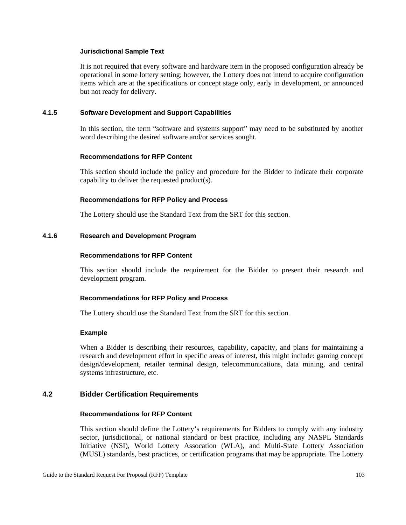## **Jurisdictional Sample Text**

It is not required that every software and hardware item in the proposed configuration already be operational in some lottery setting; however, the Lottery does not intend to acquire configuration items which are at the specifications or concept stage only, early in development, or announced but not ready for delivery.

#### **4.1.5 Software Development and Support Capabilities**

In this section, the term "software and systems support" may need to be substituted by another word describing the desired software and/or services sought.

#### **Recommendations for RFP Content**

This section should include the policy and procedure for the Bidder to indicate their corporate capability to deliver the requested product(s).

## **Recommendations for RFP Policy and Process**

The Lottery should use the Standard Text from the SRT for this section.

#### **4.1.6 Research and Development Program**

#### **Recommendations for RFP Content**

This section should include the requirement for the Bidder to present their research and development program.

## **Recommendations for RFP Policy and Process**

The Lottery should use the Standard Text from the SRT for this section.

#### **Example**

When a Bidder is describing their resources, capability, capacity, and plans for maintaining a research and development effort in specific areas of interest, this might include: gaming concept design/development, retailer terminal design, telecommunications, data mining, and central systems infrastructure, etc.

## **4.2 Bidder Certification Requirements**

## **Recommendations for RFP Content**

This section should define the Lottery's requirements for Bidders to comply with any industry sector, jurisdictional, or national standard or best practice, including any NASPL Standards Initiative (NSI), World Lottery Assocation (WLA), and Multi-State Lottery Association (MUSL) standards, best practices, or certification programs that may be appropriate. The Lottery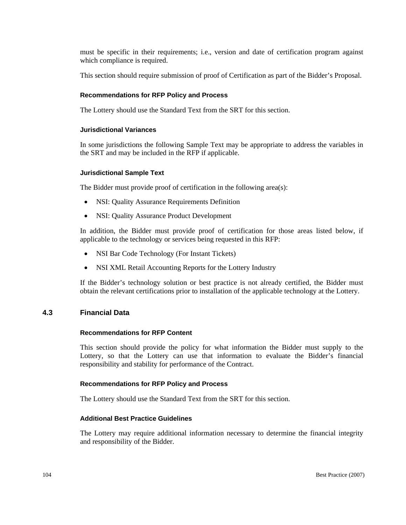must be specific in their requirements; i.e., version and date of certification program against which compliance is required.

This section should require submission of proof of Certification as part of the Bidder's Proposal.

## **Recommendations for RFP Policy and Process**

The Lottery should use the Standard Text from the SRT for this section.

## **Jurisdictional Variances**

In some jurisdictions the following Sample Text may be appropriate to address the variables in the SRT and may be included in the RFP if applicable.

## **Jurisdictional Sample Text**

The Bidder must provide proof of certification in the following area(s):

- NSI: Quality Assurance Requirements Definition
- NSI: Quality Assurance Product Development

In addition, the Bidder must provide proof of certification for those areas listed below, if applicable to the technology or services being requested in this RFP:

- NSI Bar Code Technology (For Instant Tickets)
- NSI XML Retail Accounting Reports for the Lottery Industry

If the Bidder's technology solution or best practice is not already certified, the Bidder must obtain the relevant certifications prior to installation of the applicable technology at the Lottery.

## **4.3 Financial Data**

## **Recommendations for RFP Content**

This section should provide the policy for what information the Bidder must supply to the Lottery, so that the Lottery can use that information to evaluate the Bidder's financial responsibility and stability for performance of the Contract.

## **Recommendations for RFP Policy and Process**

The Lottery should use the Standard Text from the SRT for this section.

## **Additional Best Practice Guidelines**

The Lottery may require additional information necessary to determine the financial integrity and responsibility of the Bidder.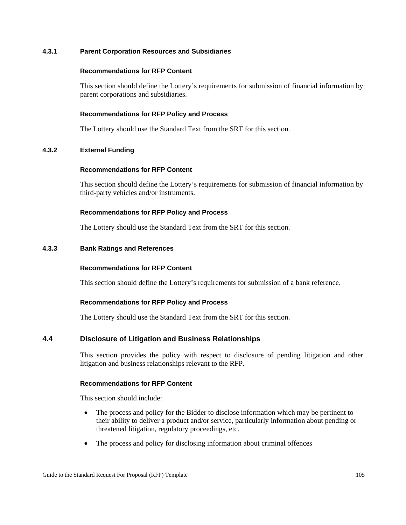## **4.3.1 Parent Corporation Resources and Subsidiaries**

#### **Recommendations for RFP Content**

This section should define the Lottery's requirements for submission of financial information by parent corporations and subsidiaries.

## **Recommendations for RFP Policy and Process**

The Lottery should use the Standard Text from the SRT for this section.

## **4.3.2 External Funding**

#### **Recommendations for RFP Content**

This section should define the Lottery's requirements for submission of financial information by third-party vehicles and/or instruments.

## **Recommendations for RFP Policy and Process**

The Lottery should use the Standard Text from the SRT for this section.

## **4.3.3 Bank Ratings and References**

## **Recommendations for RFP Content**

This section should define the Lottery's requirements for submission of a bank reference.

## **Recommendations for RFP Policy and Process**

The Lottery should use the Standard Text from the SRT for this section.

## **4.4 Disclosure of Litigation and Business Relationships**

This section provides the policy with respect to disclosure of pending litigation and other litigation and business relationships relevant to the RFP.

## **Recommendations for RFP Content**

This section should include:

- The process and policy for the Bidder to disclose information which may be pertinent to their ability to deliver a product and/or service, particularly information about pending or threatened litigation, regulatory proceedings, etc.
- The process and policy for disclosing information about criminal offences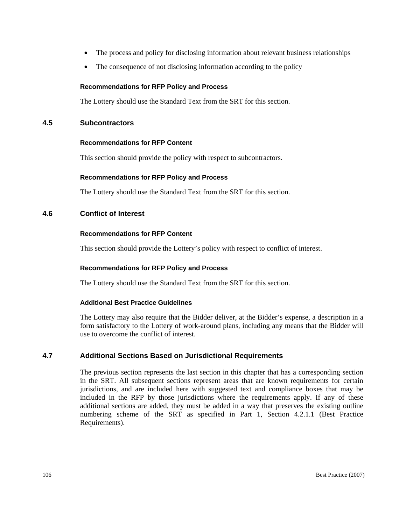- The process and policy for disclosing information about relevant business relationships
- The consequence of not disclosing information according to the policy

## **Recommendations for RFP Policy and Process**

The Lottery should use the Standard Text from the SRT for this section.

## **4.5 Subcontractors**

## **Recommendations for RFP Content**

This section should provide the policy with respect to subcontractors.

## **Recommendations for RFP Policy and Process**

The Lottery should use the Standard Text from the SRT for this section.

## **4.6 Conflict of Interest**

## **Recommendations for RFP Content**

This section should provide the Lottery's policy with respect to conflict of interest.

## **Recommendations for RFP Policy and Process**

The Lottery should use the Standard Text from the SRT for this section.

## **Additional Best Practice Guidelines**

The Lottery may also require that the Bidder deliver, at the Bidder's expense, a description in a form satisfactory to the Lottery of work-around plans, including any means that the Bidder will use to overcome the conflict of interest.

## **4.7 Additional Sections Based on Jurisdictional Requirements**

The previous section represents the last section in this chapter that has a corresponding section in the SRT. All subsequent sections represent areas that are known requirements for certain jurisdictions, and are included here with suggested text and compliance boxes that may be included in the RFP by those jurisdictions where the requirements apply. If any of these additional sections are added, they must be added in a way that preserves the existing outline numbering scheme of the SRT as specified in Part 1, Section 4.2.1.1 (Best Practice Requirements).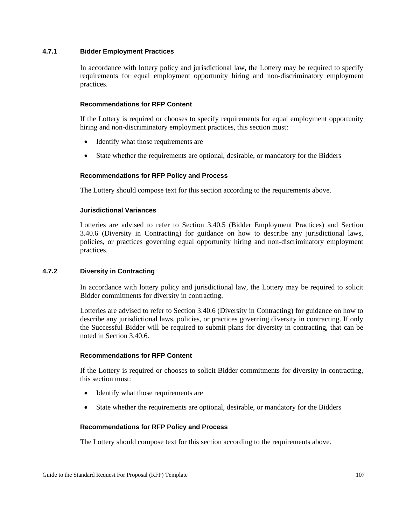## **4.7.1 Bidder Employment Practices**

In accordance with lottery policy and jurisdictional law, the Lottery may be required to specify requirements for equal employment opportunity hiring and non-discriminatory employment practices.

## **Recommendations for RFP Content**

If the Lottery is required or chooses to specify requirements for equal employment opportunity hiring and non-discriminatory employment practices, this section must:

- Identify what those requirements are
- State whether the requirements are optional, desirable, or mandatory for the Bidders

## **Recommendations for RFP Policy and Process**

The Lottery should compose text for this section according to the requirements above.

## **Jurisdictional Variances**

Lotteries are advised to refer to Section 3.40.5 (Bidder Employment Practices) and Section 3.40.6 (Diversity in Contracting) for guidance on how to describe any jurisdictional laws, policies, or practices governing equal opportunity hiring and non-discriminatory employment practices.

## **4.7.2 Diversity in Contracting**

In accordance with lottery policy and jurisdictional law, the Lottery may be required to solicit Bidder commitments for diversity in contracting.

Lotteries are advised to refer to Section 3.40.6 (Diversity in Contracting) for guidance on how to describe any jurisdictional laws, policies, or practices governing diversity in contracting. If only the Successful Bidder will be required to submit plans for diversity in contracting, that can be noted in Section 3.40.6.

## **Recommendations for RFP Content**

If the Lottery is required or chooses to solicit Bidder commitments for diversity in contracting, this section must:

- Identify what those requirements are
- State whether the requirements are optional, desirable, or mandatory for the Bidders

## **Recommendations for RFP Policy and Process**

The Lottery should compose text for this section according to the requirements above.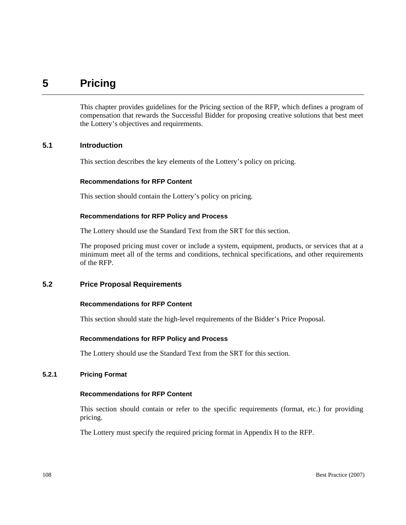## **5 Pricing**

This chapter provides guidelines for the Pricing section of the RFP, which defines a program of compensation that rewards the Successful Bidder for proposing creative solutions that best meet the Lottery's objectives and requirements.

## **5.1 Introduction**

This section describes the key elements of the Lottery's policy on pricing.

#### **Recommendations for RFP Content**

This section should contain the Lottery's policy on pricing.

## **Recommendations for RFP Policy and Process**

The Lottery should use the Standard Text from the SRT for this section.

The proposed pricing must cover or include a system, equipment, products, or services that at a minimum meet all of the terms and conditions, technical specifications, and other requirements of the RFP.

## **5.2 Price Proposal Requirements**

## **Recommendations for RFP Content**

This section should state the high-level requirements of the Bidder's Price Proposal.

## **Recommendations for RFP Policy and Process**

The Lottery should use the Standard Text from the SRT for this section.

## **5.2.1 Pricing Format**

## **Recommendations for RFP Content**

This section should contain or refer to the specific requirements (format, etc.) for providing pricing.

The Lottery must specify the required pricing format in Appendix H to the RFP.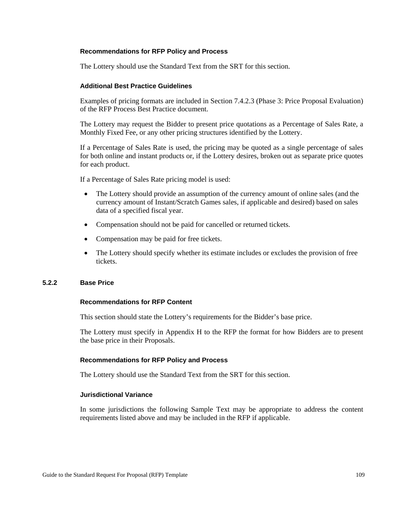## **Recommendations for RFP Policy and Process**

The Lottery should use the Standard Text from the SRT for this section.

## **Additional Best Practice Guidelines**

Examples of pricing formats are included in Section 7.4.2.3 (Phase 3: Price Proposal Evaluation) of the RFP Process Best Practice document.

The Lottery may request the Bidder to present price quotations as a Percentage of Sales Rate, a Monthly Fixed Fee, or any other pricing structures identified by the Lottery.

If a Percentage of Sales Rate is used, the pricing may be quoted as a single percentage of sales for both online and instant products or, if the Lottery desires, broken out as separate price quotes for each product.

If a Percentage of Sales Rate pricing model is used:

- The Lottery should provide an assumption of the currency amount of online sales (and the currency amount of Instant/Scratch Games sales, if applicable and desired) based on sales data of a specified fiscal year.
- Compensation should not be paid for cancelled or returned tickets.
- Compensation may be paid for free tickets.
- The Lottery should specify whether its estimate includes or excludes the provision of free tickets.

## **5.2.2 Base Price**

## **Recommendations for RFP Content**

This section should state the Lottery's requirements for the Bidder's base price.

The Lottery must specify in Appendix H to the RFP the format for how Bidders are to present the base price in their Proposals.

## **Recommendations for RFP Policy and Process**

The Lottery should use the Standard Text from the SRT for this section.

## **Jurisdictional Variance**

In some jurisdictions the following Sample Text may be appropriate to address the content requirements listed above and may be included in the RFP if applicable.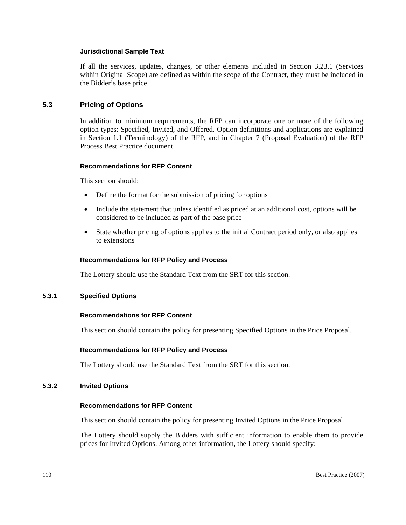## **Jurisdictional Sample Text**

If all the services, updates, changes, or other elements included in Section 3.23.1 (Services within Original Scope) are defined as within the scope of the Contract, they must be included in the Bidder's base price.

## **5.3 Pricing of Options**

In addition to minimum requirements, the RFP can incorporate one or more of the following option types: Specified, Invited, and Offered. Option definitions and applications are explained in Section 1.1 (Terminology) of the RFP, and in Chapter 7 (Proposal Evaluation) of the RFP Process Best Practice document.

## **Recommendations for RFP Content**

This section should:

- Define the format for the submission of pricing for options
- Include the statement that unless identified as priced at an additional cost, options will be considered to be included as part of the base price
- State whether pricing of options applies to the initial Contract period only, or also applies to extensions

## **Recommendations for RFP Policy and Process**

The Lottery should use the Standard Text from the SRT for this section.

## **5.3.1 Specified Options**

## **Recommendations for RFP Content**

This section should contain the policy for presenting Specified Options in the Price Proposal.

## **Recommendations for RFP Policy and Process**

The Lottery should use the Standard Text from the SRT for this section.

## **5.3.2 Invited Options**

## **Recommendations for RFP Content**

This section should contain the policy for presenting Invited Options in the Price Proposal.

The Lottery should supply the Bidders with sufficient information to enable them to provide prices for Invited Options. Among other information, the Lottery should specify: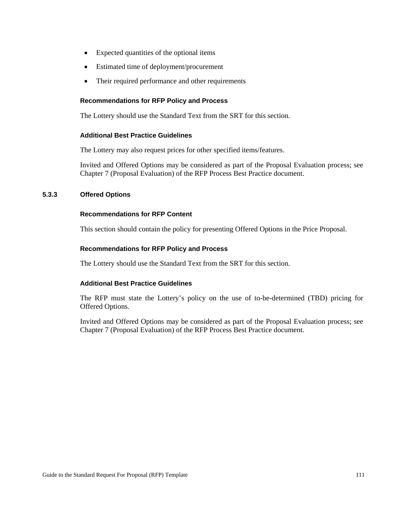- Expected quantities of the optional items
- Estimated time of deployment/procurement
- Their required performance and other requirements

## **Recommendations for RFP Policy and Process**

The Lottery should use the Standard Text from the SRT for this section.

## **Additional Best Practice Guidelines**

The Lottery may also request prices for other specified items/features.

Invited and Offered Options may be considered as part of the Proposal Evaluation process; see Chapter 7 (Proposal Evaluation) of the RFP Process Best Practice document.

## **5.3.3 Offered Options**

## **Recommendations for RFP Content**

This section should contain the policy for presenting Offered Options in the Price Proposal.

## **Recommendations for RFP Policy and Process**

The Lottery should use the Standard Text from the SRT for this section.

## **Additional Best Practice Guidelines**

The RFP must state the Lottery's policy on the use of to-be-determined (TBD) pricing for Offered Options.

Invited and Offered Options may be considered as part of the Proposal Evaluation process; see Chapter 7 (Proposal Evaluation) of the RFP Process Best Practice document.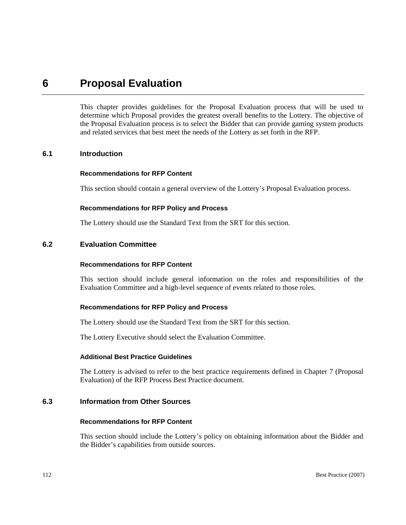## **6 Proposal Evaluation**

This chapter provides guidelines for the Proposal Evaluation process that will be used to determine which Proposal provides the greatest overall benefits to the Lottery. The objective of the Proposal Evaluation process is to select the Bidder that can provide gaming system products and related services that best meet the needs of the Lottery as set forth in the RFP.

## **6.1 Introduction**

## **Recommendations for RFP Content**

This section should contain a general overview of the Lottery's Proposal Evaluation process.

## **Recommendations for RFP Policy and Process**

The Lottery should use the Standard Text from the SRT for this section.

## **6.2 Evaluation Committee**

## **Recommendations for RFP Content**

This section should include general information on the roles and responsibilities of the Evaluation Committee and a high-level sequence of events related to those roles.

## **Recommendations for RFP Policy and Process**

The Lottery should use the Standard Text from the SRT for this section.

The Lottery Executive should select the Evaluation Committee.

## **Additional Best Practice Guidelines**

The Lottery is advised to refer to the best practice requirements defined in Chapter 7 (Proposal Evaluation) of the RFP Process Best Practice document.

## **6.3 Information from Other Sources**

## **Recommendations for RFP Content**

This section should include the Lottery's policy on obtaining information about the Bidder and the Bidder's capabilities from outside sources.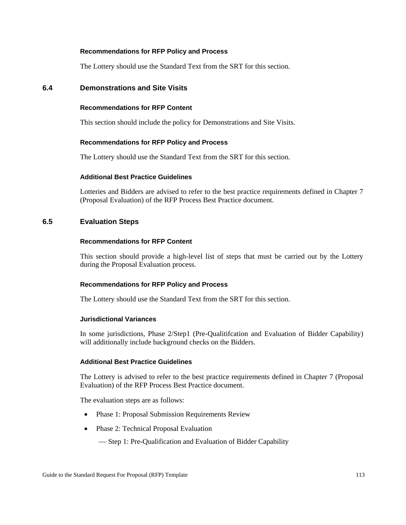## **Recommendations for RFP Policy and Process**

The Lottery should use the Standard Text from the SRT for this section.

## **6.4 Demonstrations and Site Visits**

## **Recommendations for RFP Content**

This section should include the policy for Demonstrations and Site Visits.

## **Recommendations for RFP Policy and Process**

The Lottery should use the Standard Text from the SRT for this section.

#### **Additional Best Practice Guidelines**

Lotteries and Bidders are advised to refer to the best practice requirements defined in Chapter 7 (Proposal Evaluation) of the RFP Process Best Practice document.

## **6.5 Evaluation Steps**

## **Recommendations for RFP Content**

This section should provide a high-level list of steps that must be carried out by the Lottery during the Proposal Evaluation process.

## **Recommendations for RFP Policy and Process**

The Lottery should use the Standard Text from the SRT for this section.

## **Jurisdictional Variances**

In some jurisdictions, Phase 2/Step1 (Pre-Qualitifcation and Evaluation of Bidder Capability) will additionally include background checks on the Bidders.

#### **Additional Best Practice Guidelines**

The Lottery is advised to refer to the best practice requirements defined in Chapter 7 (Proposal Evaluation) of the RFP Process Best Practice document.

The evaluation steps are as follows:

- Phase 1: Proposal Submission Requirements Review
- Phase 2: Technical Proposal Evaluation
	- -Step 1: Pre-Qualification and Evaluation of Bidder Capability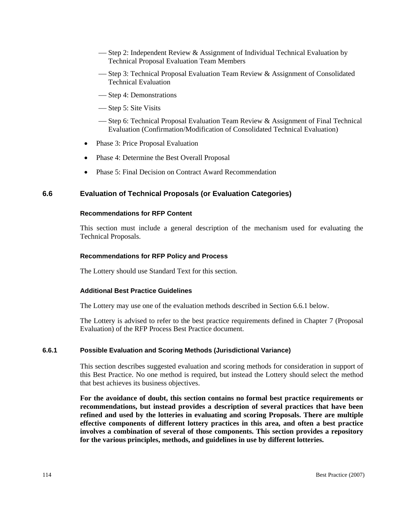- $\sim$  Step 2: Independent Review & Assignment of Individual Technical Evaluation by Technical Proposal Evaluation Team Members
- ← Step 3: Technical Proposal Evaluation Team Review & Assignment of Consolidated Technical Evaluation
- Step 4: Demonstrations
- Step 5: Site Visits
- Step 6: Technical Proposal Evaluation Team Review  $\&$  Assignment of Final Technical Evaluation (Confirmation/Modification of Consolidated Technical Evaluation)
- Phase 3: Price Proposal Evaluation
- Phase 4: Determine the Best Overall Proposal
- Phase 5: Final Decision on Contract Award Recommendation

## **6.6 Evaluation of Technical Proposals (or Evaluation Categories)**

#### **Recommendations for RFP Content**

This section must include a general description of the mechanism used for evaluating the Technical Proposals.

## **Recommendations for RFP Policy and Process**

The Lottery should use Standard Text for this section.

## **Additional Best Practice Guidelines**

The Lottery may use one of the evaluation methods described in Section 6.6.1 below.

The Lottery is advised to refer to the best practice requirements defined in Chapter 7 (Proposal Evaluation) of the RFP Process Best Practice document.

## **6.6.1 Possible Evaluation and Scoring Methods (Jurisdictional Variance)**

This section describes suggested evaluation and scoring methods for consideration in support of this Best Practice. No one method is required, but instead the Lottery should select the method that best achieves its business objectives.

**For the avoidance of doubt, this section contains no formal best practice requirements or recommendations, but instead provides a description of several practices that have been refined and used by the lotteries in evaluating and scoring Proposals. There are multiple effective components of different lottery practices in this area, and often a best practice involves a combination of several of those components. This section provides a repository for the various principles, methods, and guidelines in use by different lotteries.**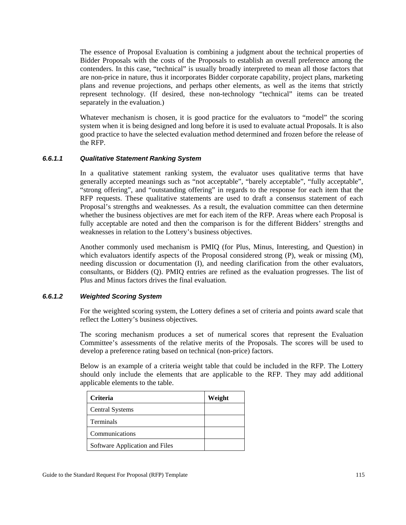The essence of Proposal Evaluation is combining a judgment about the technical properties of Bidder Proposals with the costs of the Proposals to establish an overall preference among the contenders. In this case, "technical" is usually broadly interpreted to mean all those factors that are non-price in nature, thus it incorporates Bidder corporate capability, project plans, marketing plans and revenue projections, and perhaps other elements, as well as the items that strictly represent technology. (If desired, these non-technology "technical" items can be treated separately in the evaluation.)

Whatever mechanism is chosen, it is good practice for the evaluators to "model" the scoring system when it is being designed and long before it is used to evaluate actual Proposals. It is also good practice to have the selected evaluation method determined and frozen before the release of the RFP.

## *6.6.1.1 Qualitative Statement Ranking System*

In a qualitative statement ranking system, the evaluator uses qualitative terms that have generally accepted meanings such as "not acceptable", "barely acceptable", "fully acceptable", "strong offering", and "outstanding offering" in regards to the response for each item that the RFP requests. These qualitative statements are used to draft a consensus statement of each Proposal's strengths and weaknesses. As a result, the evaluation committee can then determine whether the business objectives are met for each item of the RFP. Areas where each Proposal is fully acceptable are noted and then the comparison is for the different Bidders' strengths and weaknesses in relation to the Lottery's business objectives.

Another commonly used mechanism is PMIQ (for Plus, Minus, Interesting, and Question) in which evaluators identify aspects of the Proposal considered strong (P), weak or missing (M), needing discussion or documentation (I), and needing clarification from the other evaluators, consultants, or Bidders (Q). PMIQ entries are refined as the evaluation progresses. The list of Plus and Minus factors drives the final evaluation.

## *6.6.1.2 Weighted Scoring System*

For the weighted scoring system, the Lottery defines a set of criteria and points award scale that reflect the Lottery's business objectives.

The scoring mechanism produces a set of numerical scores that represent the Evaluation Committee's assessments of the relative merits of the Proposals. The scores will be used to develop a preference rating based on technical (non-price) factors.

Below is an example of a criteria weight table that could be included in the RFP. The Lottery should only include the elements that are applicable to the RFP. They may add additional applicable elements to the table.

| <b>Criteria</b>                | Weight |
|--------------------------------|--------|
| <b>Central Systems</b>         |        |
| Terminals                      |        |
| Communications                 |        |
| Software Application and Files |        |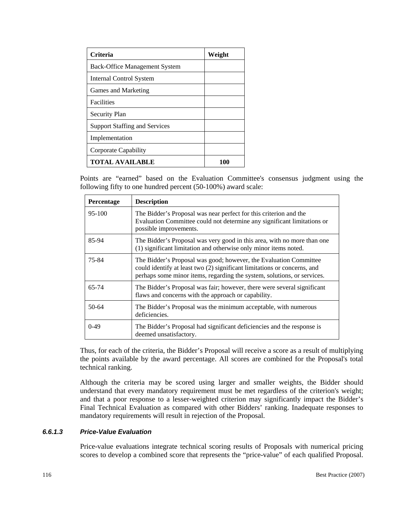| <b>Criteria</b>                      | Weight |
|--------------------------------------|--------|
| <b>Back-Office Management System</b> |        |
| Internal Control System              |        |
| Games and Marketing                  |        |
| <b>Facilities</b>                    |        |
| <b>Security Plan</b>                 |        |
| <b>Support Staffing and Services</b> |        |
| Implementation                       |        |
| Corporate Capability                 |        |
| <b>TOTAL AVAILABLE</b>               | 1 OC   |

Points are "earned" based on the Evaluation Committee's consensus judgment using the following fifty to one hundred percent (50-100%) award scale:

| <b>Percentage</b> | <b>Description</b>                                                                                                                                                                                                       |
|-------------------|--------------------------------------------------------------------------------------------------------------------------------------------------------------------------------------------------------------------------|
| 95-100            | The Bidder's Proposal was near perfect for this criterion and the<br>Evaluation Committee could not determine any significant limitations or<br>possible improvements.                                                   |
| 85-94             | The Bidder's Proposal was very good in this area, with no more than one<br>(1) significant limitation and otherwise only minor items noted.                                                                              |
| 75-84             | The Bidder's Proposal was good; however, the Evaluation Committee<br>could identify at least two (2) significant limitations or concerns, and<br>perhaps some minor items, regarding the system, solutions, or services. |
| 65-74             | The Bidder's Proposal was fair; however, there were several significant<br>flaws and concerns with the approach or capability.                                                                                           |
| 50-64             | The Bidder's Proposal was the minimum acceptable, with numerous<br>deficiencies.                                                                                                                                         |
| $0-49$            | The Bidder's Proposal had significant deficiencies and the response is<br>deemed unsatisfactory.                                                                                                                         |

Thus, for each of the criteria, the Bidder's Proposal will receive a score as a result of multiplying the points available by the award percentage. All scores are combined for the Proposal's total technical ranking.

Although the criteria may be scored using larger and smaller weights, the Bidder should understand that every mandatory requirement must be met regardless of the criterion's weight; and that a poor response to a lesser-weighted criterion may significantly impact the Bidder's Final Technical Evaluation as compared with other Bidders' ranking. Inadequate responses to mandatory requirements will result in rejection of the Proposal.

## *6.6.1.3 Price-Value Evaluation*

Price-value evaluations integrate technical scoring results of Proposals with numerical pricing scores to develop a combined score that represents the "price-value" of each qualified Proposal.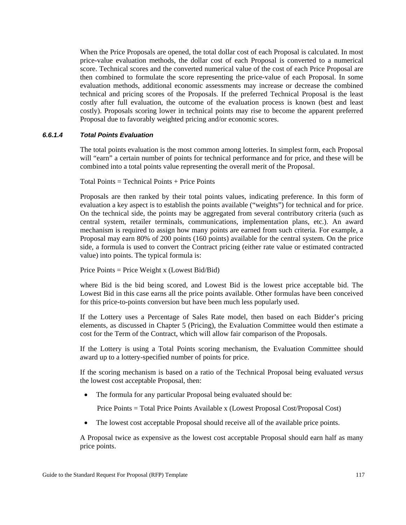When the Price Proposals are opened, the total dollar cost of each Proposal is calculated. In most price-value evaluation methods, the dollar cost of each Proposal is converted to a numerical score. Technical scores and the converted numerical value of the cost of each Price Proposal are then combined to formulate the score representing the price-value of each Proposal. In some evaluation methods, additional economic assessments may increase or decrease the combined technical and pricing scores of the Proposals. If the preferred Technical Proposal is the least costly after full evaluation, the outcome of the evaluation process is known (best and least costly). Proposals scoring lower in technical points may rise to become the apparent preferred Proposal due to favorably weighted pricing and/or economic scores.

## *6.6.1.4 Total Points Evaluation*

The total points evaluation is the most common among lotteries. In simplest form, each Proposal will "earn" a certain number of points for technical performance and for price, and these will be combined into a total points value representing the overall merit of the Proposal.

Total Points = Technical Points + Price Points

Proposals are then ranked by their total points values, indicating preference. In this form of evaluation a key aspect is to establish the points available ("weights") for technical and for price. On the technical side, the points may be aggregated from several contributory criteria (such as central system, retailer terminals, communications, implementation plans, etc.). An award mechanism is required to assign how many points are earned from such criteria. For example, a Proposal may earn 80% of 200 points (160 points) available for the central system. On the price side, a formula is used to convert the Contract pricing (either rate value or estimated contracted value) into points. The typical formula is:

## Price Points = Price Weight x (Lowest Bid/Bid)

where Bid is the bid being scored, and Lowest Bid is the lowest price acceptable bid. The Lowest Bid in this case earns all the price points available. Other formulas have been conceived for this price-to-points conversion but have been much less popularly used.

If the Lottery uses a Percentage of Sales Rate model, then based on each Bidder's pricing elements, as discussed in Chapter 5 (Pricing), the Evaluation Committee would then estimate a cost for the Term of the Contract, which will allow fair comparison of the Proposals.

If the Lottery is using a Total Points scoring mechanism, the Evaluation Committee should award up to a lottery-specified number of points for price.

If the scoring mechanism is based on a ratio of the Technical Proposal being evaluated *versus* the lowest cost acceptable Proposal, then:

• The formula for any particular Proposal being evaluated should be:

Price Points = Total Price Points Available x (Lowest Proposal Cost/Proposal Cost)

• The lowest cost acceptable Proposal should receive all of the available price points.

A Proposal twice as expensive as the lowest cost acceptable Proposal should earn half as many price points.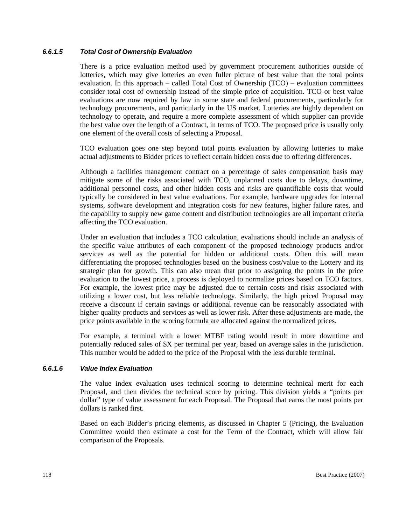## *6.6.1.5 Total Cost of Ownership Evaluation*

There is a price evaluation method used by government procurement authorities outside of lotteries, which may give lotteries an even fuller picture of best value than the total points evaluation. In this approach – called Total Cost of Ownership (TCO) – evaluation committees consider total cost of ownership instead of the simple price of acquisition. TCO or best value evaluations are now required by law in some state and federal procurements, particularly for technology procurements, and particularly in the US market. Lotteries are highly dependent on technology to operate, and require a more complete assessment of which supplier can provide the best value over the length of a Contract, in terms of TCO. The proposed price is usually only one element of the overall costs of selecting a Proposal.

TCO evaluation goes one step beyond total points evaluation by allowing lotteries to make actual adjustments to Bidder prices to reflect certain hidden costs due to offering differences.

Although a facilities management contract on a percentage of sales compensation basis may mitigate some of the risks associated with TCO, unplanned costs due to delays, downtime, additional personnel costs, and other hidden costs and risks are quantifiable costs that would typically be considered in best value evaluations. For example, hardware upgrades for internal systems, software development and integration costs for new features, higher failure rates, and the capability to supply new game content and distribution technologies are all important criteria affecting the TCO evaluation.

Under an evaluation that includes a TCO calculation, evaluations should include an analysis of the specific value attributes of each component of the proposed technology products and/or services as well as the potential for hidden or additional costs. Often this will mean differentiating the proposed technologies based on the business cost/value to the Lottery and its strategic plan for growth. This can also mean that prior to assigning the points in the price evaluation to the lowest price, a process is deployed to normalize prices based on TCO factors. For example, the lowest price may be adjusted due to certain costs and risks associated with utilizing a lower cost, but less reliable technology. Similarly, the high priced Proposal may receive a discount if certain savings or additional revenue can be reasonably associated with higher quality products and services as well as lower risk. After these adjustments are made, the price points available in the scoring formula are allocated against the normalized prices.

For example, a terminal with a lower MTBF rating would result in more downtime and potentially reduced sales of \$X per terminal per year, based on average sales in the jurisdiction. This number would be added to the price of the Proposal with the less durable terminal.

## *6.6.1.6 Value Index Evaluation*

The value index evaluation uses technical scoring to determine technical merit for each Proposal, and then divides the technical score by pricing. This division yields a "points per dollar" type of value assessment for each Proposal. The Proposal that earns the most points per dollars is ranked first.

Based on each Bidder's pricing elements, as discussed in Chapter 5 (Pricing), the Evaluation Committee would then estimate a cost for the Term of the Contract, which will allow fair comparison of the Proposals.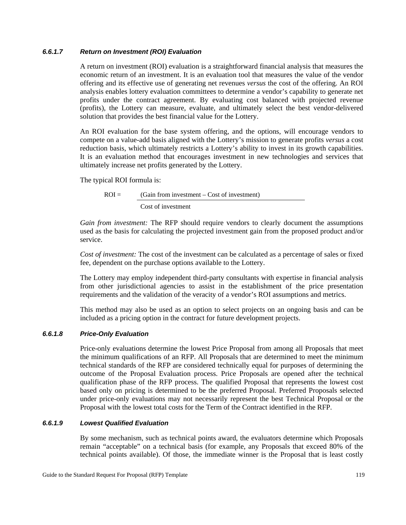## *6.6.1.7 Return on Investment (ROI) Evaluation*

A return on investment (ROI) evaluation is a straightforward financial analysis that measures the economic return of an investment. It is an evaluation tool that measures the value of the vendor offering and its effective use of generating net revenues *versus* the cost of the offering. An ROI analysis enables lottery evaluation committees to determine a vendor's capability to generate net profits under the contract agreement. By evaluating cost balanced with projected revenue (profits), the Lottery can measure, evaluate, and ultimately select the best vendor-delivered solution that provides the best financial value for the Lottery.

An ROI evaluation for the base system offering, and the options, will encourage vendors to compete on a value-add basis aligned with the Lottery's mission to generate profits *versus* a cost reduction basis, which ultimately restricts a Lottery's ability to invest in its growth capabilities. It is an evaluation method that encourages investment in new technologies and services that ultimately increase net profits generated by the Lottery.

The typical ROI formula is:

 $ROI =$  (Gain from investment – Cost of investment) Cost of investment

*Gain from investment:* The RFP should require vendors to clearly document the assumptions used as the basis for calculating the projected investment gain from the proposed product and/or service.

*Cost of investment:* The cost of the investment can be calculated as a percentage of sales or fixed fee, dependent on the purchase options available to the Lottery.

The Lottery may employ independent third-party consultants with expertise in financial analysis from other jurisdictional agencies to assist in the establishment of the price presentation requirements and the validation of the veracity of a vendor's ROI assumptions and metrics.

This method may also be used as an option to select projects on an ongoing basis and can be included as a pricing option in the contract for future development projects.

## *6.6.1.8 Price-Only Evaluation*

Price-only evaluations determine the lowest Price Proposal from among all Proposals that meet the minimum qualifications of an RFP. All Proposals that are determined to meet the minimum technical standards of the RFP are considered technically equal for purposes of determining the outcome of the Proposal Evaluation process. Price Proposals are opened after the technical qualification phase of the RFP process. The qualified Proposal that represents the lowest cost based only on pricing is determined to be the preferred Proposal. Preferred Proposals selected under price-only evaluations may not necessarily represent the best Technical Proposal or the Proposal with the lowest total costs for the Term of the Contract identified in the RFP.

## *6.6.1.9 Lowest Qualified Evaluation*

By some mechanism, such as technical points award, the evaluators determine which Proposals remain "acceptable" on a technical basis (for example, any Proposals that exceed 80% of the technical points available). Of those, the immediate winner is the Proposal that is least costly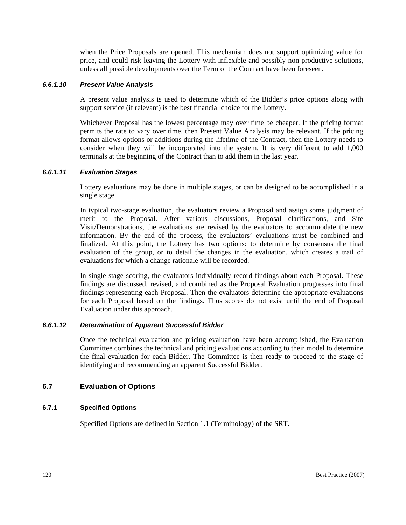when the Price Proposals are opened. This mechanism does not support optimizing value for price, and could risk leaving the Lottery with inflexible and possibly non-productive solutions, unless all possible developments over the Term of the Contract have been foreseen.

## *6.6.1.10 Present Value Analysis*

A present value analysis is used to determine which of the Bidder's price options along with support service (if relevant) is the best financial choice for the Lottery.

Whichever Proposal has the lowest percentage may over time be cheaper. If the pricing format permits the rate to vary over time, then Present Value Analysis may be relevant. If the pricing format allows options or additions during the lifetime of the Contract, then the Lottery needs to consider when they will be incorporated into the system. It is very different to add 1,000 terminals at the beginning of the Contract than to add them in the last year.

## *6.6.1.11 Evaluation Stages*

Lottery evaluations may be done in multiple stages, or can be designed to be accomplished in a single stage.

In typical two-stage evaluation, the evaluators review a Proposal and assign some judgment of merit to the Proposal. After various discussions, Proposal clarifications, and Site Visit/Demonstrations, the evaluations are revised by the evaluators to accommodate the new information. By the end of the process, the evaluators' evaluations must be combined and finalized. At this point, the Lottery has two options: to determine by consensus the final evaluation of the group, or to detail the changes in the evaluation, which creates a trail of evaluations for which a change rationale will be recorded.

In single-stage scoring, the evaluators individually record findings about each Proposal. These findings are discussed, revised, and combined as the Proposal Evaluation progresses into final findings representing each Proposal. Then the evaluators determine the appropriate evaluations for each Proposal based on the findings. Thus scores do not exist until the end of Proposal Evaluation under this approach.

## *6.6.1.12 Determination of Apparent Successful Bidder*

Once the technical evaluation and pricing evaluation have been accomplished, the Evaluation Committee combines the technical and pricing evaluations according to their model to determine the final evaluation for each Bidder. The Committee is then ready to proceed to the stage of identifying and recommending an apparent Successful Bidder.

## **6.7 Evaluation of Options**

## **6.7.1 Specified Options**

Specified Options are defined in Section 1.1 (Terminology) of the SRT.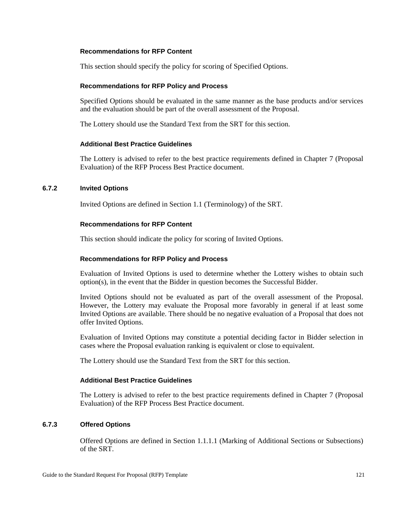## **Recommendations for RFP Content**

This section should specify the policy for scoring of Specified Options.

## **Recommendations for RFP Policy and Process**

Specified Options should be evaluated in the same manner as the base products and/or services and the evaluation should be part of the overall assessment of the Proposal.

The Lottery should use the Standard Text from the SRT for this section.

## **Additional Best Practice Guidelines**

The Lottery is advised to refer to the best practice requirements defined in Chapter 7 (Proposal Evaluation) of the RFP Process Best Practice document.

## **6.7.2 Invited Options**

Invited Options are defined in Section 1.1 (Terminology) of the SRT.

## **Recommendations for RFP Content**

This section should indicate the policy for scoring of Invited Options.

## **Recommendations for RFP Policy and Process**

Evaluation of Invited Options is used to determine whether the Lottery wishes to obtain such option(s), in the event that the Bidder in question becomes the Successful Bidder.

Invited Options should not be evaluated as part of the overall assessment of the Proposal. However, the Lottery may evaluate the Proposal more favorably in general if at least some Invited Options are available. There should be no negative evaluation of a Proposal that does not offer Invited Options.

Evaluation of Invited Options may constitute a potential deciding factor in Bidder selection in cases where the Proposal evaluation ranking is equivalent or close to equivalent.

The Lottery should use the Standard Text from the SRT for this section.

## **Additional Best Practice Guidelines**

The Lottery is advised to refer to the best practice requirements defined in Chapter 7 (Proposal Evaluation) of the RFP Process Best Practice document.

## **6.7.3 Offered Options**

Offered Options are defined in Section 1.1.1.1 (Marking of Additional Sections or Subsections) of the SRT.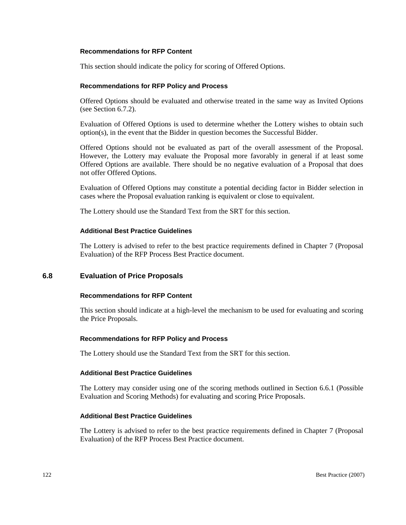## **Recommendations for RFP Content**

This section should indicate the policy for scoring of Offered Options.

## **Recommendations for RFP Policy and Process**

Offered Options should be evaluated and otherwise treated in the same way as Invited Options (see Section 6.7.2).

Evaluation of Offered Options is used to determine whether the Lottery wishes to obtain such option(s), in the event that the Bidder in question becomes the Successful Bidder.

Offered Options should not be evaluated as part of the overall assessment of the Proposal. However, the Lottery may evaluate the Proposal more favorably in general if at least some Offered Options are available. There should be no negative evaluation of a Proposal that does not offer Offered Options.

Evaluation of Offered Options may constitute a potential deciding factor in Bidder selection in cases where the Proposal evaluation ranking is equivalent or close to equivalent.

The Lottery should use the Standard Text from the SRT for this section.

## **Additional Best Practice Guidelines**

The Lottery is advised to refer to the best practice requirements defined in Chapter 7 (Proposal Evaluation) of the RFP Process Best Practice document.

## **6.8 Evaluation of Price Proposals**

## **Recommendations for RFP Content**

This section should indicate at a high-level the mechanism to be used for evaluating and scoring the Price Proposals.

## **Recommendations for RFP Policy and Process**

The Lottery should use the Standard Text from the SRT for this section.

## **Additional Best Practice Guidelines**

The Lottery may consider using one of the scoring methods outlined in Section 6.6.1 (Possible Evaluation and Scoring Methods) for evaluating and scoring Price Proposals.

## **Additional Best Practice Guidelines**

The Lottery is advised to refer to the best practice requirements defined in Chapter 7 (Proposal Evaluation) of the RFP Process Best Practice document.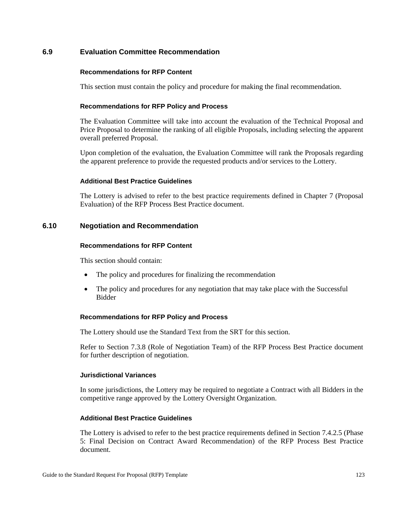## **6.9 Evaluation Committee Recommendation**

## **Recommendations for RFP Content**

This section must contain the policy and procedure for making the final recommendation.

## **Recommendations for RFP Policy and Process**

The Evaluation Committee will take into account the evaluation of the Technical Proposal and Price Proposal to determine the ranking of all eligible Proposals, including selecting the apparent overall preferred Proposal.

Upon completion of the evaluation, the Evaluation Committee will rank the Proposals regarding the apparent preference to provide the requested products and/or services to the Lottery.

## **Additional Best Practice Guidelines**

The Lottery is advised to refer to the best practice requirements defined in Chapter 7 (Proposal Evaluation) of the RFP Process Best Practice document.

## **6.10 Negotiation and Recommendation**

## **Recommendations for RFP Content**

This section should contain:

- The policy and procedures for finalizing the recommendation
- The policy and procedures for any negotiation that may take place with the Successful Bidder

## **Recommendations for RFP Policy and Process**

The Lottery should use the Standard Text from the SRT for this section.

Refer to Section 7.3.8 (Role of Negotiation Team) of the RFP Process Best Practice document for further description of negotiation.

## **Jurisdictional Variances**

In some jurisdictions, the Lottery may be required to negotiate a Contract with all Bidders in the competitive range approved by the Lottery Oversight Organization.

## **Additional Best Practice Guidelines**

The Lottery is advised to refer to the best practice requirements defined in Section 7.4.2.5 (Phase 5: Final Decision on Contract Award Recommendation) of the RFP Process Best Practice document.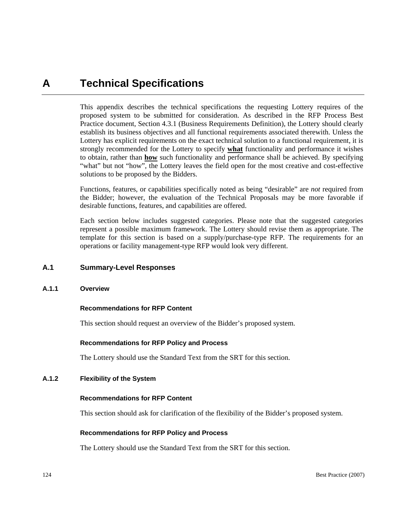## **A Technical Specifications**

This appendix describes the technical specifications the requesting Lottery requires of the proposed system to be submitted for consideration. As described in the RFP Process Best Practice document, Section 4.3.1 (Business Requirements Definition), the Lottery should clearly establish its business objectives and all functional requirements associated therewith. Unless the Lottery has explicit requirements on the exact technical solution to a functional requirement, it is strongly recommended for the Lottery to specify **what** functionality and performance it wishes to obtain, rather than **how** such functionality and performance shall be achieved. By specifying "what" but not "how", the Lottery leaves the field open for the most creative and cost-effective solutions to be proposed by the Bidders.

Functions, features, or capabilities specifically noted as being "desirable" are *not* required from the Bidder; however, the evaluation of the Technical Proposals may be more favorable if desirable functions, features, and capabilities are offered.

Each section below includes suggested categories. Please note that the suggested categories represent a possible maximum framework. The Lottery should revise them as appropriate. The template for this section is based on a supply/purchase-type RFP. The requirements for an operations or facility management-type RFP would look very different.

## **A.1 Summary-Level Responses**

## **A.1.1 Overview**

## **Recommendations for RFP Content**

This section should request an overview of the Bidder's proposed system.

#### **Recommendations for RFP Policy and Process**

The Lottery should use the Standard Text from the SRT for this section.

## **A.1.2 Flexibility of the System**

## **Recommendations for RFP Content**

This section should ask for clarification of the flexibility of the Bidder's proposed system.

#### **Recommendations for RFP Policy and Process**

The Lottery should use the Standard Text from the SRT for this section.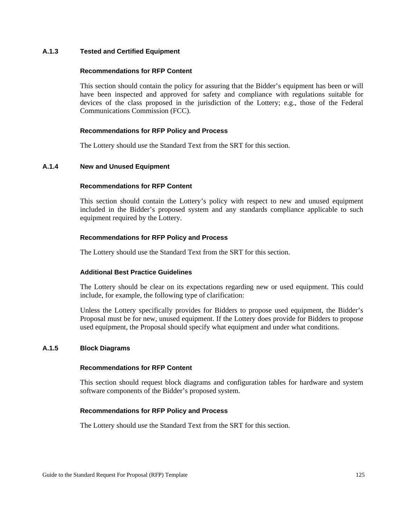## **A.1.3 Tested and Certified Equipment**

## **Recommendations for RFP Content**

This section should contain the policy for assuring that the Bidder's equipment has been or will have been inspected and approved for safety and compliance with regulations suitable for devices of the class proposed in the jurisdiction of the Lottery; e.g., those of the Federal Communications Commission (FCC).

## **Recommendations for RFP Policy and Process**

The Lottery should use the Standard Text from the SRT for this section.

#### **A.1.4 New and Unused Equipment**

## **Recommendations for RFP Content**

This section should contain the Lottery's policy with respect to new and unused equipment included in the Bidder's proposed system and any standards compliance applicable to such equipment required by the Lottery.

#### **Recommendations for RFP Policy and Process**

The Lottery should use the Standard Text from the SRT for this section.

## **Additional Best Practice Guidelines**

The Lottery should be clear on its expectations regarding new or used equipment. This could include, for example, the following type of clarification:

Unless the Lottery specifically provides for Bidders to propose used equipment, the Bidder's Proposal must be for new, unused equipment. If the Lottery does provide for Bidders to propose used equipment, the Proposal should specify what equipment and under what conditions.

## **A.1.5 Block Diagrams**

#### **Recommendations for RFP Content**

This section should request block diagrams and configuration tables for hardware and system software components of the Bidder's proposed system.

## **Recommendations for RFP Policy and Process**

The Lottery should use the Standard Text from the SRT for this section.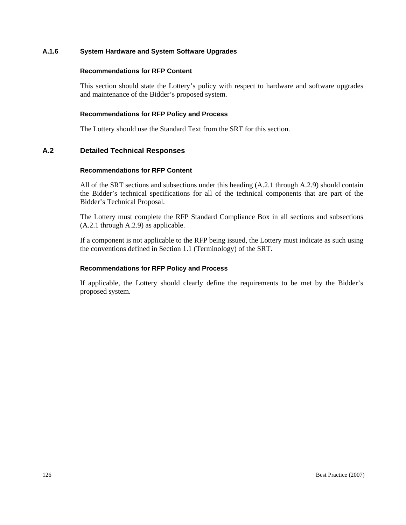## **A.1.6 System Hardware and System Software Upgrades**

#### **Recommendations for RFP Content**

This section should state the Lottery's policy with respect to hardware and software upgrades and maintenance of the Bidder's proposed system.

#### **Recommendations for RFP Policy and Process**

The Lottery should use the Standard Text from the SRT for this section.

## **A.2 Detailed Technical Responses**

#### **Recommendations for RFP Content**

All of the SRT sections and subsections under this heading (A.2.1 through A.2.9) should contain the Bidder's technical specifications for all of the technical components that are part of the Bidder's Technical Proposal.

The Lottery must complete the RFP Standard Compliance Box in all sections and subsections (A.2.1 through A.2.9) as applicable.

If a component is not applicable to the RFP being issued, the Lottery must indicate as such using the conventions defined in Section 1.1 (Terminology) of the SRT.

## **Recommendations for RFP Policy and Process**

If applicable, the Lottery should clearly define the requirements to be met by the Bidder's proposed system.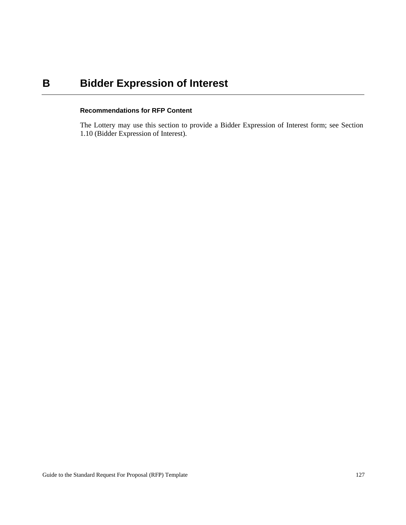# **B** Bidder Expression of Interest

## **Recommendations for RFP Content**

The Lottery may use this section to provide a Bidder Expression of Interest form; see Section 1.10 (Bidder Expression of Interest).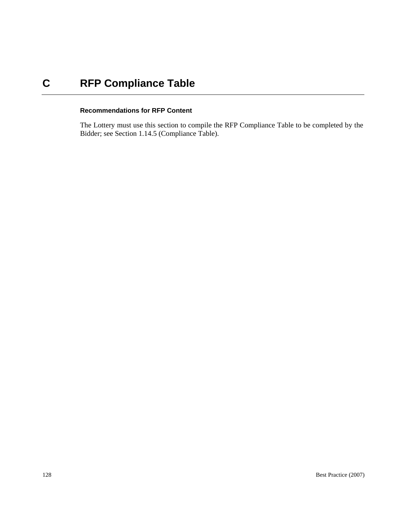# **C RFP Compliance Table**

## **Recommendations for RFP Content**

The Lottery must use this section to compile the RFP Compliance Table to be completed by the Bidder; see Section 1.14.5 (Compliance Table).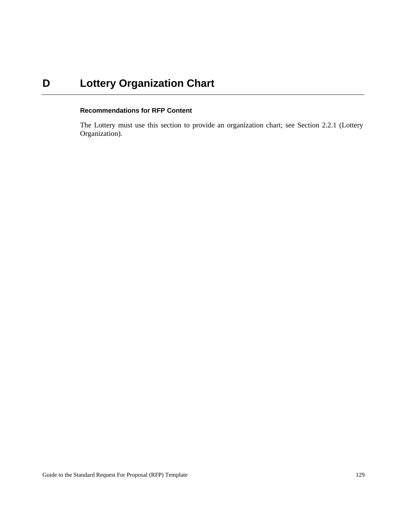# **D** Lottery Organization Chart

## **Recommendations for RFP Content**

The Lottery must use this section to provide an organization chart; see Section 2.2.1 (Lottery Organization).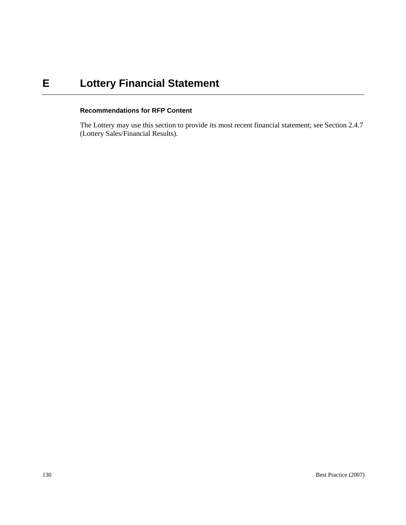# **E Lottery Financial Statement**

## **Recommendations for RFP Content**

The Lottery may use this section to provide its most recent financial statement; see Section 2.4.7 (Lottery Sales/Financial Results).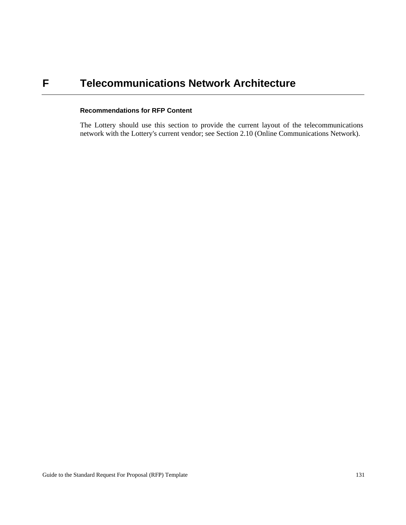## **F Telecommunications Network Architecture**

## **Recommendations for RFP Content**

The Lottery should use this section to provide the current layout of the telecommunications network with the Lottery's current vendor; see Section 2.10 (Online Communications Network).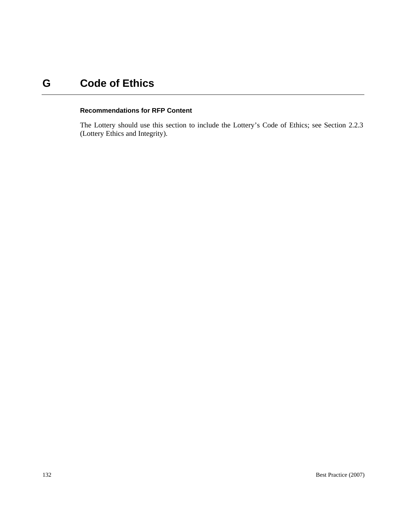# **G Code of Ethics**

## **Recommendations for RFP Content**

The Lottery should use this section to include the Lottery's Code of Ethics; see Section 2.2.3 (Lottery Ethics and Integrity).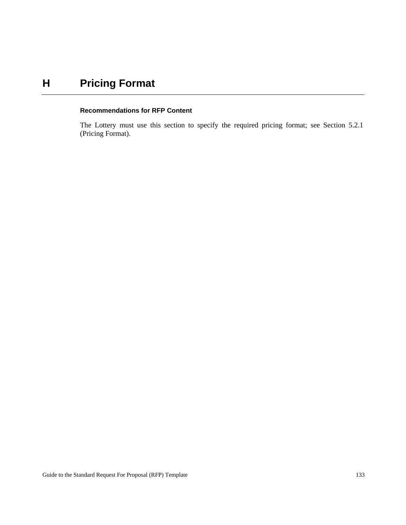# **H Pricing Format**

#### **Recommendations for RFP Content**

The Lottery must use this section to specify the required pricing format; see Section 5.2.1 (Pricing Format).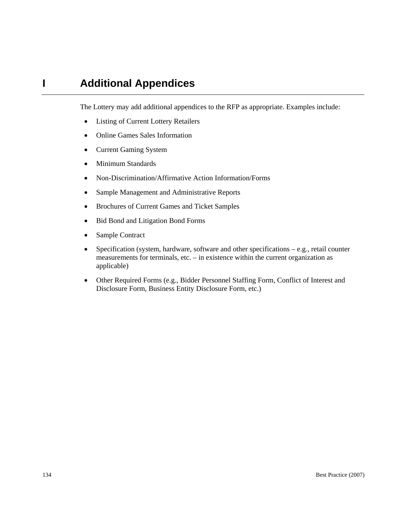## **I Additional Appendices**

The Lottery may add additional appendices to the RFP as appropriate. Examples include:

- Listing of Current Lottery Retailers
- Online Games Sales Information
- Current Gaming System
- Minimum Standards
- Non-Discrimination/Affirmative Action Information/Forms
- Sample Management and Administrative Reports
- Brochures of Current Games and Ticket Samples
- Bid Bond and Litigation Bond Forms
- Sample Contract
- Specification (system, hardware, software and other specifications e.g., retail counter measurements for terminals, etc. – in existence within the current organization as applicable)
- Other Required Forms (e.g., Bidder Personnel Staffing Form, Conflict of Interest and Disclosure Form, Business Entity Disclosure Form, etc.)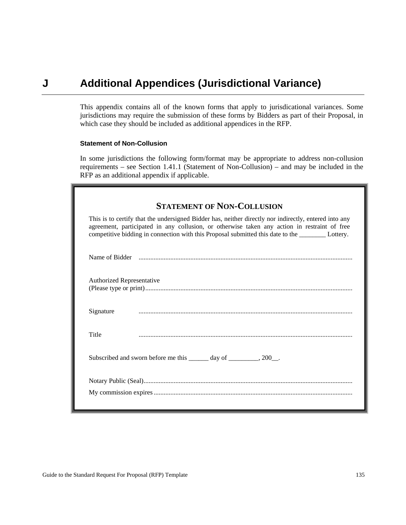### **J Additional Appendices (Jurisdictional Variance)**

This appendix contains all of the known forms that apply to jurisdicational variances. Some jurisdictions may require the submission of these forms by Bidders as part of their Proposal, in which case they should be included as additional appendices in the RFP.

### **Statement of Non-Collusion**

In some jurisdictions the following form/format may be appropriate to address non-collusion requirements – see Section 1.41.1 (Statement of Non-Collusion) – and may be included in the RFP as an additional appendix if applicable.

|                           | <b>STATEMENT OF NON-COLLUSION</b>                                                                                                                                                                                                                                                                         |
|---------------------------|-----------------------------------------------------------------------------------------------------------------------------------------------------------------------------------------------------------------------------------------------------------------------------------------------------------|
|                           | This is to certify that the undersigned Bidder has, neither directly nor indirectly, entered into any<br>agreement, participated in any collusion, or otherwise taken any action in restraint of free<br>competitive bidding in connection with this Proposal submitted this date to the <i>Lottery</i> . |
|                           |                                                                                                                                                                                                                                                                                                           |
| Authorized Representative |                                                                                                                                                                                                                                                                                                           |
| Signature                 |                                                                                                                                                                                                                                                                                                           |
| Title                     |                                                                                                                                                                                                                                                                                                           |
|                           | Subscribed and sworn before me this ______ day of ________, 200_.                                                                                                                                                                                                                                         |
|                           |                                                                                                                                                                                                                                                                                                           |
|                           |                                                                                                                                                                                                                                                                                                           |